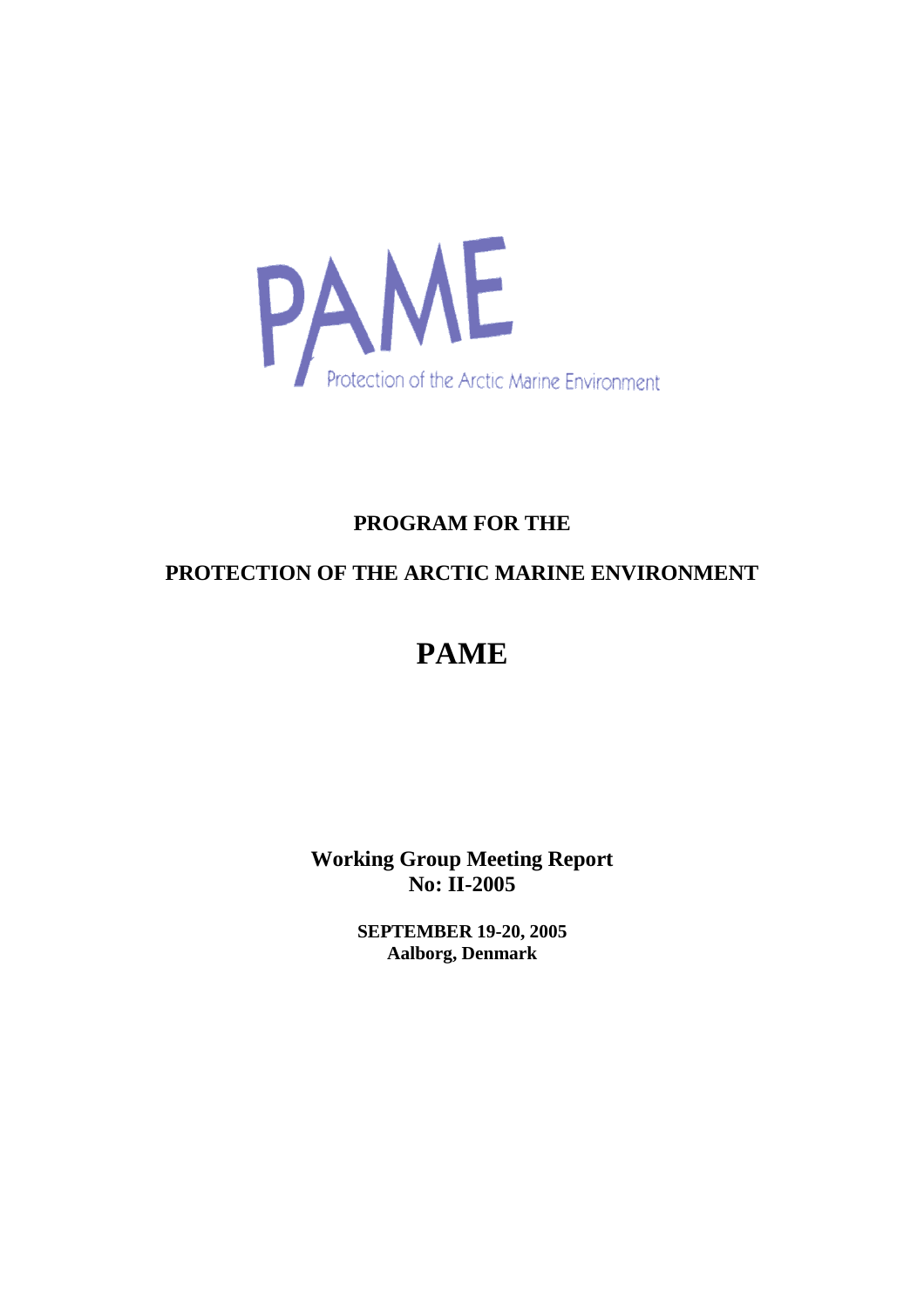

# **PROGRAM FOR THE**

# **PROTECTION OF THE ARCTIC MARINE ENVIRONMENT**

# **PAME**

**Working Group Meeting Report No: II-2005**

> **SEPTEMBER 19-20, 2005 Aalborg, Denmark**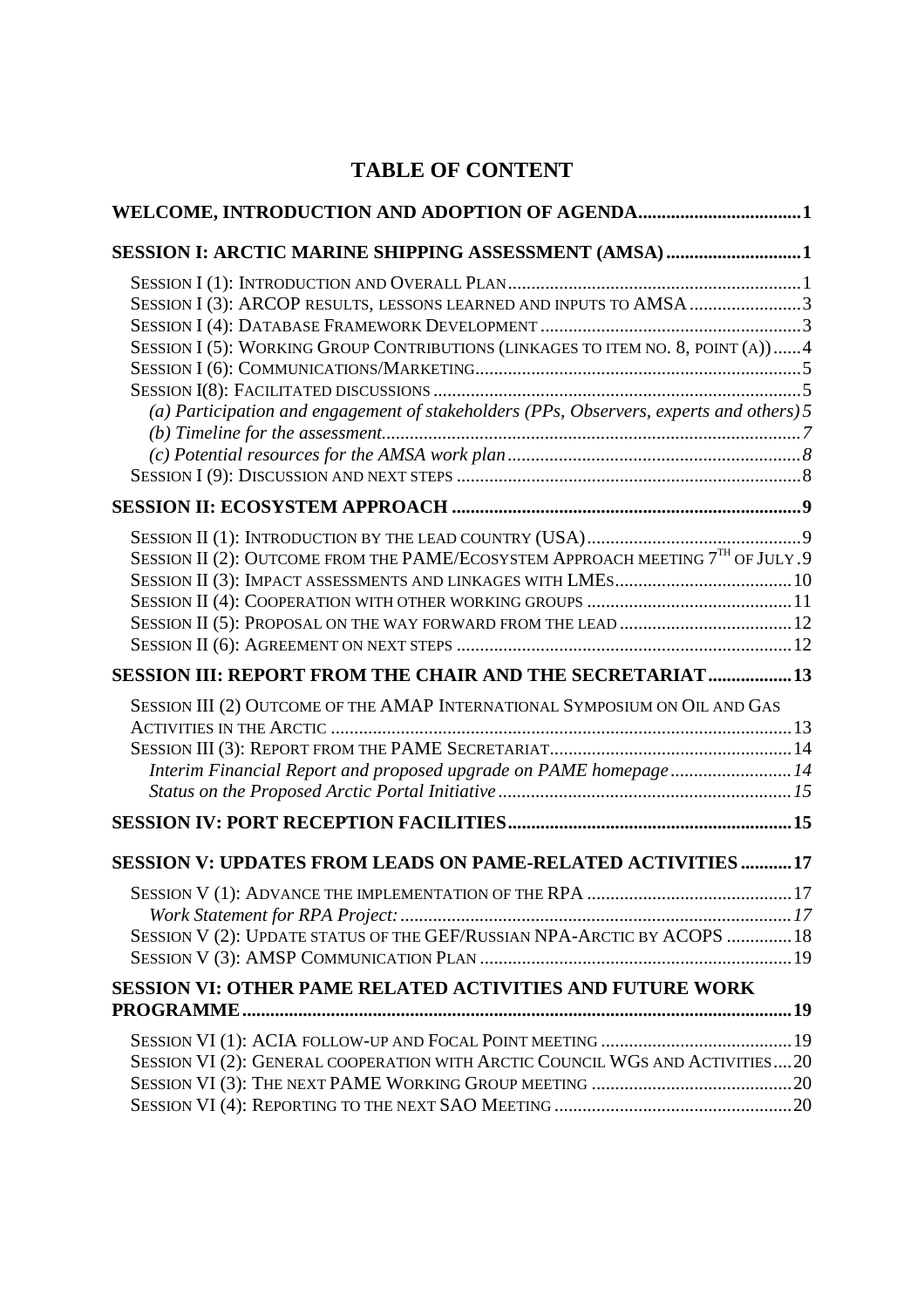# **TABLE OF CONTENT**

| WELCOME, INTRODUCTION AND ADOPTION OF AGENDA1                                           |    |
|-----------------------------------------------------------------------------------------|----|
| SESSION I: ARCTIC MARINE SHIPPING ASSESSMENT (AMSA)1                                    |    |
|                                                                                         |    |
| SESSION I (3): ARCOP RESULTS, LESSONS LEARNED AND INPUTS TO AMSA 3                      |    |
|                                                                                         |    |
| SESSION I (5): WORKING GROUP CONTRIBUTIONS (LINKAGES TO ITEM NO. 8, POINT (A))4         |    |
|                                                                                         |    |
|                                                                                         |    |
| (a) Participation and engagement of stakeholders (PPs, Observers, experts and others) 5 |    |
|                                                                                         |    |
|                                                                                         |    |
|                                                                                         |    |
|                                                                                         |    |
| SESSION II (2): OUTCOME FROM THE PAME/ECOSYSTEM APPROACH MEETING $7TH$ OF JULY .9       |    |
|                                                                                         |    |
|                                                                                         |    |
|                                                                                         |    |
|                                                                                         |    |
| SESSION III: REPORT FROM THE CHAIR AND THE SECRETARIAT13                                |    |
| SESSION III (2) OUTCOME OF THE AMAP INTERNATIONAL SYMPOSIUM ON OIL AND GAS              |    |
|                                                                                         |    |
| Interim Financial Report and proposed upgrade on PAME homepage14                        |    |
|                                                                                         |    |
|                                                                                         |    |
|                                                                                         |    |
| SESSION V: UPDATES FROM LEADS ON PAME-RELATED ACTIVITIES 17                             |    |
| SESSION V (1): ADVANCE THE IMPLEMENTATION OF THE RPA.                                   | 17 |
|                                                                                         |    |
| SESSION V (2): UPDATE STATUS OF THE GEF/RUSSIAN NPA-ARCTIC BY ACOPS 18                  |    |
|                                                                                         |    |
| <b>SESSION VI: OTHER PAME RELATED ACTIVITIES AND FUTURE WORK</b>                        |    |
|                                                                                         |    |
|                                                                                         |    |
| SESSION VI (2): GENERAL COOPERATION WITH ARCTIC COUNCIL WGS AND ACTIVITIES20            |    |
|                                                                                         |    |
|                                                                                         |    |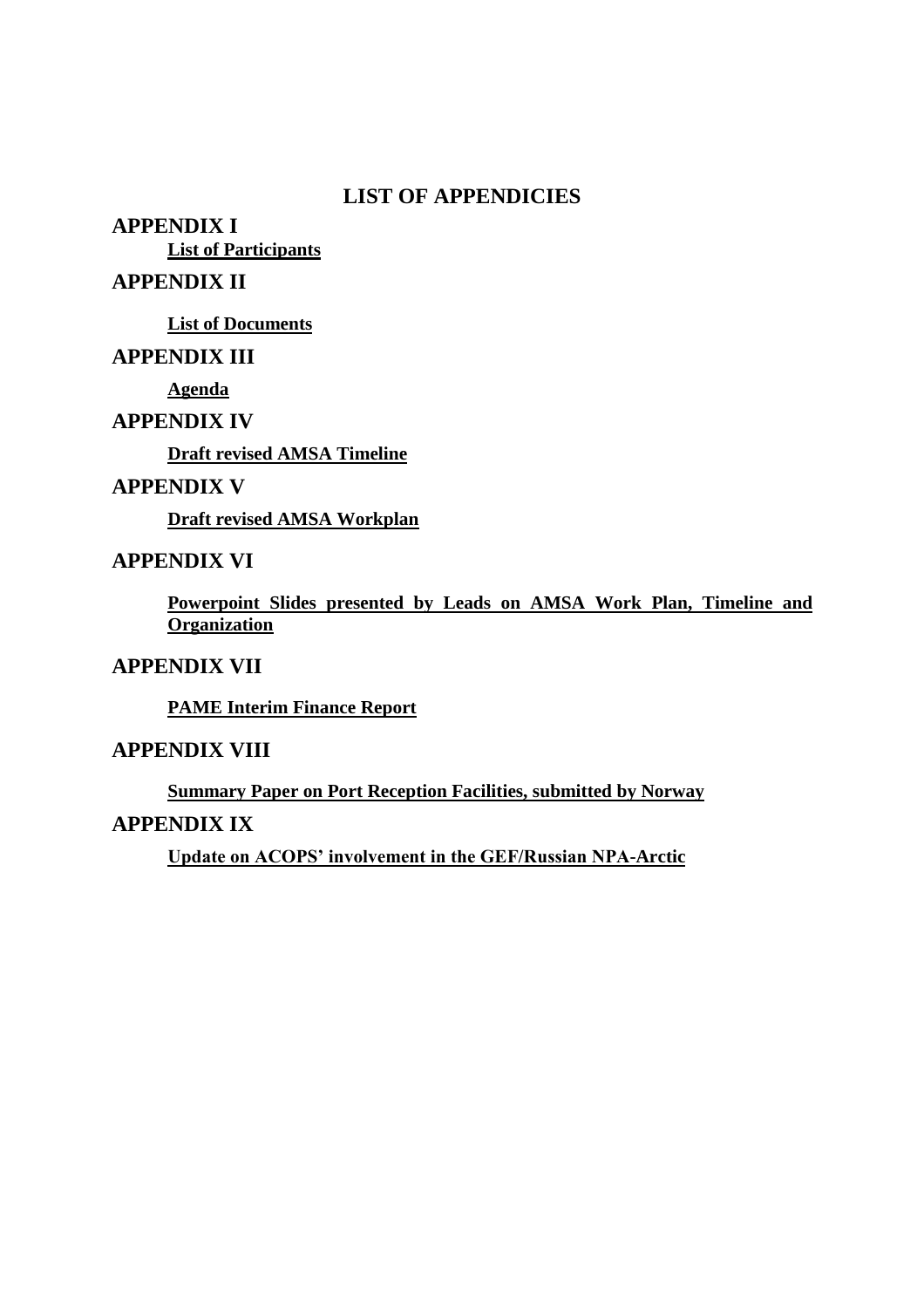### **LIST OF APPENDICIES**

**APPENDIX I List of Participants**

### **APPENDIX II**

**List of Documents**

### **APPENDIX III**

**Agenda**

### **APPENDIX IV**

**Draft revised AMSA Timeline**

### **APPENDIX V**

**Draft revised AMSA Workplan**

### **APPENDIX VI**

**Powerpoint Slides presented by Leads on AMSA Work Plan, Timeline and Organization**

### **APPENDIX VII**

**PAME Interim Finance Report**

### **APPENDIX VIII**

**Summary Paper on Port Reception Facilities, submitted by Norway**

#### **APPENDIX IX**

Update on ACOPS' involvement in the GEF/Russian NPA<sup>-Arctic</sup>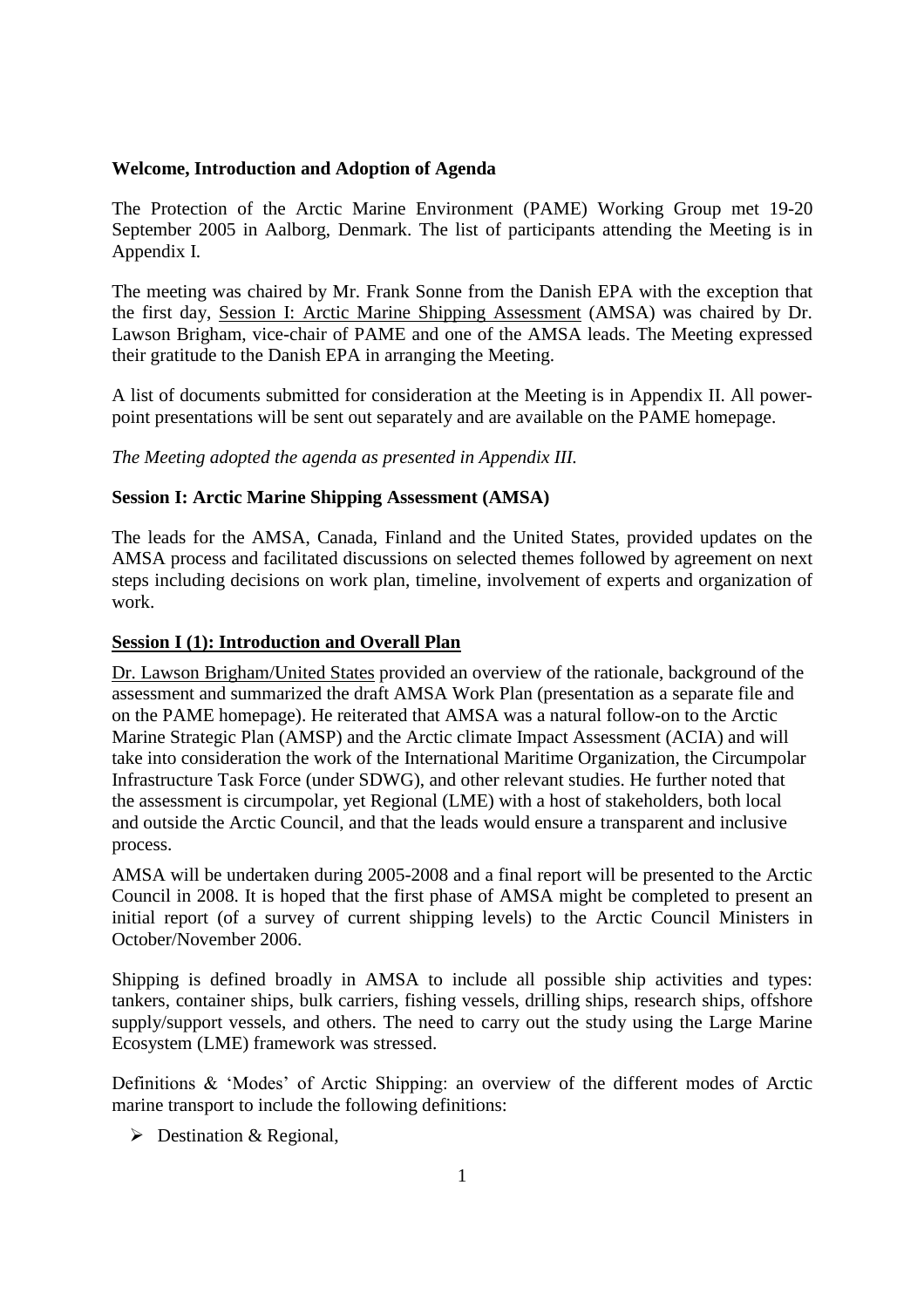#### **Welcome, Introduction and Adoption of Agenda**

The Protection of the Arctic Marine Environment (PAME) Working Group met 19-20 September 2005 in Aalborg, Denmark. The list of participants attending the Meeting is in Appendix I.

The meeting was chaired by Mr. Frank Sonne from the Danish EPA with the exception that the first day, Session I: Arctic Marine Shipping Assessment (AMSA) was chaired by Dr. Lawson Brigham, vice-chair of PAME and one of the AMSA leads. The Meeting expressed their gratitude to the Danish EPA in arranging the Meeting.

A list of documents submitted for consideration at the Meeting is in Appendix II. All powerpoint presentations will be sent out separately and are available on the PAME homepage.

*The Meeting adopted the agenda as presented in Appendix III.*

#### **Session I: Arctic Marine Shipping Assessment (AMSA)**

The leads for the AMSA, Canada, Finland and the United States, provided updates on the AMSA process and facilitated discussions on selected themes followed by agreement on next steps including decisions on work plan, timeline, involvement of experts and organization of work.

#### **Session I (1): Introduction and Overall Plan**

Dr. Lawson Brigham/United States provided an overview of the rationale, background of the assessment and summarized the draft AMSA Work Plan (presentation as a separate file and on the PAME homepage). He reiterated that AMSA was a natural follow-on to the Arctic Marine Strategic Plan (AMSP) and the Arctic climate Impact Assessment (ACIA) and will take into consideration the work of the International Maritime Organization, the Circumpolar Infrastructure Task Force (under SDWG), and other relevant studies. He further noted that the assessment is circumpolar, yet Regional (LME) with a host of stakeholders, both local and outside the Arctic Council, and that the leads would ensure a transparent and inclusive process.

AMSA will be undertaken during 2005-2008 and a final report will be presented to the Arctic Council in 2008. It is hoped that the first phase of AMSA might be completed to present an initial report (of a survey of current shipping levels) to the Arctic Council Ministers in October/November 2006.

Shipping is defined broadly in AMSA to include all possible ship activities and types: tankers, container ships, bulk carriers, fishing vessels, drilling ships, research ships, offshore supply/support vessels, and others. The need to carry out the study using the Large Marine Ecosystem (LME) framework was stressed.

Definitions  $\&$  'Modes' of Arctic Shipping: an overview of the different modes of Arctic marine transport to include the following definitions:

 $\triangleright$  Destination & Regional,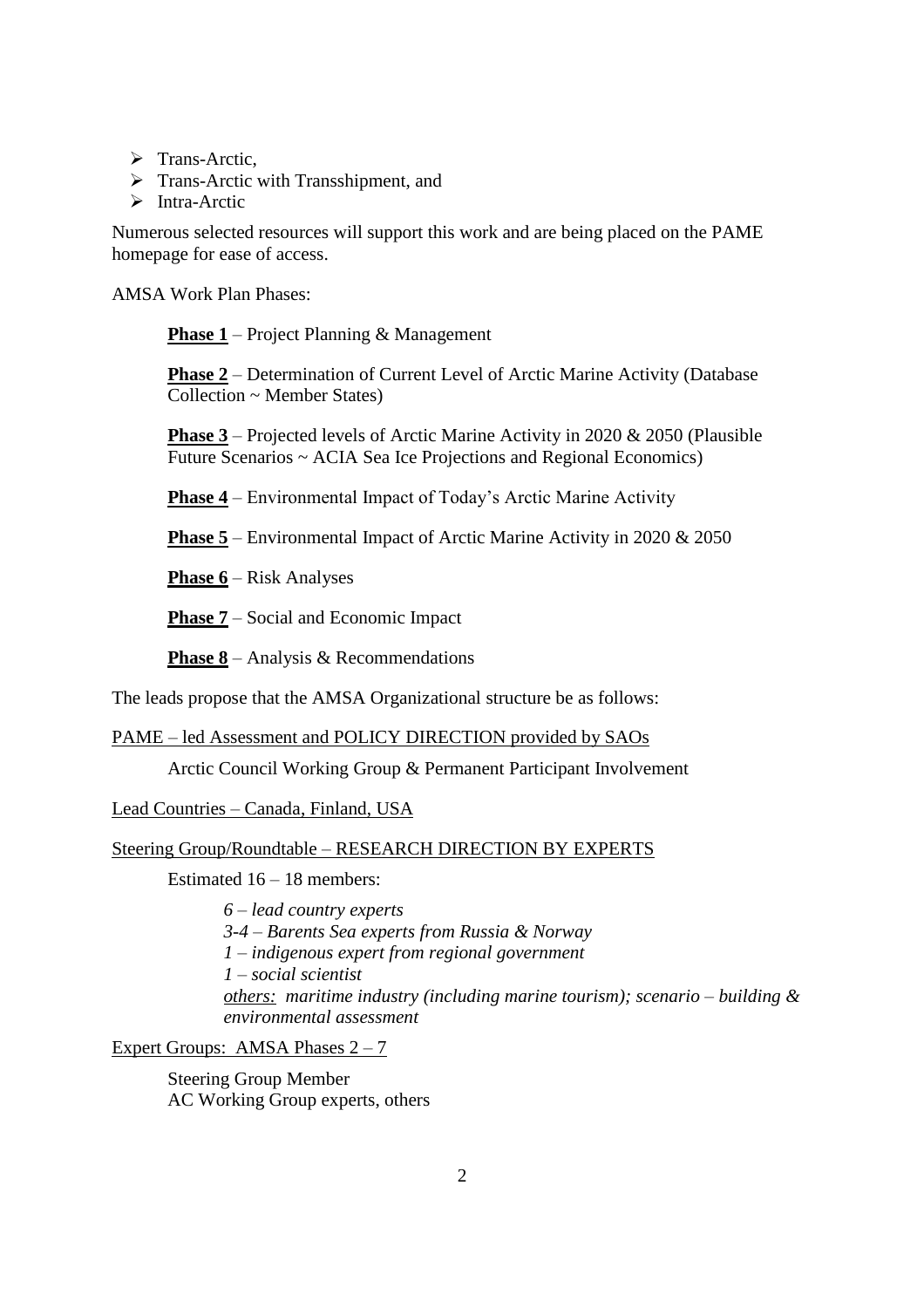- > Trans-Arctic,
- $\triangleright$  Trans-Arctic with Transshipment, and
- $\triangleright$  Intra-Arctic

Numerous selected resources will support this work and are being placed on the PAME homepage for ease of access.

AMSA Work Plan Phases:

**Phase 1** – Project Planning & Management

**Phase 2** – Determination of Current Level of Arctic Marine Activity (Database) Collection ~ Member States)

**Phase 3** – Projected levels of Arctic Marine Activity in 2020  $\&$  2050 (Plausible Future Scenarios ~ ACIA Sea Ice Projections and Regional Economics)

**Phase 4** – Environmental Impact of Today's Arctic Marine Activity

**Phase 5** – Environmental Impact of Arctic Marine Activity in 2020 & 2050

**Phase 6** – Risk Analyses

**Phase 7** – Social and Economic Impact

**Phase 8** – Analysis & Recommendations

The leads propose that the AMSA Organizational structure be as follows:

PAME – led Assessment and POLICY DIRECTION provided by SAOs

Arctic Council Working Group & Permanent Participant Involvement

Lead Countries –Canada, Finland, USA

#### Steering Group/Roundtable –RESEARCH DIRECTION BY EXPERTS

Estimated 16 –18 members:

*6 –lead country experts 3-4 –Barents Sea experts from Russia & Norway 1 –indigenous expert from regional government 1 –social scientist others: maritime industry (including marine tourism); scenario –building & environmental assessment*

Expert Groups: AMSA Phases  $2 - 7$ 

Steering Group Member AC Working Group experts, others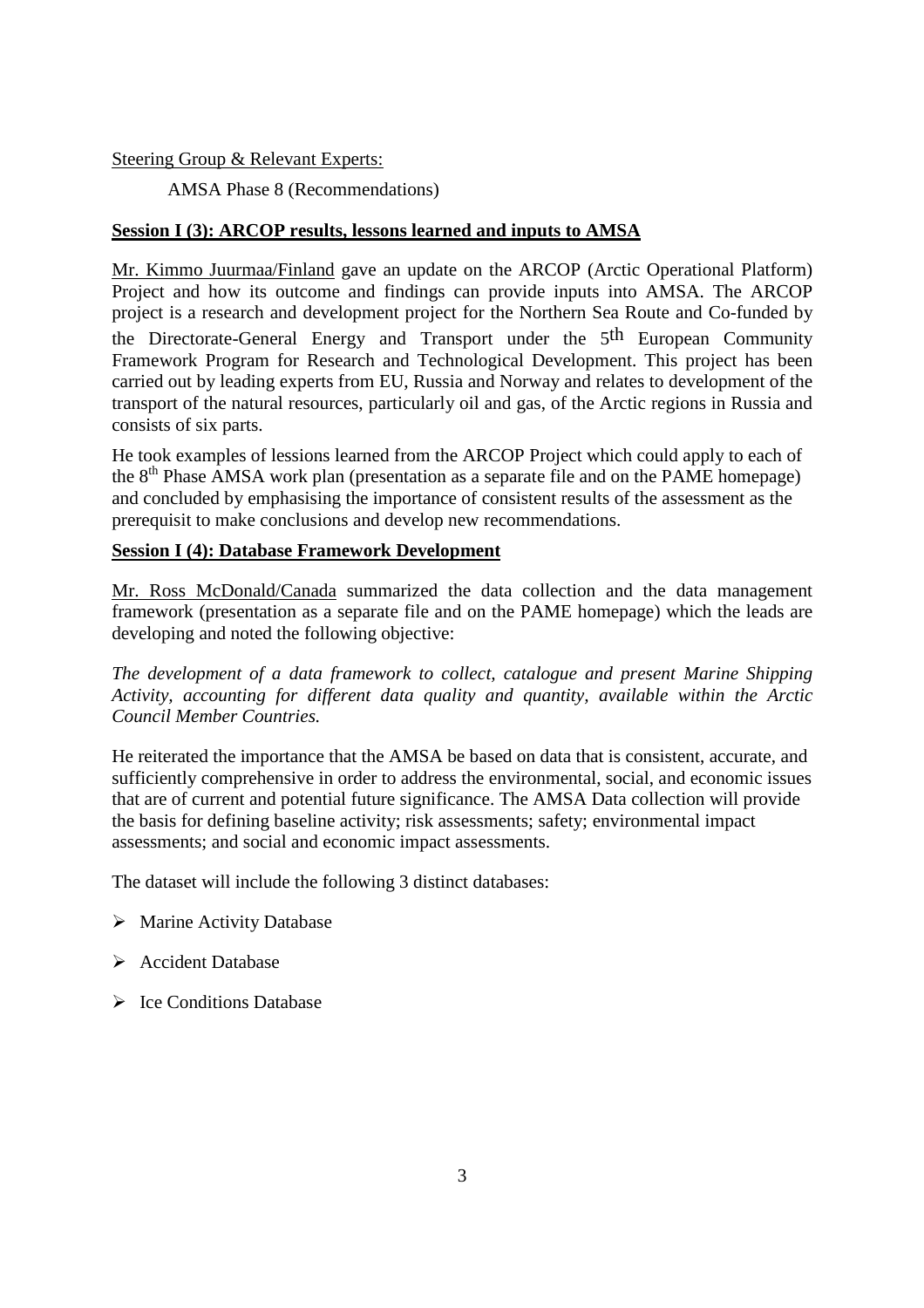#### Steering Group & Relevant Experts:

AMSA Phase 8 (Recommendations)

#### **Session I (3): ARCOP results, lessons learned and inputs to AMSA**

Mr. Kimmo Juurmaa/Finland gave an update on the ARCOP (Arctic Operational Platform) Project and how its outcome and findings can provide inputs into AMSA. The ARCOP project is a research and development project for the Northern Sea Route and Co-funded by the Directorate-General Energy and Transport under the 5th European Community Framework Program for Research and Technological Development. This project has been carried out by leading experts from EU, Russia and Norway and relates to development of the transport of the natural resources, particularly oil and gas, of the Arctic regions in Russia and consists of six parts.

He took examples of lessions learned from the ARCOP Project which could apply to each of the  $8<sup>th</sup>$  Phase AMSA work plan (presentation as a separate file and on the PAME homepage) and concluded by emphasising the importance of consistent results of the assessment as the prerequisit to make conclusions and develop new recommendations.

#### **Session I (4): Database Framework Development**

Mr. Ross McDonald/Canada summarized the data collection and the data management framework (presentation as a separate file and on the PAME homepage) which the leads are developing and noted the following objective:

*The development of a data framework to collect, catalogue and present Marine Shipping Activity, accounting for different data quality and quantity, available within the Arctic Council Member Countries.*

He reiterated the importance that the AMSA be based on data that is consistent, accurate, and sufficiently comprehensive in order to address the environmental, social, and economic issues that are of current and potential future significance. The AMSA Data collection will provide the basis for defining baseline activity; risk assessments; safety; environmental impact assessments; and social and economic impact assessments.

The dataset will include the following 3 distinct databases:

- $\triangleright$  Marine Activity Database
- Accident Database
- $\triangleright$  Ice Conditions Database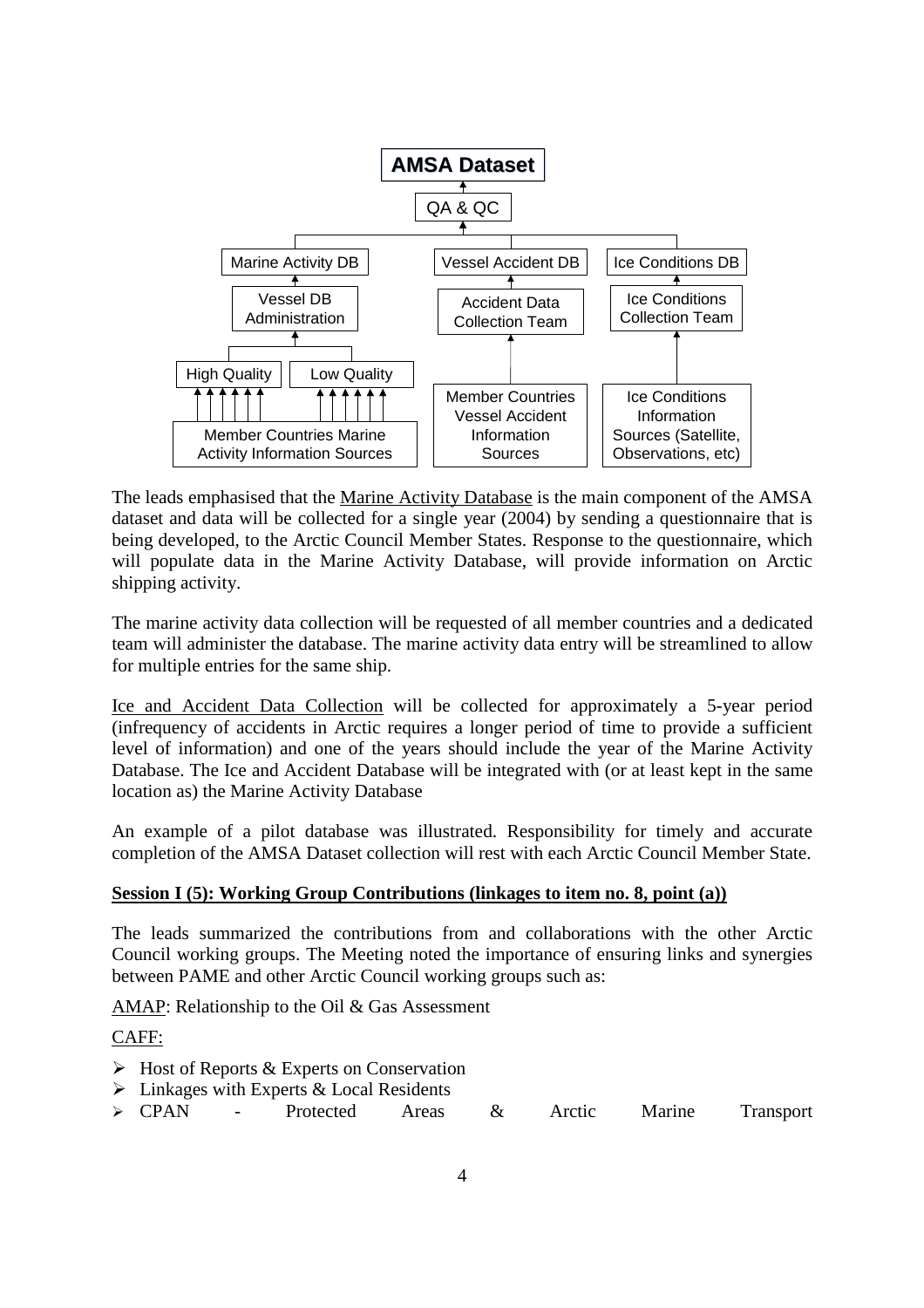

The leads emphasised that the Marine Activity Database is the main component of the AMSA dataset and data will be collected for a single year (2004) by sending a questionnaire that is being developed, to the Arctic Council Member States. Response to the questionnaire, which will populate data in the Marine Activity Database, will provide information on Arctic shipping activity.

The marine activity data collection will be requested of all member countries and a dedicated team will administer the database. The marine activity data entry will be streamlined to allow for multiple entries for the same ship.

Ice and Accident Data Collection will be collected for approximately a 5-year period (infrequency of accidents in Arctic requires a longer period of time to provide a sufficient level of information) and one of the years should include the year of the Marine Activity Database. The Ice and Accident Database will be integrated with (or at least kept in the same location as) the Marine Activity Database

An example of a pilot database was illustrated. Responsibility for timely and accurate completion of the AMSA Dataset collection will rest with each Arctic Council Member State.

#### **Session I (5): Working Group Contributions (linkages to item no. 8, point (a))**

The leads summarized the contributions from and collaborations with the other Arctic Council working groups. The Meeting noted the importance of ensuring links and synergies between PAME and other Arctic Council working groups such as:

AMAP: Relationship to the Oil & Gas Assessment

#### CAFF:

- $\triangleright$  Host of Reports & Experts on Conservation
- $\triangleright$  Linkages with Experts & Local Residents
- CPAN Protected Areas & Arctic Marine Transport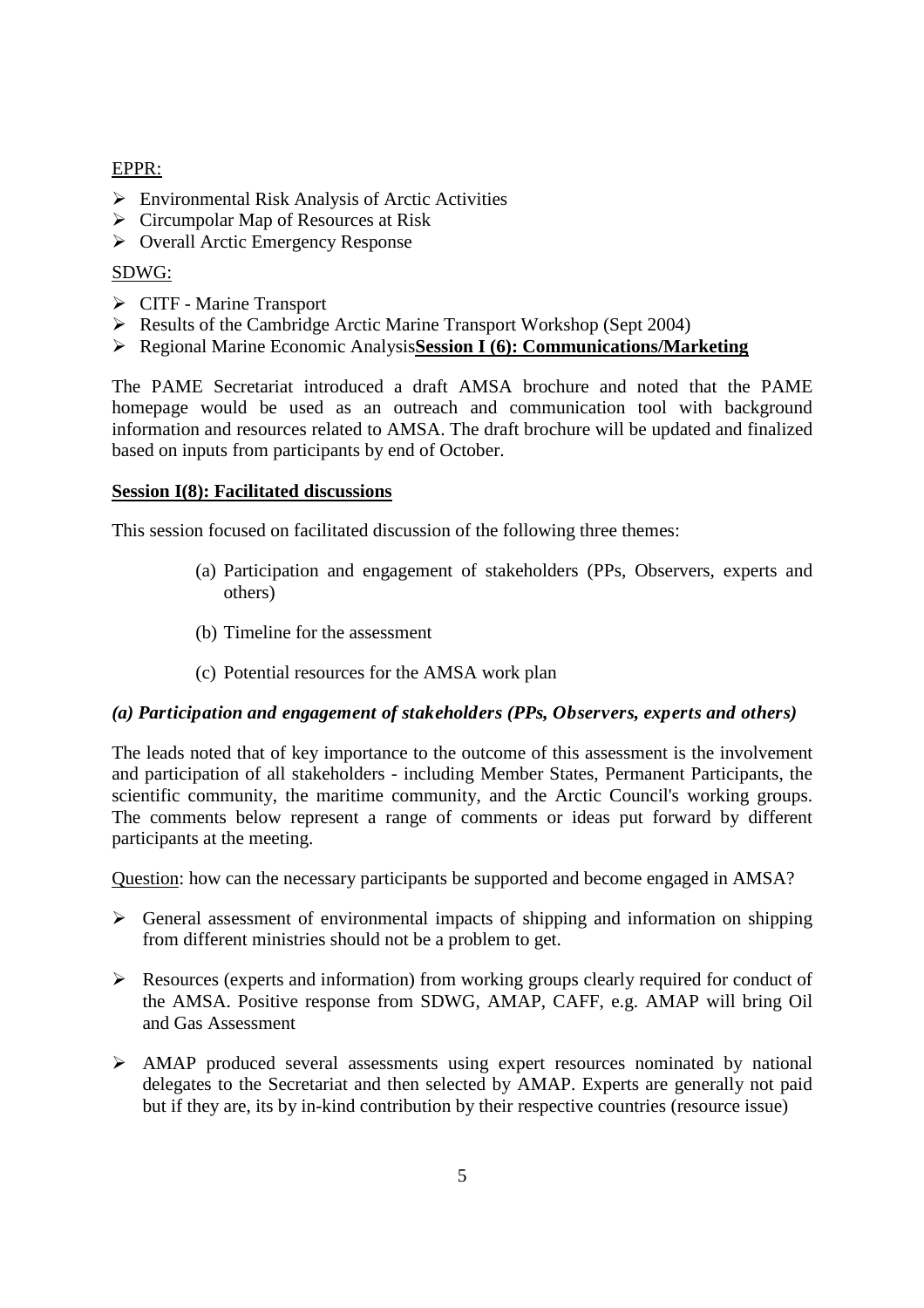#### EPPR:

- $\triangleright$  Environmental Risk Analysis of Arctic Activities
- $\triangleright$  Circumpolar Map of Resources at Risk
- $\triangleright$  Overall Arctic Emergency Response

#### SDWG:

- CITF Marine Transport
- $\triangleright$  Results of the Cambridge Arctic Marine Transport Workshop (Sept 2004)
- Regional Marine Economic Analysis**Session I (6): Communications/Marketing**

The PAME Secretariat introduced a draft AMSA brochure and noted that the PAME homepage would be used as an outreach and communication tool with background information and resources related to AMSA. The draft brochure will be updated and finalized based on inputs from participants by end of October.

#### **Session I(8): Facilitated discussions**

This session focused on facilitated discussion of the following three themes:

- (a) Participation and engagement of stakeholders (PPs, Observers, experts and others)
- (b) Timeline for the assessment
- (c) Potential resources for the AMSA work plan

#### *(a) Participation and engagement of stakeholders (PPs, Observers, experts and others)*

The leads noted that of key importance to the outcome of this assessment is the involvement and participation of all stakeholders - including Member States, Permanent Participants, the scientific community, the maritime community, and the Arctic Council's working groups. The comments below represent a range of comments or ideas put forward by different participants at the meeting.

Question: how can the necessary participants be supported and become engaged in AMSA?

- $\triangleright$  General assessment of environmental impacts of shipping and information on shipping from different ministries should not be a problem to get.
- $\triangleright$  Resources (experts and information) from working groups clearly required for conduct of the AMSA. Positive response from SDWG, AMAP, CAFF, e.g. AMAP will bring Oil and Gas Assessment
- AMAP produced several assessments using expert resources nominated by national delegates to the Secretariat and then selected by AMAP. Experts are generally not paid but if they are, its by in-kind contribution by their respective countries (resource issue)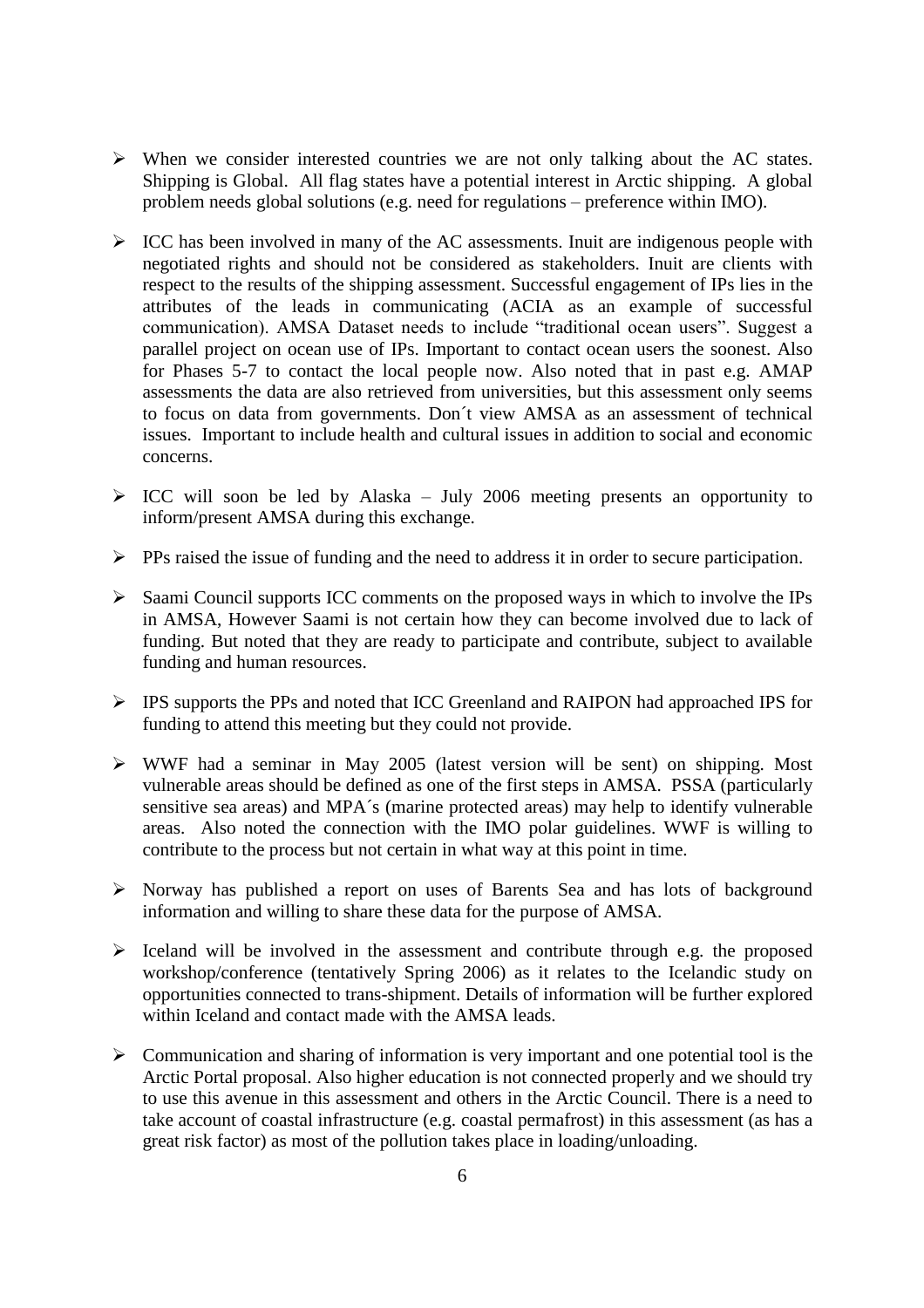- $\triangleright$  When we consider interested countries we are not only talking about the AC states. Shipping is Global. All flag states have a potential interest in Arctic shipping. A global problem needs global solutions (e.g. need for regulations  $-$  preference within IMO).
- $\triangleright$  ICC has been involved in many of the AC assessments. Inuit are indigenous people with negotiated rights and should not be considered as stakeholders. Inuit are clients with respect to the results of the shipping assessment. Successful engagement of IPs lies in the attributes of the leads in communicating (ACIA as an example of successful communication). AMSA Dataset needs to include "traditional ocean users". Suggest a parallel project on ocean use of IPs. Important to contact ocean users the soonest. Also for Phases 5-7 to contact the local people now. Also noted that in past e.g. AMAP assessments the data are also retrieved from universities, but this assessment only seems to focus on data from governments. Don´t view AMSA as an assessment of technical issues. Important to include health and cultural issues in addition to social and economic concerns.
- $\triangleright$  ICC will soon be led by Alaska July 2006 meeting presents an opportunity to inform/present AMSA during this exchange.
- $\triangleright$  PPs raised the issue of funding and the need to address it in order to secure participation.
- $\triangleright$  Saami Council supports ICC comments on the proposed ways in which to involve the IPs in AMSA, However Saami is not certain how they can become involved due to lack of funding. But noted that they are ready to participate and contribute, subject to available funding and human resources.
- IPS supports the PPs and noted that ICC Greenland and RAIPON had approached IPS for funding to attend this meeting but they could not provide.
- WWF had a seminar in May 2005 (latest version will be sent) on shipping. Most vulnerable areas should be defined as one of the first steps in AMSA. PSSA (particularly sensitive sea areas) and MPA´s (marine protected areas) may help to identify vulnerable areas. Also noted the connection with the IMO polar guidelines. WWF is willing to contribute to the process but not certain in what way at this point in time.
- Norway has published a report on uses of Barents Sea and has lots of background information and willing to share these data for the purpose of AMSA.
- $\triangleright$  Iceland will be involved in the assessment and contribute through e.g. the proposed workshop/conference (tentatively Spring 2006) as it relates to the Icelandic study on opportunities connected to trans-shipment. Details of information will be further explored within Iceland and contact made with the AMSA leads.
- $\triangleright$  Communication and sharing of information is very important and one potential tool is the Arctic Portal proposal. Also higher education is not connected properly and we should try to use this avenue in this assessment and others in the Arctic Council. There is a need to take account of coastal infrastructure (e.g. coastal permafrost) in this assessment (as has a great risk factor) as most of the pollution takes place in loading/unloading.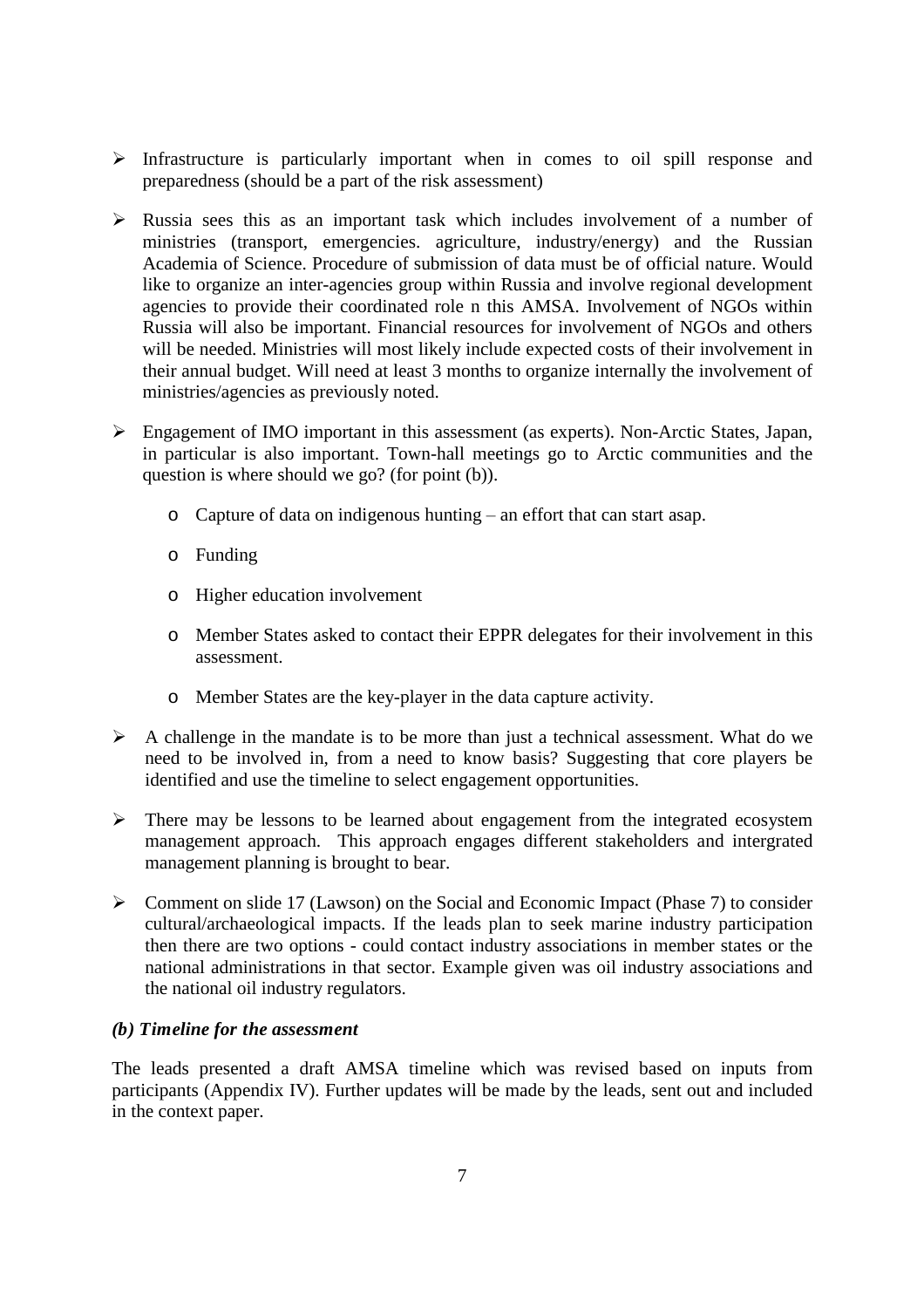- $\triangleright$  Infrastructure is particularly important when in comes to oil spill response and preparedness (should be a part of the risk assessment)
- $\triangleright$  Russia sees this as an important task which includes involvement of a number of ministries (transport, emergencies. agriculture, industry/energy) and the Russian Academia of Science. Procedure of submission of data must be of official nature. Would like to organize an inter-agencies group within Russia and involve regional development agencies to provide their coordinated role n this AMSA. Involvement of NGOs within Russia will also be important. Financial resources for involvement of NGOs and others will be needed. Ministries will most likely include expected costs of their involvement in their annual budget. Will need at least 3 months to organize internally the involvement of ministries/agencies as previously noted.
- Engagement of IMO important in this assessment (as experts). Non-Arctic States, Japan, in particular is also important. Town-hall meetings go to Arctic communities and the question is where should we go? (for point (b)).
	- o Capture of data on indigenous hunting –an effort that can start asap.
	- o Funding
	- o Higher education involvement
	- o Member States asked to contact their EPPR delegates for their involvement in this assessment.
	- o Member States are the key-player in the data capture activity.
- $\triangleright$  A challenge in the mandate is to be more than just a technical assessment. What do we need to be involved in, from a need to know basis? Suggesting that core players be identified and use the timeline to select engagement opportunities.
- $\triangleright$  There may be lessons to be learned about engagement from the integrated ecosystem management approach. This approach engages different stakeholders and intergrated management planning is brought to bear.
- $\triangleright$  Comment on slide 17 (Lawson) on the Social and Economic Impact (Phase 7) to consider cultural/archaeological impacts. If the leads plan to seek marine industry participation then there are two options - could contact industry associations in member states or the national administrations in that sector. Example given was oil industry associations and the national oil industry regulators.

#### *(b) Timeline for the assessment*

The leads presented a draft AMSA timeline which was revised based on inputs from participants (Appendix IV). Further updates will be made by the leads, sent out and included in the context paper.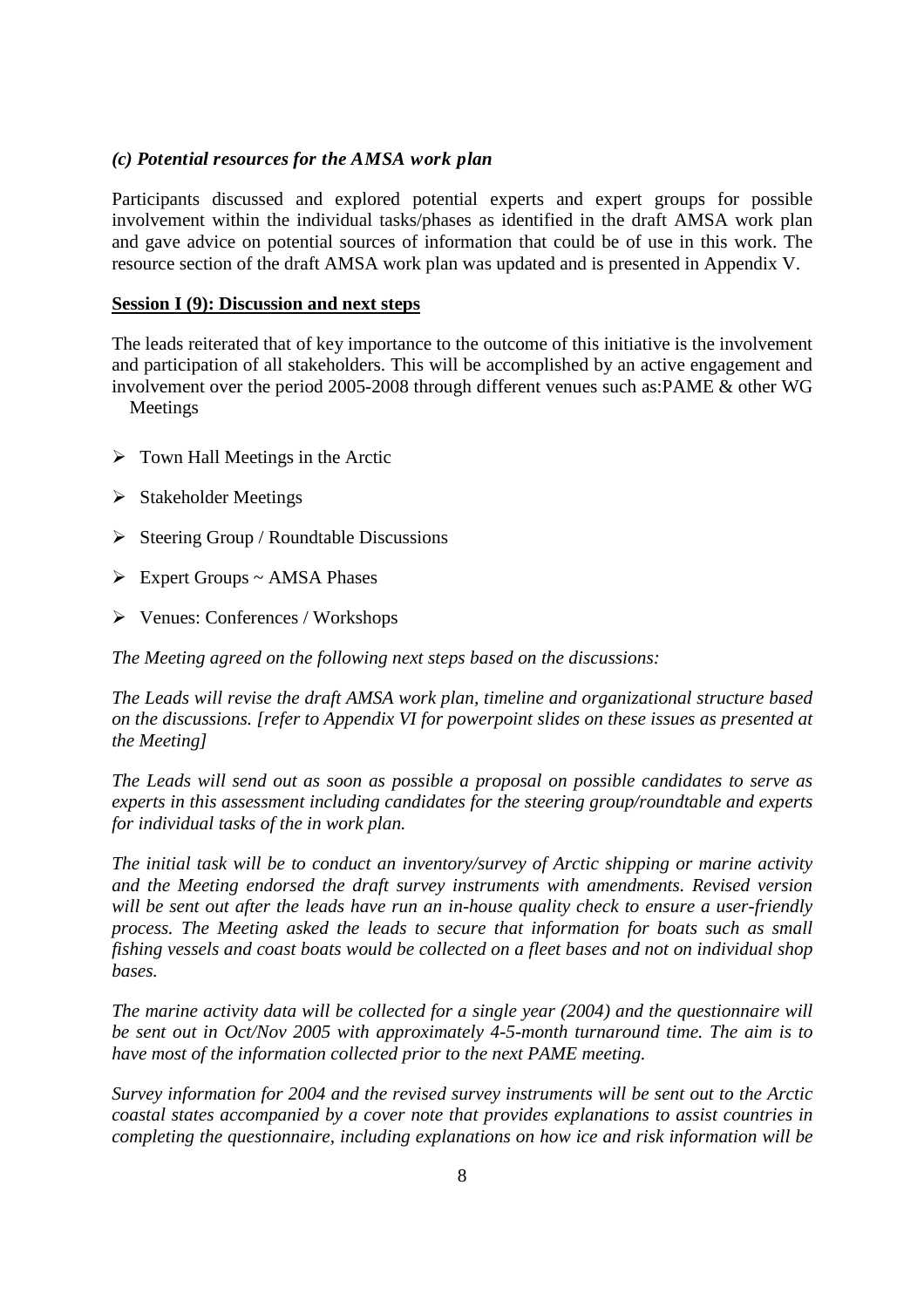#### *(c) Potential resources for the AMSA work plan*

Participants discussed and explored potential experts and expert groups for possible involvement within the individual tasks/phases as identified in the draft AMSA work plan and gave advice on potential sources of information that could be of use in this work. The resource section of the draft AMSA work plan was updated and is presented in Appendix V.

#### **Session I (9): Discussion and next steps**

The leads reiterated that of key importance to the outcome of this initiative is the involvement and participation of all stakeholders. This will be accomplished by an active engagement and involvement over the period 2005-2008 through different venues such as:PAME & other WG

Meetings

- $\triangleright$  Town Hall Meetings in the Arctic
- $\triangleright$  Stakeholder Meetings
- $\triangleright$  Steering Group / Roundtable Discussions
- $\triangleright$  Expert Groups ~ AMSA Phases
- Venues: Conferences / Workshops

*The Meeting agreed on the following next steps based on the discussions:*

*The Leads will revise the draft AMSA work plan, timeline and organizational structure based on the discussions. [refer to Appendix VI for powerpoint slides on these issues as presented at the Meeting]*

*The Leads will send out as soon as possible a proposal on possible candidates to serve as experts in this assessment including candidates for the steering group/roundtable and experts for individual tasks of the in work plan.*

*The initial task will be to conduct an inventory/survey of Arctic shipping or marine activity and the Meeting endorsed the draft survey instruments with amendments. Revised version will be sent out after the leads have run an in-house quality check to ensure a user-friendly process. The Meeting asked the leads to secure that information for boats such as small fishing vessels and coast boats would be collected on a fleet bases and not on individual shop bases.*

*The marine activity data will be collected for a single year (2004) and the questionnaire will be sent out in Oct/Nov 2005 with approximately 4-5-month turnaround time. The aim is to have most of the information collected prior to the next PAME meeting.*

*Survey information for 2004 and the revised survey instruments will be sent out to the Arctic coastal states accompanied by a cover note that provides explanations to assist countries in completing the questionnaire, including explanations on how ice and risk information will be*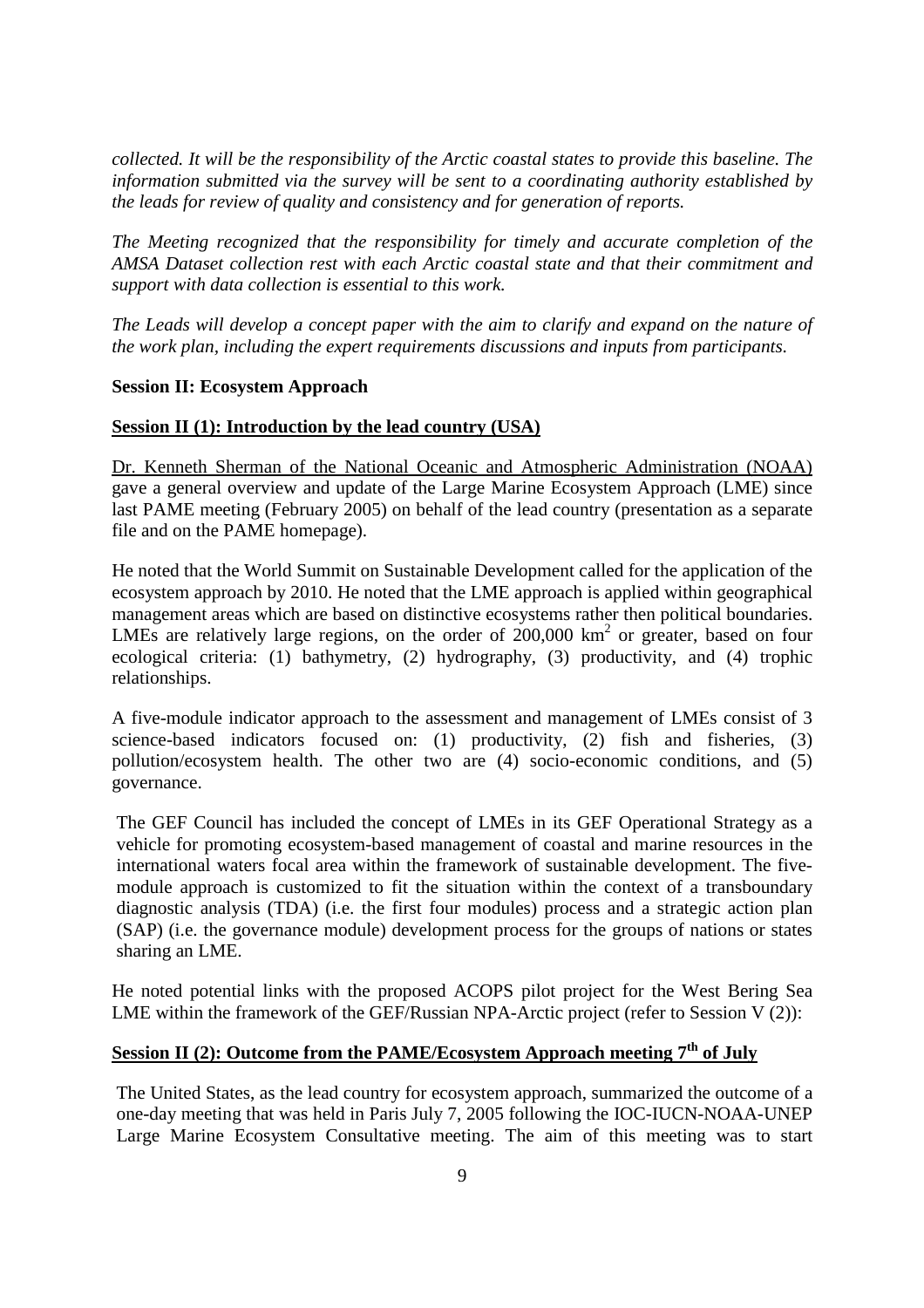*collected. It will be the responsibility of the Arctic coastal states to provide this baseline. The information submitted via the survey will be sent to a coordinating authority established by the leads for review of quality and consistency and for generation of reports.*

*The Meeting recognized that the responsibility for timely and accurate completion of the AMSA Dataset collection rest with each Arctic coastal state and that their commitment and support with data collection is essential to this work.*

*The Leads will develop a concept paper with the aim to clarify and expand on the nature of the work plan, including the expert requirements discussions and inputs from participants.*

#### **Session II: Ecosystem Approach**

#### **Session II (1): Introduction by the lead country (USA)**

Dr. Kenneth Sherman of the National Oceanic and Atmospheric Administration (NOAA) gave a general overview and update of the Large Marine Ecosystem Approach (LME) since last PAME meeting (February 2005) on behalf of the lead country (presentation as a separate file and on the PAME homepage).

He noted that the World Summit on Sustainable Development called for the application of the ecosystem approach by 2010. He noted that the LME approach is applied within geographical management areas which are based on distinctive ecosystems rather then political boundaries. LMEs are relatively large regions, on the order of  $200,000$  km<sup>2</sup> or greater, based on four ecological criteria: (1) bathymetry, (2) hydrography, (3) productivity, and (4) trophic relationships.

A five-module indicator approach to the assessment and management of LMEs consist of 3 science-based indicators focused on: (1) productivity, (2) fish and fisheries, (3) pollution/ecosystem health. The other two are (4) socio-economic conditions, and (5) governance.

The GEF Council has included the concept of LMEs in its GEF Operational Strategy as a vehicle for promoting ecosystem-based management of coastal and marine resources in the international waters focal area within the framework of sustainable development. The fivemodule approach is customized to fit the situation within the context of a transboundary diagnostic analysis (TDA) (i.e. the first four modules) process and a strategic action plan (SAP) (i.e. the governance module) development process for the groups of nations or states sharing an LME.

He noted potential links with the proposed ACOPS pilot project for the West Bering Sea LME within the framework of the GEF/Russian NPA-Arctic project (refer to Session V (2)):

# **Session II (2): Outcome from the PAME/Ecosystem Approach meeting 7th of July**

The United States, as the lead country for ecosystem approach, summarized the outcome of a one-day meeting that was held in Paris July 7, 2005 following the IOC-IUCN-NOAA-UNEP Large Marine Ecosystem Consultative meeting. The aim of this meeting was to start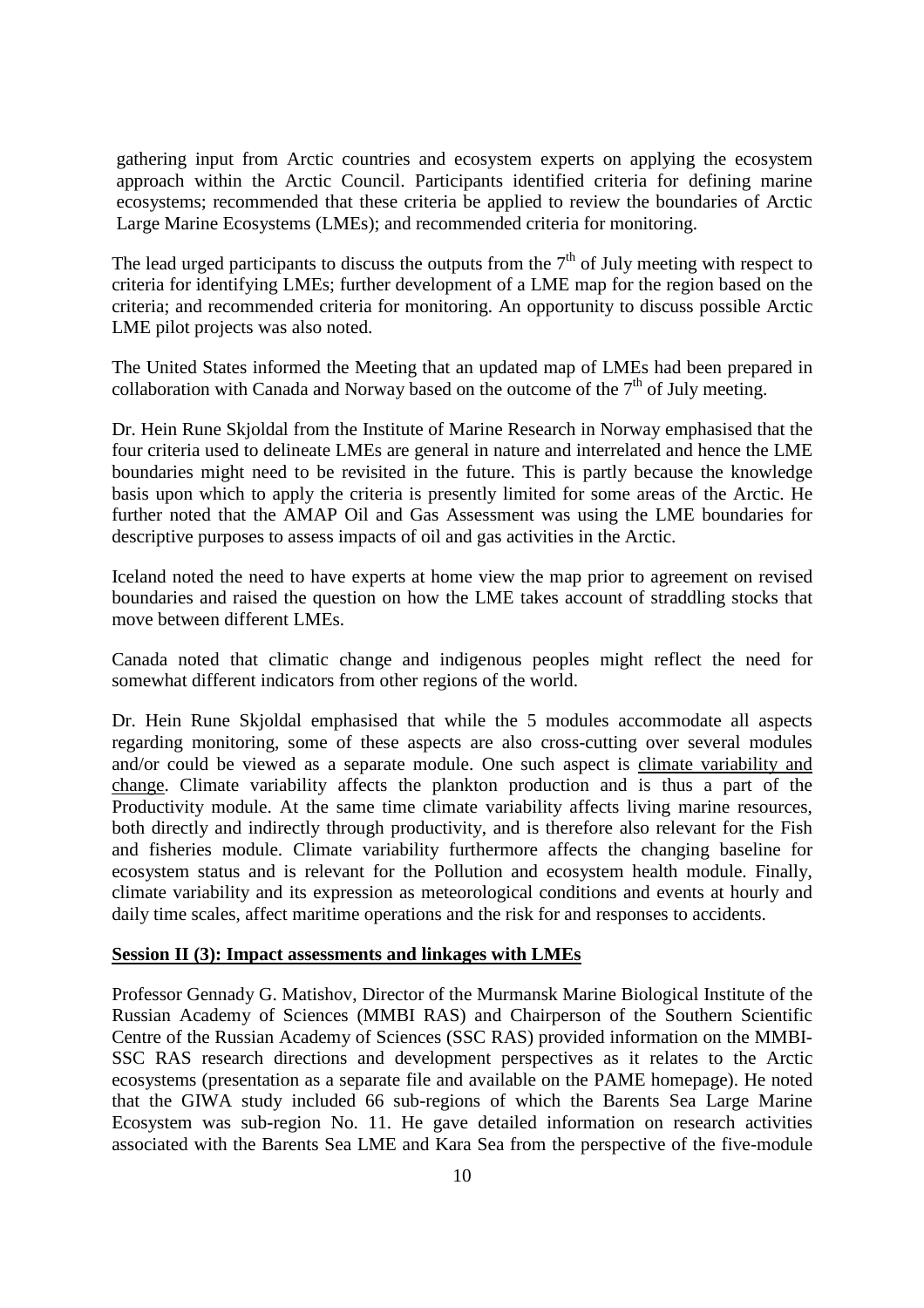gathering input from Arctic countries and ecosystem experts on applying the ecosystem approach within the Arctic Council. Participants identified criteria for defining marine ecosystems; recommended that these criteria be applied to review the boundaries of Arctic Large Marine Ecosystems (LMEs); and recommended criteria for monitoring.

The lead urged participants to discuss the outputs from the  $7<sup>th</sup>$  of July meeting with respect to criteria for identifying LMEs; further development of a LME map for the region based on the criteria; and recommended criteria for monitoring. An opportunity to discuss possible Arctic LME pilot projects was also noted.

The United States informed the Meeting that an updated map of LMEs had been prepared in collaboration with Canada and Norway based on the outcome of the  $7<sup>th</sup>$  of July meeting.

Dr. Hein Rune Skjoldal from the Institute of Marine Research in Norway emphasised that the four criteria used to delineate LMEs are general in nature and interrelated and hence the LME boundaries might need to be revisited in the future. This is partly because the knowledge basis upon which to apply the criteria is presently limited for some areas of the Arctic. He further noted that the AMAP Oil and Gas Assessment was using the LME boundaries for descriptive purposes to assess impacts of oil and gas activities in the Arctic.

Iceland noted the need to have experts at home view the map prior to agreement on revised boundaries and raised the question on how the LME takes account of straddling stocks that move between different LMEs.

Canada noted that climatic change and indigenous peoples might reflect the need for somewhat different indicators from other regions of the world.

Dr. Hein Rune Skjoldal emphasised that while the 5 modules accommodate all aspects regarding monitoring, some of these aspects are also cross-cutting over several modules and/or could be viewed as a separate module. One such aspect is climate variability and change. Climate variability affects the plankton production and is thus a part of the Productivity module. At the same time climate variability affects living marine resources, both directly and indirectly through productivity, and is therefore also relevant for the Fish and fisheries module. Climate variability furthermore affects the changing baseline for ecosystem status and is relevant for the Pollution and ecosystem health module. Finally, climate variability and its expression as meteorological conditions and events at hourly and daily time scales, affect maritime operations and the risk for and responses to accidents.

#### **Session II (3): Impact assessments and linkages with LMEs**

Professor Gennady G. Matishov, Director of the Murmansk Marine Biological Institute of the Russian Academy of Sciences (MMBI RAS) and Chairperson of the Southern Scientific Centre of the Russian Academy of Sciences (SSC RAS) provided information on the MMBI-SSC RAS research directions and development perspectives as it relates to the Arctic ecosystems (presentation as a separate file and available on the PAME homepage). He noted that the GIWA study included 66 sub-regions of which the Barents Sea Large Marine Ecosystem was sub-region No. 11. He gave detailed information on research activities associated with the Barents Sea LME and Kara Sea from the perspective of the five-module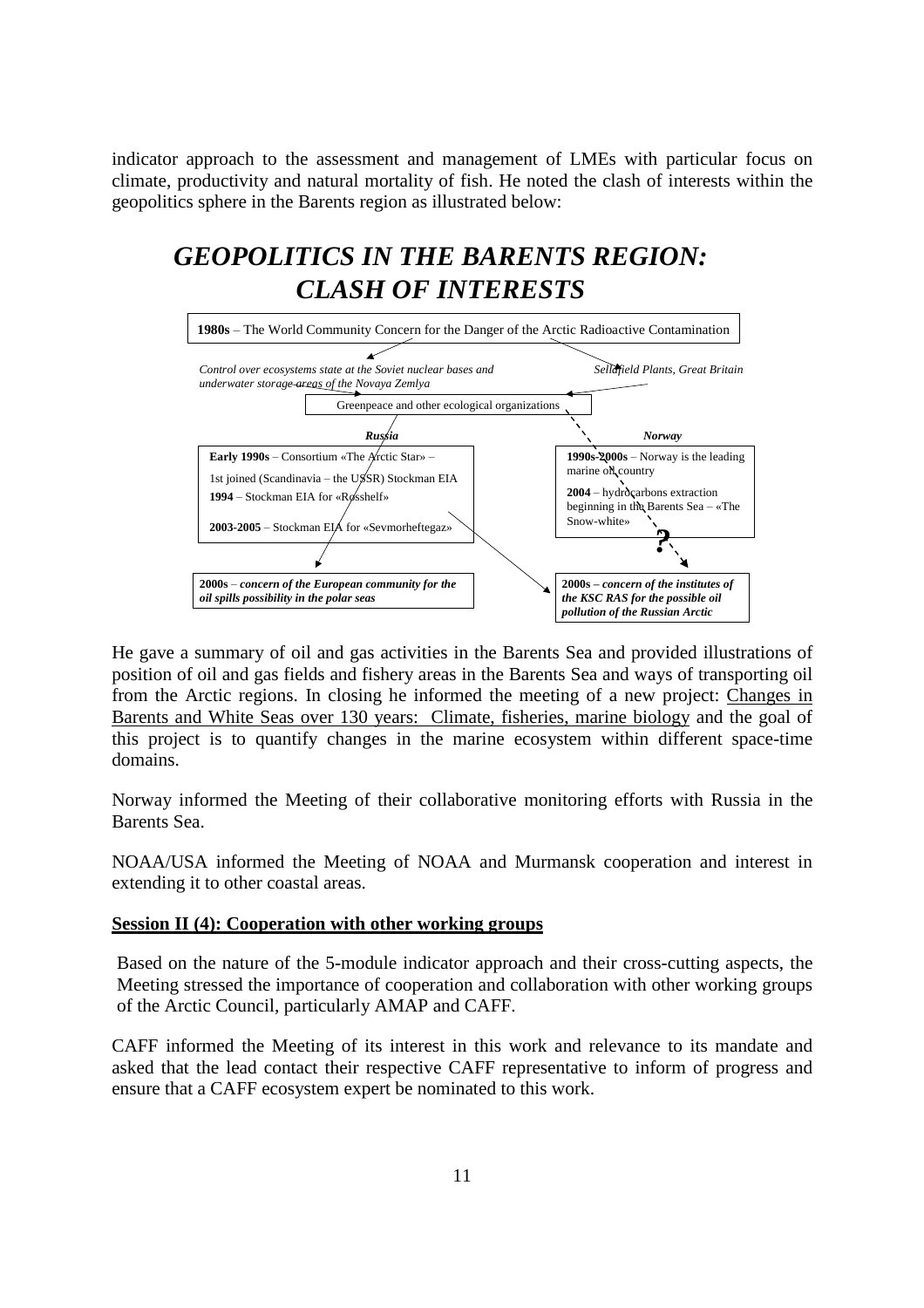indicator approach to the assessment and management of LMEs with particular focus on climate, productivity and natural mortality of fish. He noted the clash of interests within the geopolitics sphere in the Barents region as illustrated below:

# *GEOPOLITICS IN THE BARENTS REGION: CLASH OF INTERESTS*



He gave a summary of oil and gas activities in the Barents Sea and provided illustrations of position of oil and gas fields and fishery areas in the Barents Sea and ways of transporting oil from the Arctic regions. In closing he informed the meeting of a new project: Changes in Barents and White Seas over 130 years: Climate, fisheries, marine biology and the goal of this project is to quantify changes in the marine ecosystem within different space-time domains.

Norway informed the Meeting of their collaborative monitoring efforts with Russia in the Barents Sea.

NOAA/USA informed the Meeting of NOAA and Murmansk cooperation and interest in extending it to other coastal areas.

#### **Session II (4): Cooperation with other working groups**

Based on the nature of the 5-module indicator approach and their cross-cutting aspects, the Meeting stressed the importance of cooperation and collaboration with other working groups of the Arctic Council, particularly AMAP and CAFF.

CAFF informed the Meeting of its interest in this work and relevance to its mandate and asked that the lead contact their respective CAFF representative to inform of progress and ensure that a CAFF ecosystem expert be nominated to this work.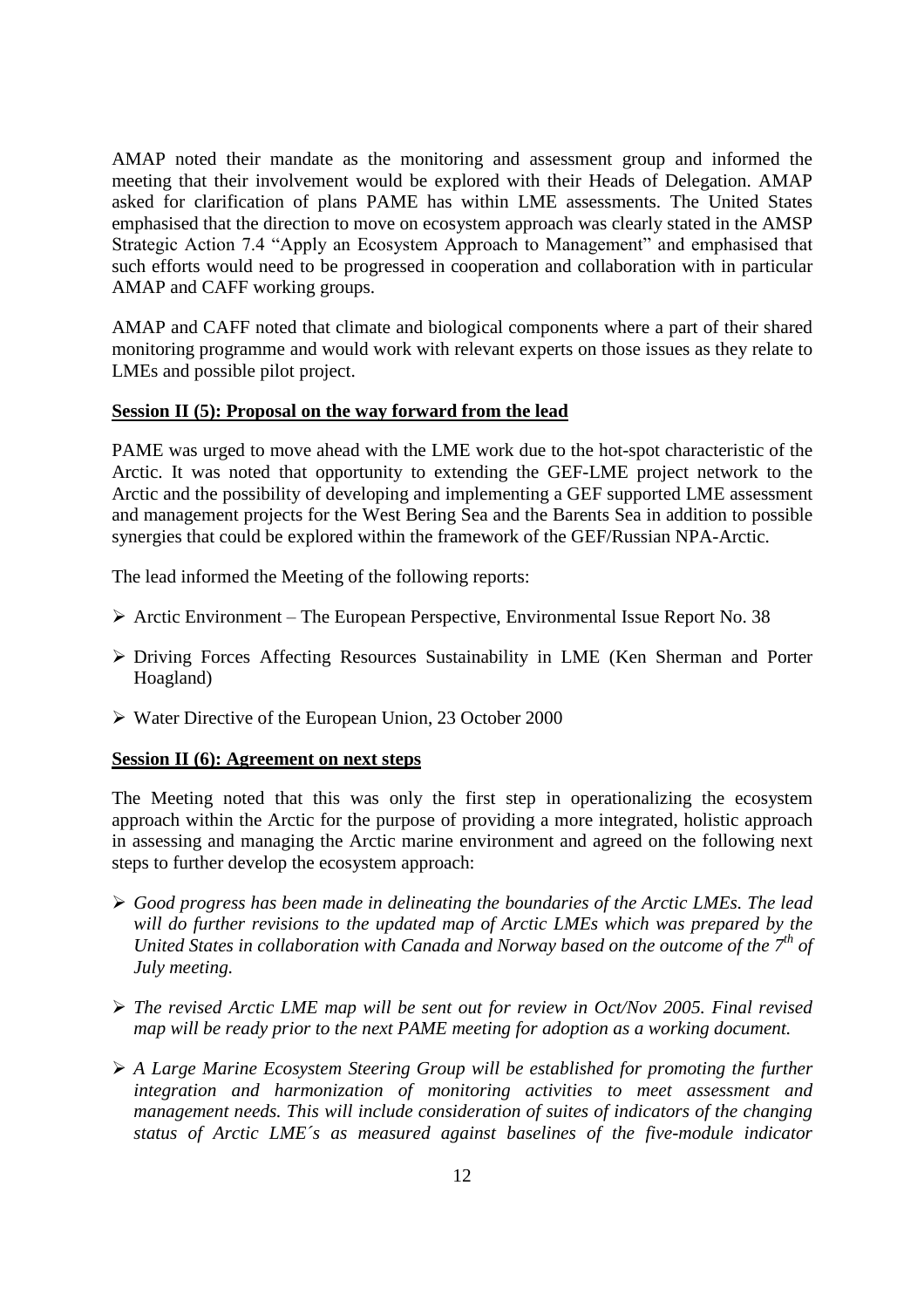AMAP noted their mandate as the monitoring and assessment group and informed the meeting that their involvement would be explored with their Heads of Delegation. AMAP asked for clarification of plans PAME has within LME assessments. The United States emphasised that the direction to move on ecosystem approach was clearly stated in the AMSP Strategic Action 7.4 "Apply an Ecosystem Approach to Management" and emphasised that such efforts would need to be progressed in cooperation and collaboration with in particular AMAP and CAFF working groups.

AMAP and CAFF noted that climate and biological components where a part of their shared monitoring programme and would work with relevant experts on those issues as they relate to LMEs and possible pilot project.

#### **Session II (5): Proposal on the way forward from the lead**

PAME was urged to move ahead with the LME work due to the hot-spot characteristic of the Arctic. It was noted that opportunity to extending the GEF-LME project network to the Arctic and the possibility of developing and implementing a GEF supported LME assessment and management projects for the West Bering Sea and the Barents Sea in addition to possible synergies that could be explored within the framework of the GEF/Russian NPA-Arctic.

The lead informed the Meeting of the following reports:

- $\triangleright$  Arctic Environment The European Perspective, Environmental Issue Report No. 38
- Driving Forces Affecting Resources Sustainability in LME (Ken Sherman and Porter Hoagland)
- Water Directive of the European Union, 23 October 2000

#### **Session II (6): Agreement on next steps**

The Meeting noted that this was only the first step in operationalizing the ecosystem approach within the Arctic for the purpose of providing a more integrated, holistic approach in assessing and managing the Arctic marine environment and agreed on the following next steps to further develop the ecosystem approach:

- *Good progress has been made in delineating the boundaries of the Arctic LMEs. The lead will do further revisions to the updated map of Arctic LMEs which was prepared by the United States in collaboration with Canada and Norway based on the outcome of the 7th of July meeting.*
- *The revised Arctic LME map will be sent out for review in Oct/Nov 2005. Final revised map will be ready prior to the next PAME meeting for adoption as a working document.*
- *A Large Marine Ecosystem Steering Group will be established for promoting the further integration and harmonization of monitoring activities to meet assessment and management needs. This will include consideration of suites of indicators of the changing status of Arctic LME´s as measured against baselines of the five-module indicator*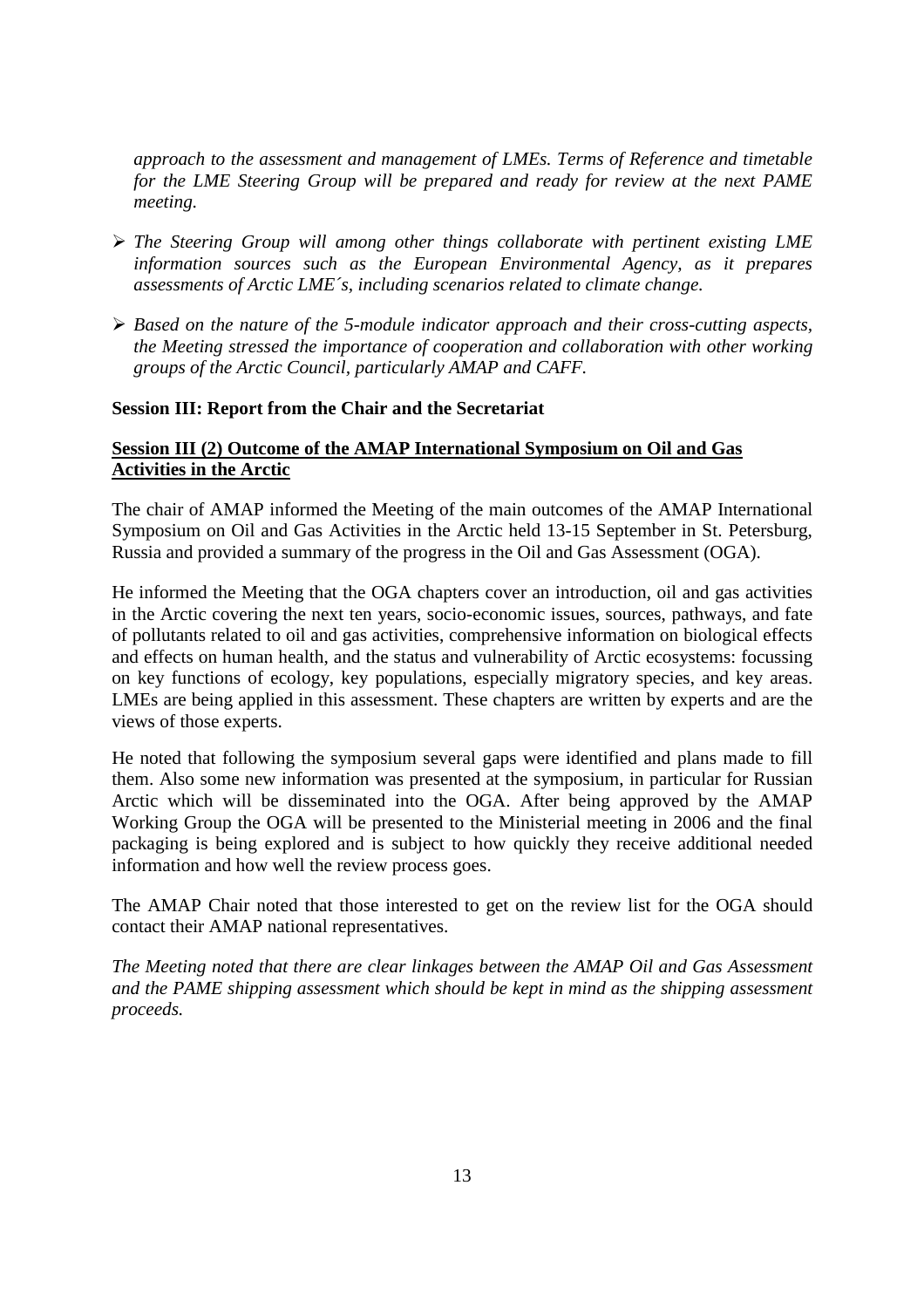*approach to the assessment and management of LMEs. Terms of Reference and timetable for the LME Steering Group will be prepared and ready for review at the next PAME meeting.*

- *The Steering Group will among other things collaborate with pertinent existing LME information sources such as the European Environmental Agency, as it prepares assessments of Arctic LME´s, including scenarios related to climate change.*
- *Based on the nature of the 5-module indicator approach and their cross-cutting aspects, the Meeting stressed the importance of cooperation and collaboration with other working groups of the Arctic Council, particularly AMAP and CAFF.*

#### **Session III: Report from the Chair and the Secretariat**

#### **Session III (2) Outcome of the AMAP International Symposium on Oil and Gas Activities in the Arctic**

The chair of AMAP informed the Meeting of the main outcomes of the AMAP International Symposium on Oil and Gas Activities in the Arctic held 13-15 September in St. Petersburg, Russia and provided a summary of the progress in the Oil and Gas Assessment (OGA).

He informed the Meeting that the OGA chapters cover an introduction, oil and gas activities in the Arctic covering the next ten years, socio-economic issues, sources, pathways, and fate of pollutants related to oil and gas activities, comprehensive information on biological effects and effects on human health, and the status and vulnerability of Arctic ecosystems: focussing on key functions of ecology, key populations, especially migratory species, and key areas. LMEs are being applied in this assessment. These chapters are written by experts and are the views of those experts.

He noted that following the symposium several gaps were identified and plans made to fill them. Also some new information was presented at the symposium, in particular for Russian Arctic which will be disseminated into the OGA. After being approved by the AMAP Working Group the OGA will be presented to the Ministerial meeting in 2006 and the final packaging is being explored and is subject to how quickly they receive additional needed information and how well the review process goes.

The AMAP Chair noted that those interested to get on the review list for the OGA should contact their AMAP national representatives.

*The Meeting noted that there are clear linkages between the AMAP Oil and Gas Assessment and the PAME shipping assessment which should be kept in mind as the shipping assessment proceeds.*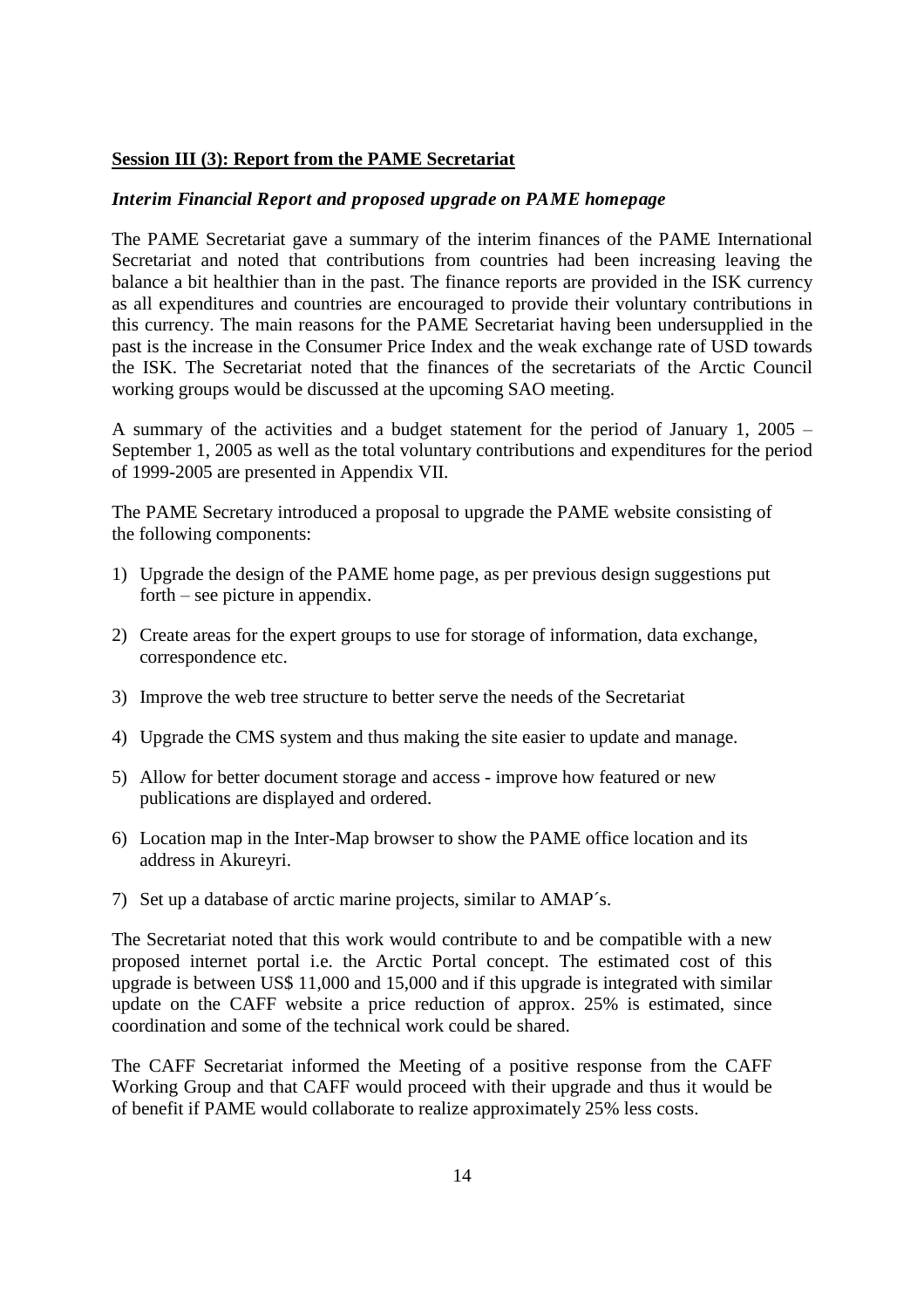#### **Session III (3): Report from the PAME Secretariat**

#### *Interim Financial Report and proposed upgrade on PAME homepage*

The PAME Secretariat gave a summary of the interim finances of the PAME International Secretariat and noted that contributions from countries had been increasing leaving the balance a bit healthier than in the past. The finance reports are provided in the ISK currency as all expenditures and countries are encouraged to provide their voluntary contributions in this currency. The main reasons for the PAME Secretariat having been undersupplied in the past is the increase in the Consumer Price Index and the weak exchange rate of USD towards the ISK. The Secretariat noted that the finances of the secretariats of the Arctic Council working groups would be discussed at the upcoming SAO meeting.

A summary of the activities and a budget statement for the period of January 1, 2005 – September 1, 2005 as well as the total voluntary contributions and expenditures for the period of 1999-2005 are presented in Appendix VII.

The PAME Secretary introduced a proposal to upgrade the PAME website consisting of the following components:

- 1) Upgrade the design of the PAME home page, as per previous design suggestions put  $forth - see picture in appendix.$
- 2) Create areas for the expert groups to use for storage of information, data exchange, correspondence etc.
- 3) Improve the web tree structure to better serve the needs of the Secretariat
- 4) Upgrade the CMS system and thus making the site easier to update and manage.
- 5) Allow for better document storage and access improve how featured or new publications are displayed and ordered.
- 6) Location map in the Inter-Map browser to show the PAME office location and its address in Akureyri.
- 7) Set up a database of arctic marine projects, similar to AMAP´s.

The Secretariat noted that this work would contribute to and be compatible with a new proposed internet portal i.e. the Arctic Portal concept. The estimated cost of this upgrade is between US\$ 11,000 and 15,000 and if this upgrade is integrated with similar update on the CAFF website a price reduction of approx. 25% is estimated, since coordination and some of the technical work could be shared.

The CAFF Secretariat informed the Meeting of a positive response from the CAFF Working Group and that CAFF would proceed with their upgrade and thus it would be of benefit if PAME would collaborate to realize approximately 25% less costs.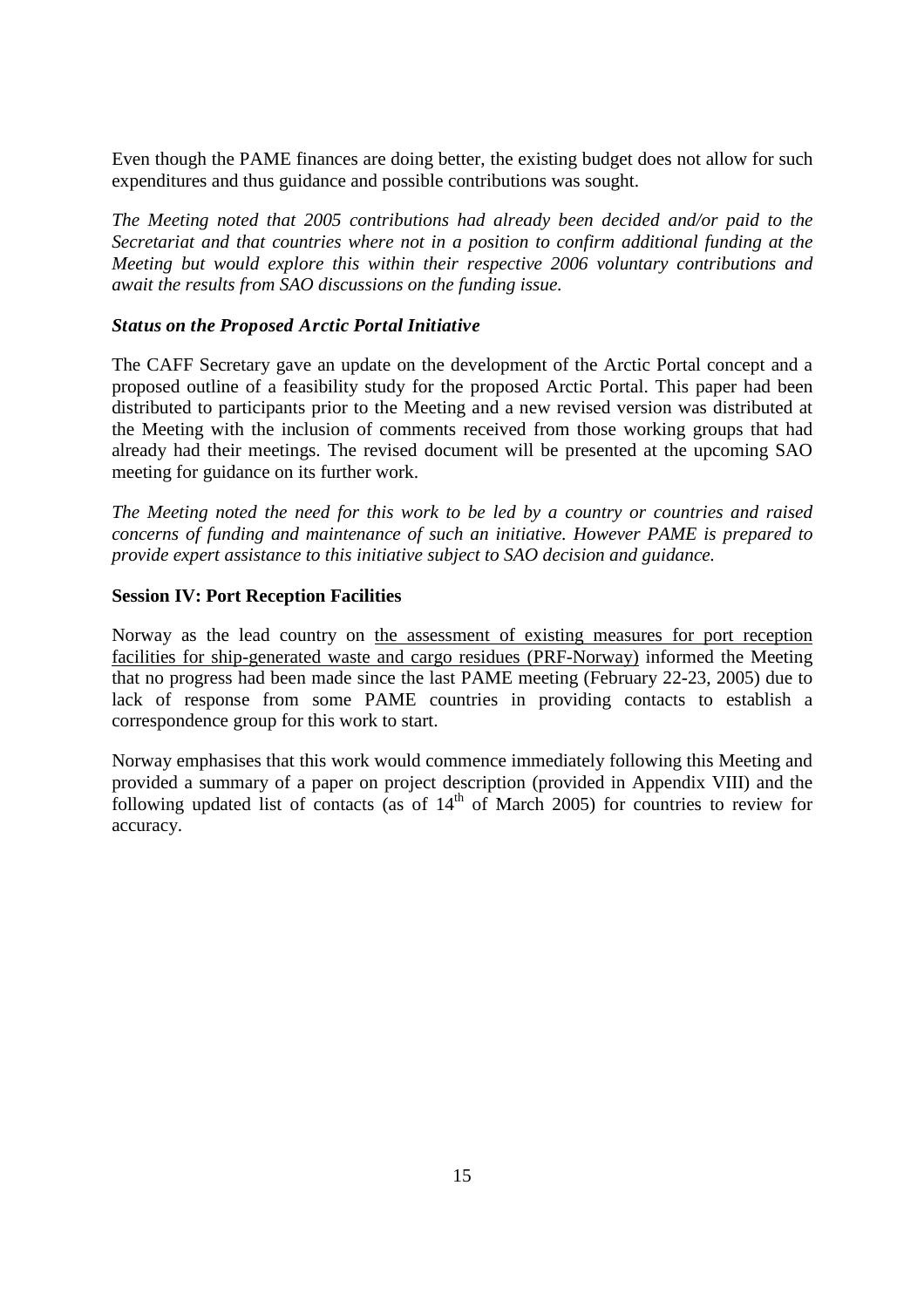Even though the PAME finances are doing better, the existing budget does not allow for such expenditures and thus guidance and possible contributions was sought.

*The Meeting noted that 2005 contributions had already been decided and/or paid to the Secretariat and that countries where not in a position to confirm additional funding at the Meeting but would explore this within their respective 2006 voluntary contributions and await the results from SAO discussions on the funding issue.*

#### *Status on the Proposed Arctic Portal Initiative*

The CAFF Secretary gave an update on the development of the Arctic Portal concept and a proposed outline of a feasibility study for the proposed Arctic Portal. This paper had been distributed to participants prior to the Meeting and a new revised version was distributed at the Meeting with the inclusion of comments received from those working groups that had already had their meetings. The revised document will be presented at the upcoming SAO meeting for guidance on its further work.

*The Meeting noted the need for this work to be led by a country or countries and raised concerns of funding and maintenance of such an initiative. However PAME is prepared to provide expert assistance to this initiative subject to SAO decision and guidance.*

#### **Session IV: Port Reception Facilities**

Norway as the lead country on the assessment of existing measures for port reception facilities for ship-generated waste and cargo residues (PRF-Norway) informed the Meeting that no progress had been made since the last PAME meeting (February 22-23, 2005) due to lack of response from some PAME countries in providing contacts to establish a correspondence group for this work to start.

Norway emphasises that this work would commence immediately following this Meeting and provided a summary of a paper on project description (provided in Appendix VIII) and the following updated list of contacts (as of  $14<sup>th</sup>$  of March 2005) for countries to review for accuracy.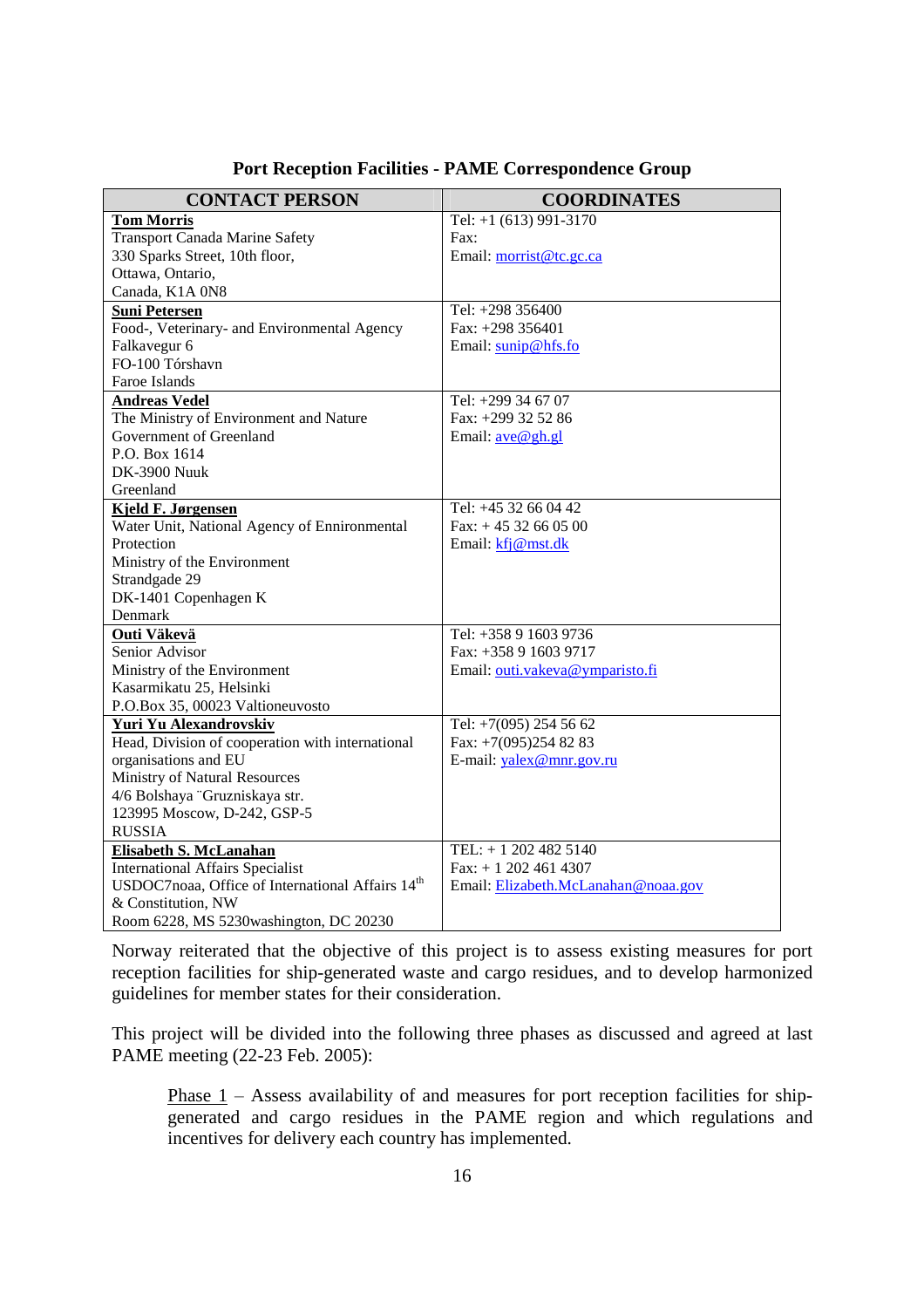| <b>CONTACT PERSON</b>                                                              | <b>COORDINATES</b>                  |
|------------------------------------------------------------------------------------|-------------------------------------|
| <b>Tom Morris</b>                                                                  | Tel: $+1$ (613) 991-3170            |
| <b>Transport Canada Marine Safety</b>                                              | Fax:                                |
| 330 Sparks Street, 10th floor,                                                     | Email: morrist@tc.gc.ca             |
| Ottawa, Ontario,                                                                   |                                     |
| Canada, K1A 0N8                                                                    |                                     |
| <b>Suni Petersen</b>                                                               | Tel: +298 356400                    |
| Food-, Veterinary- and Environmental Agency                                        | Fax: +298 356401                    |
| Falkavegur 6                                                                       | Email: sunip@hfs.fo                 |
| FO-100 Tórshavn                                                                    |                                     |
| Faroe Islands                                                                      |                                     |
| <b>Andreas Vedel</b>                                                               | Tel: +299 34 67 07                  |
| The Ministry of Environment and Nature                                             | Fax: +299 32 52 86                  |
| Government of Greenland                                                            | Email: <u>ave@gh.gl</u>             |
| P.O. Box 1614                                                                      |                                     |
| <b>DK-3900 Nuuk</b>                                                                |                                     |
| Greenland                                                                          |                                     |
| <b>Kjeld F. Jørgensen</b>                                                          | Tel: +45 32 66 04 42                |
| Water Unit, National Agency of Ennironmental                                       | Fax: $+4532660500$                  |
| Protection                                                                         | Email: kfj@mst.dk                   |
| Ministry of the Environment                                                        |                                     |
| Strandgade 29                                                                      |                                     |
| DK-1401 Copenhagen K                                                               |                                     |
| Denmark                                                                            |                                     |
| Outi Väkevä                                                                        | Tel: +358 9 1603 9736               |
| Senior Advisor                                                                     | Fax: +358 9 1603 9717               |
| Ministry of the Environment                                                        | Email: outi.vakeva@ymparisto.fi     |
| Kasarmikatu 25, Helsinki                                                           |                                     |
| P.O.Box 35, 00023 Valtioneuvosto                                                   |                                     |
| Yuri Yu Alexandrovskiv                                                             | Tel: $+7(095)$ 254 56 62            |
| Head, Division of cooperation with international                                   | Fax: +7(095)254 82 83               |
| organisations and EU                                                               | E-mail: yalex@mnr.gov.ru            |
| Ministry of Natural Resources                                                      |                                     |
| 4/6 Bolshaya "Gruzniskaya str.                                                     |                                     |
| 123995 Moscow, D-242, GSP-5                                                        |                                     |
| <b>RUSSIA</b>                                                                      |                                     |
| Elisabeth S. McLanahan                                                             | TEL: +1 202 482 5140                |
| <b>International Affairs Specialist</b>                                            | Fax: $+ 12024614307$                |
| USDOC7noaa, Office of International Affairs 14 <sup>th</sup><br>& Constitution, NW | Email: Elizabeth.McLanahan@noaa.gov |
| Room 6228, MS 5230washington, DC 20230                                             |                                     |

**Port Reception Facilities - PAME Correspondence Group**

Norway reiterated that the objective of this project is to assess existing measures for port reception facilities for ship-generated waste and cargo residues, and to develop harmonized guidelines for member states for their consideration.

This project will be divided into the following three phases as discussed and agreed at last PAME meeting (22-23 Feb. 2005):

Phase 1 – Assess availability of and measures for port reception facilities for shipgenerated and cargo residues in the PAME region and which regulations and incentives for delivery each country has implemented.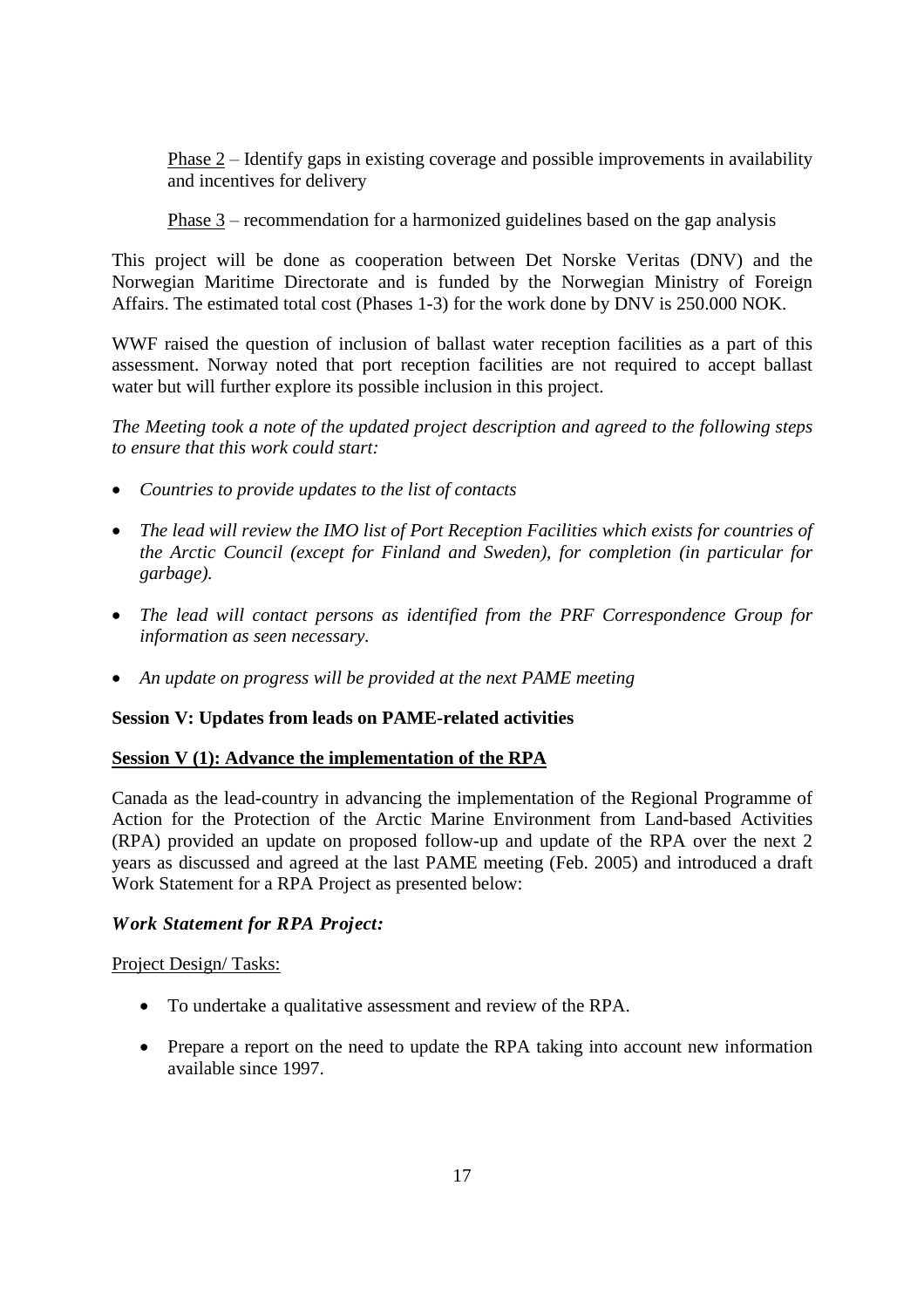Phase  $2$  – Identify gaps in existing coverage and possible improvements in availability and incentives for delivery

Phase  $3$  – recommendation for a harmonized guidelines based on the gap analysis

This project will be done as cooperation between Det Norske Veritas (DNV) and the Norwegian Maritime Directorate and is funded by the Norwegian Ministry of Foreign Affairs. The estimated total cost (Phases 1-3) for the work done by DNV is 250.000 NOK.

WWF raised the question of inclusion of ballast water reception facilities as a part of this assessment. Norway noted that port reception facilities are not required to accept ballast water but will further explore its possible inclusion in this project.

*The Meeting took a note of the updated project description and agreed to the following steps to ensure that this work could start:*

- *Countries to provide updates to the list of contacts*
- *The lead will review the IMO list of Port Reception Facilities which exists for countries of the Arctic Council (except for Finland and Sweden), for completion (in particular for garbage).*
- *The lead will contact persons as identified from the PRF Correspondence Group for information as seen necessary.*
- *An update on progress will be provided at the next PAME meeting*

#### **Session V: Updates from leads on PAME-related activities**

#### **Session V (1): Advance the implementation of the RPA**

Canada as the lead-country in advancing the implementation of the Regional Programme of Action for the Protection of the Arctic Marine Environment from Land-based Activities (RPA) provided an update on proposed follow-up and update of the RPA over the next 2 years as discussed and agreed at the last PAME meeting (Feb. 2005) and introduced a draft Work Statement for a RPA Project as presented below:

#### *Work Statement for RPA Project:*

#### Project Design/ Tasks:

- To undertake a qualitative assessment and review of the RPA.
- Prepare a report on the need to update the RPA taking into account new information available since 1997.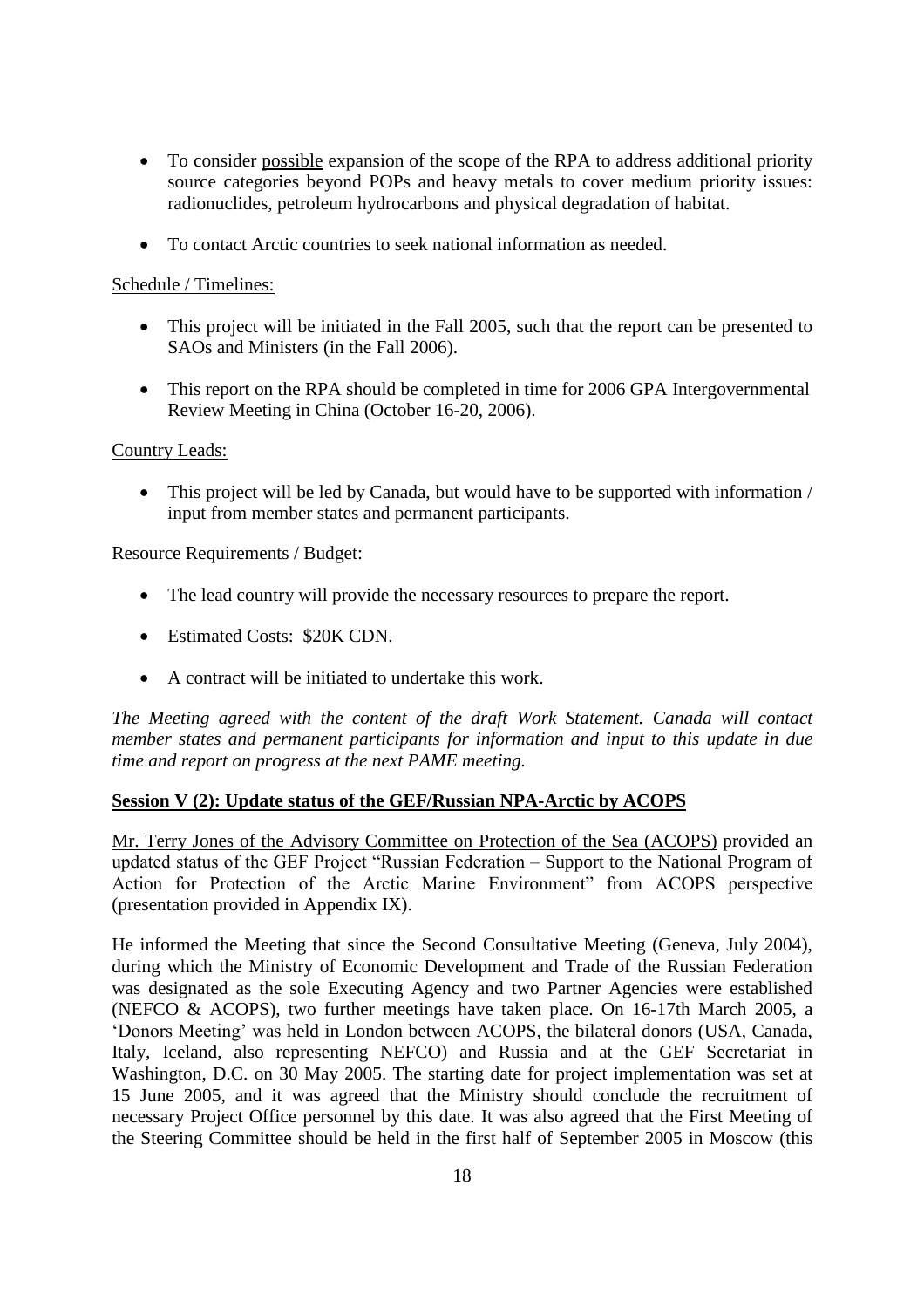- To consider possible expansion of the scope of the RPA to address additional priority source categories beyond POPs and heavy metals to cover medium priority issues: radionuclides, petroleum hydrocarbons and physical degradation of habitat.
- To contact Arctic countries to seek national information as needed.

#### Schedule / Timelines:

- This project will be initiated in the Fall 2005, such that the report can be presented to SAOs and Ministers (in the Fall 2006).
- This report on the RPA should be completed in time for 2006 GPA Intergovernmental Review Meeting in China (October 16-20, 2006).

#### Country Leads:

• This project will be led by Canada, but would have to be supported with information / input from member states and permanent participants.

#### Resource Requirements / Budget:

- The lead country will provide the necessary resources to prepare the report.
- Estimated Costs: \$20K CDN.
- A contract will be initiated to undertake this work.

*The Meeting agreed with the content of the draft Work Statement. Canada will contact member states and permanent participants for information and input to this update in due time and report on progress at the next PAME meeting.*

#### **Session V (2): Update status of the GEF/Russian NPA-Arctic by ACOPS**

Mr. Terry Jones of the Advisory Committee on Protection of the Sea (ACOPS) provided an updated status of the GEF Project "Russian Federation – Support to the National Program of Action for Protection of the Arctic Marine Environment" from ACOPS perspective (presentation provided in Appendix IX).

He informed the Meeting that since the Second Consultative Meeting (Geneva, July 2004), during which the Ministry of Economic Development and Trade of the Russian Federation was designated as the sole Executing Agency and two Partner Agencies were established (NEFCO & ACOPS), two further meetings have taken place. On 16-17th March 2005, a 'Donors Meeting' was held in London between ACOPS, the bilateral donors (USA, Canada, Italy, Iceland, also representing NEFCO) and Russia and at the GEF Secretariat in Washington, D.C. on 30 May 2005. The starting date for project implementation was set at 15 June 2005, and it was agreed that the Ministry should conclude the recruitment of necessary Project Office personnel by this date. It was also agreed that the First Meeting of the Steering Committee should be held in the first half of September 2005 in Moscow (this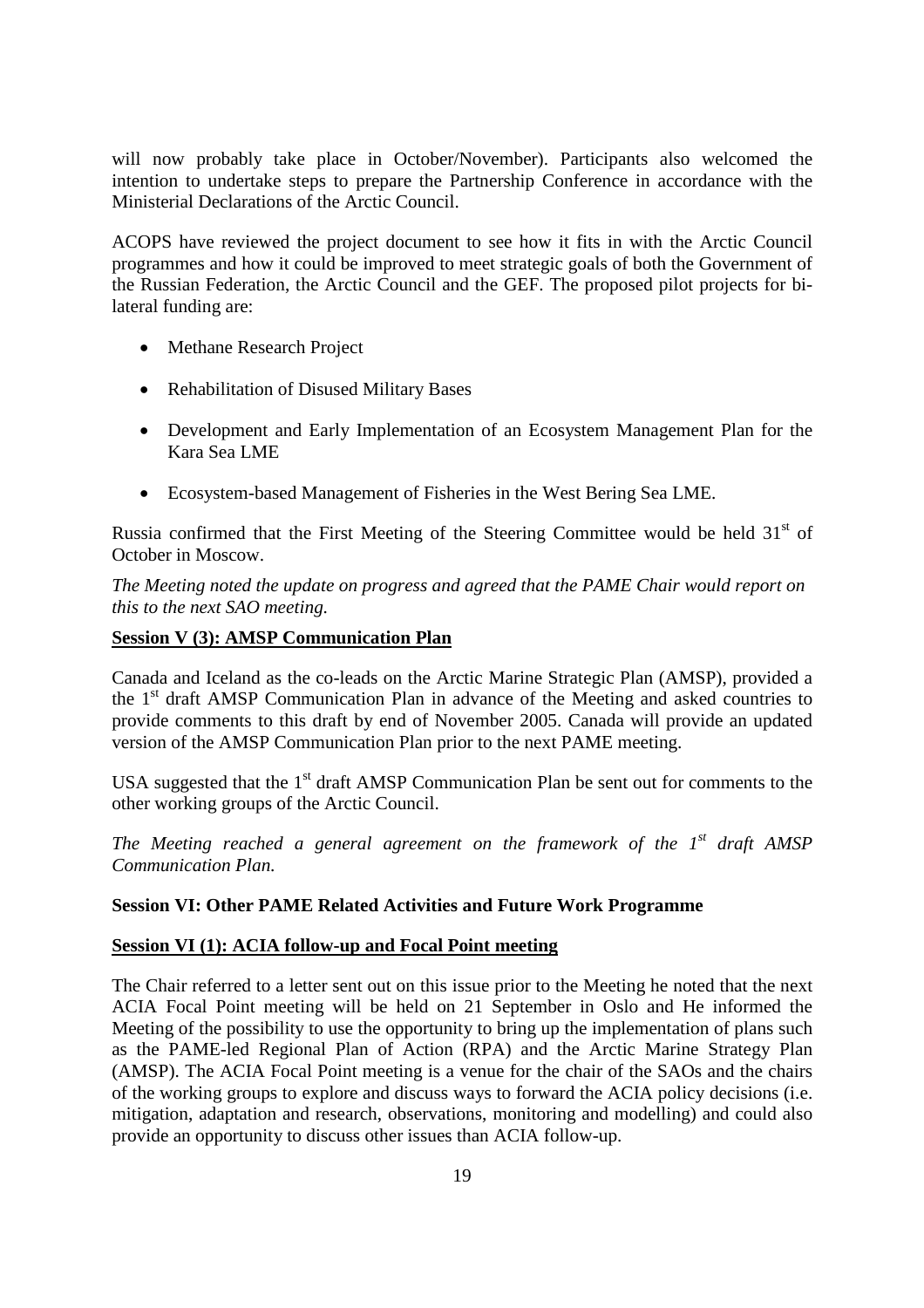will now probably take place in October/November). Participants also welcomed the intention to undertake steps to prepare the Partnership Conference in accordance with the Ministerial Declarations of the Arctic Council.

ACOPS have reviewed the project document to see how it fits in with the Arctic Council programmes and how it could be improved to meet strategic goals of both the Government of the Russian Federation, the Arctic Council and the GEF. The proposed pilot projects for bilateral funding are:

- Methane Research Project
- Rehabilitation of Disused Military Bases
- Development and Early Implementation of an Ecosystem Management Plan for the Kara Sea LME
- Ecosystem-based Management of Fisheries in the West Bering Sea LME.

Russia confirmed that the First Meeting of the Steering Committee would be held  $31<sup>st</sup>$  of October in Moscow.

*The Meeting noted the update on progress and agreed that the PAME Chair would report on this to the next SAO meeting.*

#### **Session V (3): AMSP Communication Plan**

Canada and Iceland as the co-leads on the Arctic Marine Strategic Plan (AMSP), provided a the 1 st draft AMSP Communication Plan in advance of the Meeting and asked countries to provide comments to this draft by end of November 2005. Canada will provide an updated version of the AMSP Communication Plan prior to the next PAME meeting.

USA suggested that the  $1<sup>st</sup>$  draft AMSP Communication Plan be sent out for comments to the other working groups of the Arctic Council.

*The Meeting reached a general agreement on the framework of the 1st draft AMSP Communication Plan.*

#### **Session VI: Other PAME Related Activities and Future Work Programme**

#### **Session VI (1): ACIA follow-up and Focal Point meeting**

The Chair referred to a letter sent out on this issue prior to the Meeting he noted that the next ACIA Focal Point meeting will be held on 21 September in Oslo and He informed the Meeting of the possibility to use the opportunity to bring up the implementation of plans such as the PAME-led Regional Plan of Action (RPA) and the Arctic Marine Strategy Plan (AMSP). The ACIA Focal Point meeting is a venue for the chair of the SAOs and the chairs of the working groups to explore and discuss ways to forward the ACIA policy decisions (i.e. mitigation, adaptation and research, observations, monitoring and modelling) and could also provide an opportunity to discuss other issues than ACIA follow-up.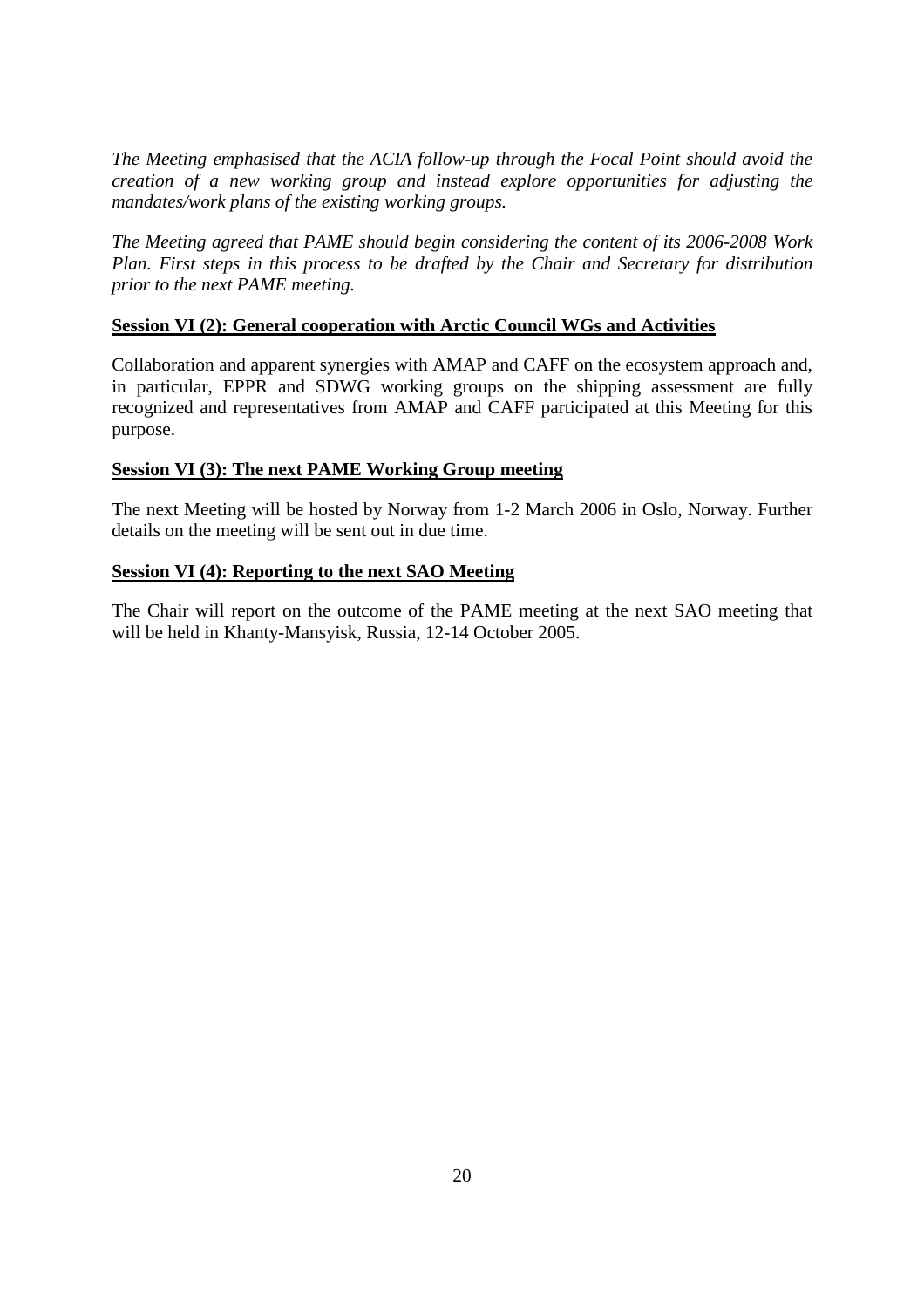*The Meeting emphasised that the ACIA follow-up through the Focal Point should avoid the creation of a new working group and instead explore opportunities for adjusting the mandates/work plans of the existing working groups.*

*The Meeting agreed that PAME should begin considering the content of its 2006-2008 Work Plan. First steps in this process to be drafted by the Chair and Secretary for distribution prior to the next PAME meeting.*

#### **Session VI (2): General cooperation with Arctic Council WGs and Activities**

Collaboration and apparent synergies with AMAP and CAFF on the ecosystem approach and, in particular, EPPR and SDWG working groups on the shipping assessment are fully recognized and representatives from AMAP and CAFF participated at this Meeting for this purpose.

#### **Session VI (3): The next PAME Working Group meeting**

The next Meeting will be hosted by Norway from 1-2 March 2006 in Oslo, Norway. Further details on the meeting will be sent out in due time.

#### **Session VI (4): Reporting to the next SAO Meeting**

The Chair will report on the outcome of the PAME meeting at the next SAO meeting that will be held in Khanty-Mansyisk, Russia, 12-14 October 2005.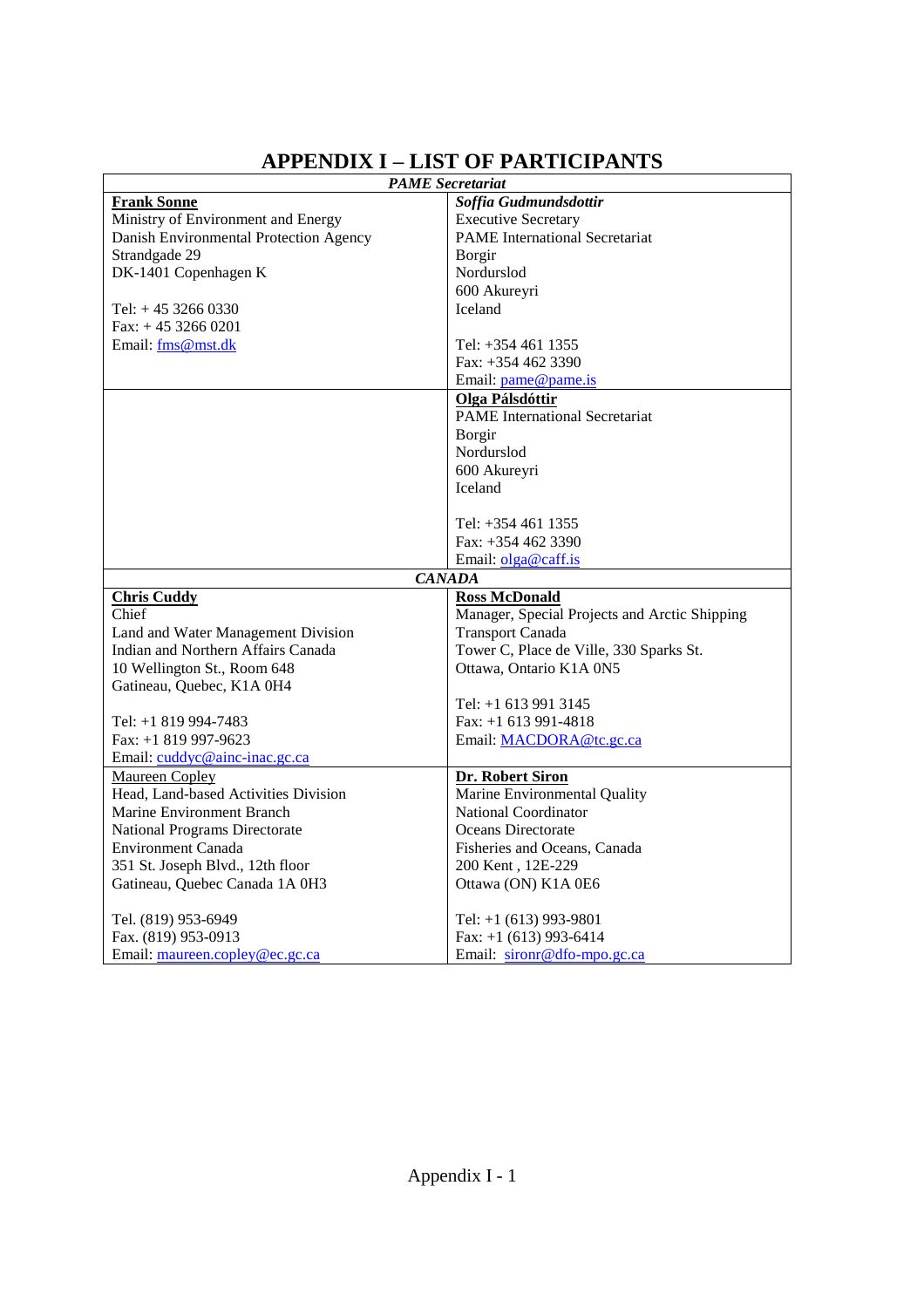# **APPENDIX I –LIST OF PARTICIPANTS**

| <b>PAME</b> Secretariat                |                                               |  |
|----------------------------------------|-----------------------------------------------|--|
| <b>Frank Sonne</b>                     | Soffia Gudmundsdottir                         |  |
| Ministry of Environment and Energy     | <b>Executive Secretary</b>                    |  |
| Danish Environmental Protection Agency | <b>PAME</b> International Secretariat         |  |
| Strandgade 29                          | <b>Borgir</b>                                 |  |
| DK-1401 Copenhagen K                   | Nordurslod                                    |  |
|                                        | 600 Akureyri                                  |  |
| Tel: $+45$ 3266 0330                   | Iceland                                       |  |
| $Fax: + 4532660201$                    |                                               |  |
| Email: fms@mst.dk                      | Tel: +354 461 1355                            |  |
|                                        | Fax: $+3544623390$                            |  |
|                                        | Email: pame@pame.is                           |  |
|                                        | Olga Pálsdóttir                               |  |
|                                        | <b>PAME</b> International Secretariat         |  |
|                                        | Borgir                                        |  |
|                                        | Nordurslod                                    |  |
|                                        | 600 Akureyri                                  |  |
|                                        | <b>Iceland</b>                                |  |
|                                        |                                               |  |
|                                        | Tel: +354 461 1355                            |  |
|                                        | Fax: $+3544623390$                            |  |
|                                        | Email: olga@caff.is                           |  |
|                                        | <b>CANADA</b>                                 |  |
| <b>Chris Cuddy</b>                     | <b>Ross McDonald</b>                          |  |
| Chief                                  | Manager, Special Projects and Arctic Shipping |  |
| Land and Water Management Division     | <b>Transport Canada</b>                       |  |
| Indian and Northern Affairs Canada     | Tower C, Place de Ville, 330 Sparks St.       |  |
| 10 Wellington St., Room 648            | Ottawa, Ontario K1A 0N5                       |  |
| Gatineau, Quebec, K1A 0H4              |                                               |  |
|                                        | Tel: +1 613 991 3145                          |  |
| Tel: +1 819 994-7483                   | Fax: $+1$ 613 991-4818                        |  |
| Fax: +1 819 997-9623                   | Email: MACDORA@tc.gc.ca                       |  |
| Email: cuddyc@ainc-inac.gc.ca          |                                               |  |
| <b>Maureen Copley</b>                  | Dr. Robert Siron                              |  |
| Head, Land-based Activities Division   | Marine Environmental Quality                  |  |
| Marine Environment Branch              | <b>National Coordinator</b>                   |  |
| National Programs Directorate          | Oceans Directorate                            |  |
| Environment Canada                     | Fisheries and Oceans, Canada                  |  |
| 351 St. Joseph Blvd., 12th floor       | 200 Kent, 12E-229                             |  |
| Gatineau, Quebec Canada 1A 0H3         | Ottawa (ON) K1A 0E6                           |  |
| Tel. (819) 953-6949                    | Tel: +1 (613) 993-9801                        |  |
| Fax. (819) 953-0913                    | Fax: $+1$ (613) 993-6414                      |  |
| Email: maureen.copley@ec.gc.ca         | Email: sironr@dfo-mpo.gc.ca                   |  |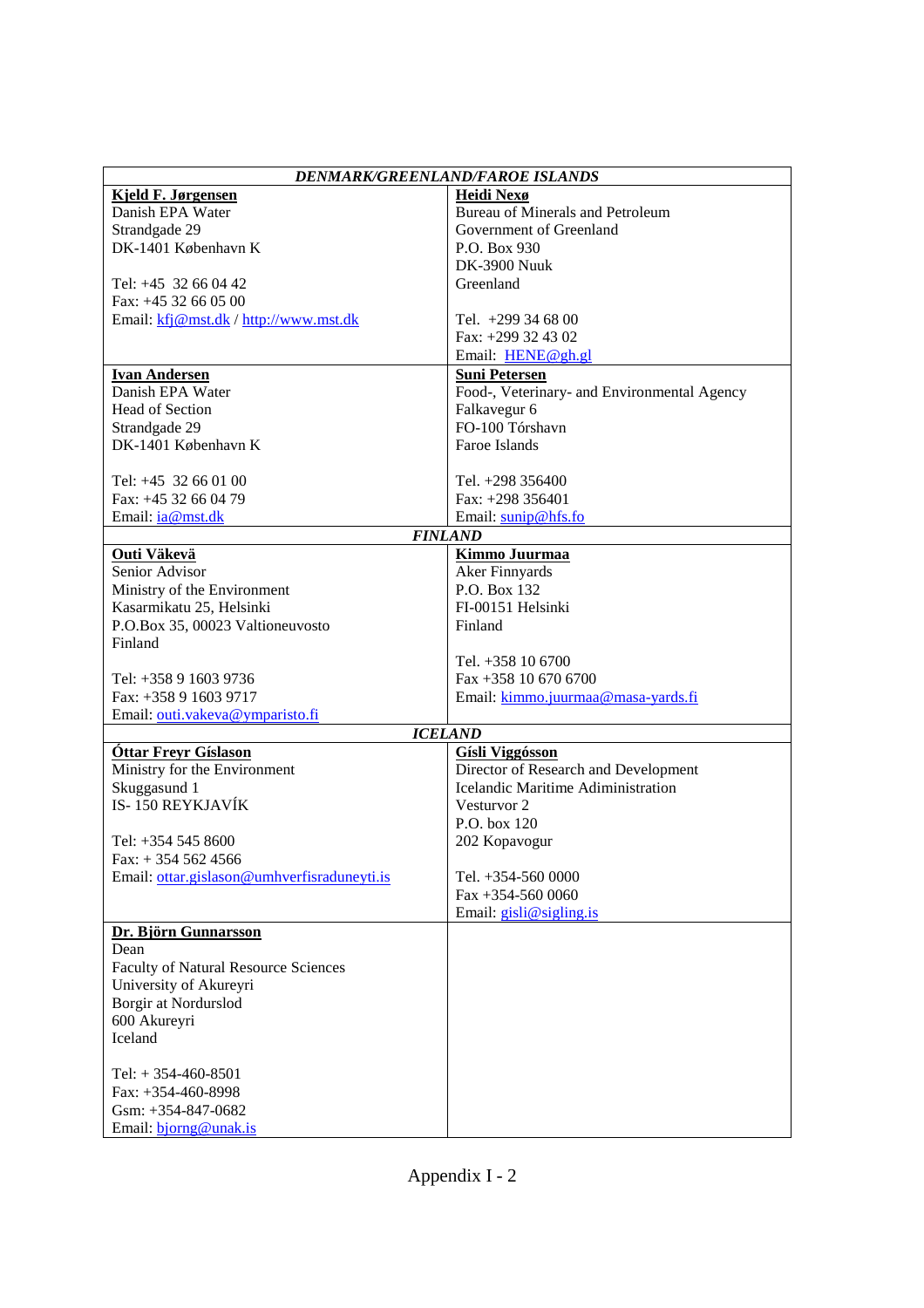| Heidi Nexø<br><u>Kjeld F. Jørgensen</u><br>Danish EPA Water<br><b>Bureau of Minerals and Petroleum</b><br>Government of Greenland<br>Strandgade 29<br>DK-1401 København K<br>P.O. Box 930<br><b>DK-3900 Nuuk</b><br>Tel: +45 32 66 04 42<br>Greenland<br>Fax: +45 32 66 05 00<br>Email: kfj@mst.dk / http://www.mst.dk<br>Tel. $+299346800$<br>Fax: +299 32 43 02<br>Email: HENE@gh.gl<br><b>Ivan Andersen</b><br><b>Suni Petersen</b><br>Danish EPA Water<br>Food-, Veterinary- and Environmental Agency<br>Head of Section<br>Falkavegur 6<br>FO-100 Tórshavn<br>Strandgade 29<br>DK-1401 København K<br>Faroe Islands<br>Tel: +45 32 66 01 00<br>Tel. $+298,356400$<br>Fax: +45 32 66 04 79<br>Fax: $+298$ 356401<br>Email: ia@mst.dk<br>Email: sunip@hfs.fo<br><b>FINLAND</b><br><b>Kimmo Juurmaa</b><br>Outi Väkevä<br>Aker Finnyards<br>Senior Advisor<br>P.O. Box 132<br>Ministry of the Environment<br>Kasarmikatu 25, Helsinki<br>FI-00151 Helsinki<br>P.O.Box 35, 00023 Valtioneuvosto<br>Finland<br>Finland<br>Tel. $+358$ 10 6700<br>Fax +358 10 670 6700<br>Tel: $+358916039736$<br>Fax: +358 9 1603 9717<br>Email: kimmo.juurmaa@masa-yards.fi<br>Email: outi.vakeva@ymparisto.fi<br><b>ICELAND</b><br><b>Gísli Viggósson</b><br><b>Óttar Freyr Gíslason</b><br>Ministry for the Environment<br>Director of Research and Development<br>Skuggasund 1<br>Icelandic Maritime Adiministration<br>IS-150 REYKJAVÍK<br>Vesturvor 2<br>$P.O.$ hox 120<br>Tel: +354 545 8600<br>202 Kopavogur<br>$Fax: + 3545624566$<br>Email: ottar.gislason@umhverfisraduneyti.is<br>Tel. +354-560 0000<br>Fax $+354-5600000$<br>Email: $gish@sigling.is$<br>Dr. Björn Gunnarsson<br>Dean<br>Faculty of Natural Resource Sciences<br>University of Akureyri<br>Borgir at Nordurslod<br>600 Akureyri<br>Iceland<br>Tel: $+ 354-460-8501$<br>Fax: +354-460-8998 | <b>DENMARK/GREENLAND/FAROE ISLANDS</b> |  |  |  |
|--------------------------------------------------------------------------------------------------------------------------------------------------------------------------------------------------------------------------------------------------------------------------------------------------------------------------------------------------------------------------------------------------------------------------------------------------------------------------------------------------------------------------------------------------------------------------------------------------------------------------------------------------------------------------------------------------------------------------------------------------------------------------------------------------------------------------------------------------------------------------------------------------------------------------------------------------------------------------------------------------------------------------------------------------------------------------------------------------------------------------------------------------------------------------------------------------------------------------------------------------------------------------------------------------------------------------------------------------------------------------------------------------------------------------------------------------------------------------------------------------------------------------------------------------------------------------------------------------------------------------------------------------------------------------------------------------------------------------------------------------------------------------------------------------------------------------------------------------------|----------------------------------------|--|--|--|
|                                                                                                                                                                                                                                                                                                                                                                                                                                                                                                                                                                                                                                                                                                                                                                                                                                                                                                                                                                                                                                                                                                                                                                                                                                                                                                                                                                                                                                                                                                                                                                                                                                                                                                                                                                                                                                                        |                                        |  |  |  |
|                                                                                                                                                                                                                                                                                                                                                                                                                                                                                                                                                                                                                                                                                                                                                                                                                                                                                                                                                                                                                                                                                                                                                                                                                                                                                                                                                                                                                                                                                                                                                                                                                                                                                                                                                                                                                                                        |                                        |  |  |  |
|                                                                                                                                                                                                                                                                                                                                                                                                                                                                                                                                                                                                                                                                                                                                                                                                                                                                                                                                                                                                                                                                                                                                                                                                                                                                                                                                                                                                                                                                                                                                                                                                                                                                                                                                                                                                                                                        |                                        |  |  |  |
|                                                                                                                                                                                                                                                                                                                                                                                                                                                                                                                                                                                                                                                                                                                                                                                                                                                                                                                                                                                                                                                                                                                                                                                                                                                                                                                                                                                                                                                                                                                                                                                                                                                                                                                                                                                                                                                        |                                        |  |  |  |
|                                                                                                                                                                                                                                                                                                                                                                                                                                                                                                                                                                                                                                                                                                                                                                                                                                                                                                                                                                                                                                                                                                                                                                                                                                                                                                                                                                                                                                                                                                                                                                                                                                                                                                                                                                                                                                                        |                                        |  |  |  |
|                                                                                                                                                                                                                                                                                                                                                                                                                                                                                                                                                                                                                                                                                                                                                                                                                                                                                                                                                                                                                                                                                                                                                                                                                                                                                                                                                                                                                                                                                                                                                                                                                                                                                                                                                                                                                                                        |                                        |  |  |  |
|                                                                                                                                                                                                                                                                                                                                                                                                                                                                                                                                                                                                                                                                                                                                                                                                                                                                                                                                                                                                                                                                                                                                                                                                                                                                                                                                                                                                                                                                                                                                                                                                                                                                                                                                                                                                                                                        |                                        |  |  |  |
|                                                                                                                                                                                                                                                                                                                                                                                                                                                                                                                                                                                                                                                                                                                                                                                                                                                                                                                                                                                                                                                                                                                                                                                                                                                                                                                                                                                                                                                                                                                                                                                                                                                                                                                                                                                                                                                        |                                        |  |  |  |
|                                                                                                                                                                                                                                                                                                                                                                                                                                                                                                                                                                                                                                                                                                                                                                                                                                                                                                                                                                                                                                                                                                                                                                                                                                                                                                                                                                                                                                                                                                                                                                                                                                                                                                                                                                                                                                                        |                                        |  |  |  |
|                                                                                                                                                                                                                                                                                                                                                                                                                                                                                                                                                                                                                                                                                                                                                                                                                                                                                                                                                                                                                                                                                                                                                                                                                                                                                                                                                                                                                                                                                                                                                                                                                                                                                                                                                                                                                                                        |                                        |  |  |  |
|                                                                                                                                                                                                                                                                                                                                                                                                                                                                                                                                                                                                                                                                                                                                                                                                                                                                                                                                                                                                                                                                                                                                                                                                                                                                                                                                                                                                                                                                                                                                                                                                                                                                                                                                                                                                                                                        |                                        |  |  |  |
|                                                                                                                                                                                                                                                                                                                                                                                                                                                                                                                                                                                                                                                                                                                                                                                                                                                                                                                                                                                                                                                                                                                                                                                                                                                                                                                                                                                                                                                                                                                                                                                                                                                                                                                                                                                                                                                        |                                        |  |  |  |
|                                                                                                                                                                                                                                                                                                                                                                                                                                                                                                                                                                                                                                                                                                                                                                                                                                                                                                                                                                                                                                                                                                                                                                                                                                                                                                                                                                                                                                                                                                                                                                                                                                                                                                                                                                                                                                                        |                                        |  |  |  |
|                                                                                                                                                                                                                                                                                                                                                                                                                                                                                                                                                                                                                                                                                                                                                                                                                                                                                                                                                                                                                                                                                                                                                                                                                                                                                                                                                                                                                                                                                                                                                                                                                                                                                                                                                                                                                                                        |                                        |  |  |  |
|                                                                                                                                                                                                                                                                                                                                                                                                                                                                                                                                                                                                                                                                                                                                                                                                                                                                                                                                                                                                                                                                                                                                                                                                                                                                                                                                                                                                                                                                                                                                                                                                                                                                                                                                                                                                                                                        |                                        |  |  |  |
|                                                                                                                                                                                                                                                                                                                                                                                                                                                                                                                                                                                                                                                                                                                                                                                                                                                                                                                                                                                                                                                                                                                                                                                                                                                                                                                                                                                                                                                                                                                                                                                                                                                                                                                                                                                                                                                        |                                        |  |  |  |
|                                                                                                                                                                                                                                                                                                                                                                                                                                                                                                                                                                                                                                                                                                                                                                                                                                                                                                                                                                                                                                                                                                                                                                                                                                                                                                                                                                                                                                                                                                                                                                                                                                                                                                                                                                                                                                                        |                                        |  |  |  |
|                                                                                                                                                                                                                                                                                                                                                                                                                                                                                                                                                                                                                                                                                                                                                                                                                                                                                                                                                                                                                                                                                                                                                                                                                                                                                                                                                                                                                                                                                                                                                                                                                                                                                                                                                                                                                                                        |                                        |  |  |  |
|                                                                                                                                                                                                                                                                                                                                                                                                                                                                                                                                                                                                                                                                                                                                                                                                                                                                                                                                                                                                                                                                                                                                                                                                                                                                                                                                                                                                                                                                                                                                                                                                                                                                                                                                                                                                                                                        |                                        |  |  |  |
|                                                                                                                                                                                                                                                                                                                                                                                                                                                                                                                                                                                                                                                                                                                                                                                                                                                                                                                                                                                                                                                                                                                                                                                                                                                                                                                                                                                                                                                                                                                                                                                                                                                                                                                                                                                                                                                        |                                        |  |  |  |
|                                                                                                                                                                                                                                                                                                                                                                                                                                                                                                                                                                                                                                                                                                                                                                                                                                                                                                                                                                                                                                                                                                                                                                                                                                                                                                                                                                                                                                                                                                                                                                                                                                                                                                                                                                                                                                                        |                                        |  |  |  |
|                                                                                                                                                                                                                                                                                                                                                                                                                                                                                                                                                                                                                                                                                                                                                                                                                                                                                                                                                                                                                                                                                                                                                                                                                                                                                                                                                                                                                                                                                                                                                                                                                                                                                                                                                                                                                                                        |                                        |  |  |  |
|                                                                                                                                                                                                                                                                                                                                                                                                                                                                                                                                                                                                                                                                                                                                                                                                                                                                                                                                                                                                                                                                                                                                                                                                                                                                                                                                                                                                                                                                                                                                                                                                                                                                                                                                                                                                                                                        |                                        |  |  |  |
|                                                                                                                                                                                                                                                                                                                                                                                                                                                                                                                                                                                                                                                                                                                                                                                                                                                                                                                                                                                                                                                                                                                                                                                                                                                                                                                                                                                                                                                                                                                                                                                                                                                                                                                                                                                                                                                        |                                        |  |  |  |
|                                                                                                                                                                                                                                                                                                                                                                                                                                                                                                                                                                                                                                                                                                                                                                                                                                                                                                                                                                                                                                                                                                                                                                                                                                                                                                                                                                                                                                                                                                                                                                                                                                                                                                                                                                                                                                                        |                                        |  |  |  |
|                                                                                                                                                                                                                                                                                                                                                                                                                                                                                                                                                                                                                                                                                                                                                                                                                                                                                                                                                                                                                                                                                                                                                                                                                                                                                                                                                                                                                                                                                                                                                                                                                                                                                                                                                                                                                                                        |                                        |  |  |  |
|                                                                                                                                                                                                                                                                                                                                                                                                                                                                                                                                                                                                                                                                                                                                                                                                                                                                                                                                                                                                                                                                                                                                                                                                                                                                                                                                                                                                                                                                                                                                                                                                                                                                                                                                                                                                                                                        |                                        |  |  |  |
|                                                                                                                                                                                                                                                                                                                                                                                                                                                                                                                                                                                                                                                                                                                                                                                                                                                                                                                                                                                                                                                                                                                                                                                                                                                                                                                                                                                                                                                                                                                                                                                                                                                                                                                                                                                                                                                        |                                        |  |  |  |
|                                                                                                                                                                                                                                                                                                                                                                                                                                                                                                                                                                                                                                                                                                                                                                                                                                                                                                                                                                                                                                                                                                                                                                                                                                                                                                                                                                                                                                                                                                                                                                                                                                                                                                                                                                                                                                                        |                                        |  |  |  |
|                                                                                                                                                                                                                                                                                                                                                                                                                                                                                                                                                                                                                                                                                                                                                                                                                                                                                                                                                                                                                                                                                                                                                                                                                                                                                                                                                                                                                                                                                                                                                                                                                                                                                                                                                                                                                                                        |                                        |  |  |  |
|                                                                                                                                                                                                                                                                                                                                                                                                                                                                                                                                                                                                                                                                                                                                                                                                                                                                                                                                                                                                                                                                                                                                                                                                                                                                                                                                                                                                                                                                                                                                                                                                                                                                                                                                                                                                                                                        |                                        |  |  |  |
|                                                                                                                                                                                                                                                                                                                                                                                                                                                                                                                                                                                                                                                                                                                                                                                                                                                                                                                                                                                                                                                                                                                                                                                                                                                                                                                                                                                                                                                                                                                                                                                                                                                                                                                                                                                                                                                        |                                        |  |  |  |
|                                                                                                                                                                                                                                                                                                                                                                                                                                                                                                                                                                                                                                                                                                                                                                                                                                                                                                                                                                                                                                                                                                                                                                                                                                                                                                                                                                                                                                                                                                                                                                                                                                                                                                                                                                                                                                                        |                                        |  |  |  |
|                                                                                                                                                                                                                                                                                                                                                                                                                                                                                                                                                                                                                                                                                                                                                                                                                                                                                                                                                                                                                                                                                                                                                                                                                                                                                                                                                                                                                                                                                                                                                                                                                                                                                                                                                                                                                                                        |                                        |  |  |  |
|                                                                                                                                                                                                                                                                                                                                                                                                                                                                                                                                                                                                                                                                                                                                                                                                                                                                                                                                                                                                                                                                                                                                                                                                                                                                                                                                                                                                                                                                                                                                                                                                                                                                                                                                                                                                                                                        |                                        |  |  |  |
|                                                                                                                                                                                                                                                                                                                                                                                                                                                                                                                                                                                                                                                                                                                                                                                                                                                                                                                                                                                                                                                                                                                                                                                                                                                                                                                                                                                                                                                                                                                                                                                                                                                                                                                                                                                                                                                        |                                        |  |  |  |
|                                                                                                                                                                                                                                                                                                                                                                                                                                                                                                                                                                                                                                                                                                                                                                                                                                                                                                                                                                                                                                                                                                                                                                                                                                                                                                                                                                                                                                                                                                                                                                                                                                                                                                                                                                                                                                                        |                                        |  |  |  |
|                                                                                                                                                                                                                                                                                                                                                                                                                                                                                                                                                                                                                                                                                                                                                                                                                                                                                                                                                                                                                                                                                                                                                                                                                                                                                                                                                                                                                                                                                                                                                                                                                                                                                                                                                                                                                                                        |                                        |  |  |  |
|                                                                                                                                                                                                                                                                                                                                                                                                                                                                                                                                                                                                                                                                                                                                                                                                                                                                                                                                                                                                                                                                                                                                                                                                                                                                                                                                                                                                                                                                                                                                                                                                                                                                                                                                                                                                                                                        |                                        |  |  |  |
|                                                                                                                                                                                                                                                                                                                                                                                                                                                                                                                                                                                                                                                                                                                                                                                                                                                                                                                                                                                                                                                                                                                                                                                                                                                                                                                                                                                                                                                                                                                                                                                                                                                                                                                                                                                                                                                        |                                        |  |  |  |
|                                                                                                                                                                                                                                                                                                                                                                                                                                                                                                                                                                                                                                                                                                                                                                                                                                                                                                                                                                                                                                                                                                                                                                                                                                                                                                                                                                                                                                                                                                                                                                                                                                                                                                                                                                                                                                                        |                                        |  |  |  |
|                                                                                                                                                                                                                                                                                                                                                                                                                                                                                                                                                                                                                                                                                                                                                                                                                                                                                                                                                                                                                                                                                                                                                                                                                                                                                                                                                                                                                                                                                                                                                                                                                                                                                                                                                                                                                                                        |                                        |  |  |  |
|                                                                                                                                                                                                                                                                                                                                                                                                                                                                                                                                                                                                                                                                                                                                                                                                                                                                                                                                                                                                                                                                                                                                                                                                                                                                                                                                                                                                                                                                                                                                                                                                                                                                                                                                                                                                                                                        |                                        |  |  |  |
|                                                                                                                                                                                                                                                                                                                                                                                                                                                                                                                                                                                                                                                                                                                                                                                                                                                                                                                                                                                                                                                                                                                                                                                                                                                                                                                                                                                                                                                                                                                                                                                                                                                                                                                                                                                                                                                        |                                        |  |  |  |
|                                                                                                                                                                                                                                                                                                                                                                                                                                                                                                                                                                                                                                                                                                                                                                                                                                                                                                                                                                                                                                                                                                                                                                                                                                                                                                                                                                                                                                                                                                                                                                                                                                                                                                                                                                                                                                                        |                                        |  |  |  |
|                                                                                                                                                                                                                                                                                                                                                                                                                                                                                                                                                                                                                                                                                                                                                                                                                                                                                                                                                                                                                                                                                                                                                                                                                                                                                                                                                                                                                                                                                                                                                                                                                                                                                                                                                                                                                                                        |                                        |  |  |  |
|                                                                                                                                                                                                                                                                                                                                                                                                                                                                                                                                                                                                                                                                                                                                                                                                                                                                                                                                                                                                                                                                                                                                                                                                                                                                                                                                                                                                                                                                                                                                                                                                                                                                                                                                                                                                                                                        |                                        |  |  |  |
|                                                                                                                                                                                                                                                                                                                                                                                                                                                                                                                                                                                                                                                                                                                                                                                                                                                                                                                                                                                                                                                                                                                                                                                                                                                                                                                                                                                                                                                                                                                                                                                                                                                                                                                                                                                                                                                        |                                        |  |  |  |
|                                                                                                                                                                                                                                                                                                                                                                                                                                                                                                                                                                                                                                                                                                                                                                                                                                                                                                                                                                                                                                                                                                                                                                                                                                                                                                                                                                                                                                                                                                                                                                                                                                                                                                                                                                                                                                                        |                                        |  |  |  |
|                                                                                                                                                                                                                                                                                                                                                                                                                                                                                                                                                                                                                                                                                                                                                                                                                                                                                                                                                                                                                                                                                                                                                                                                                                                                                                                                                                                                                                                                                                                                                                                                                                                                                                                                                                                                                                                        | Gsm: $+354-847-0682$                   |  |  |  |
| Email: bjorng@unak.is                                                                                                                                                                                                                                                                                                                                                                                                                                                                                                                                                                                                                                                                                                                                                                                                                                                                                                                                                                                                                                                                                                                                                                                                                                                                                                                                                                                                                                                                                                                                                                                                                                                                                                                                                                                                                                  |                                        |  |  |  |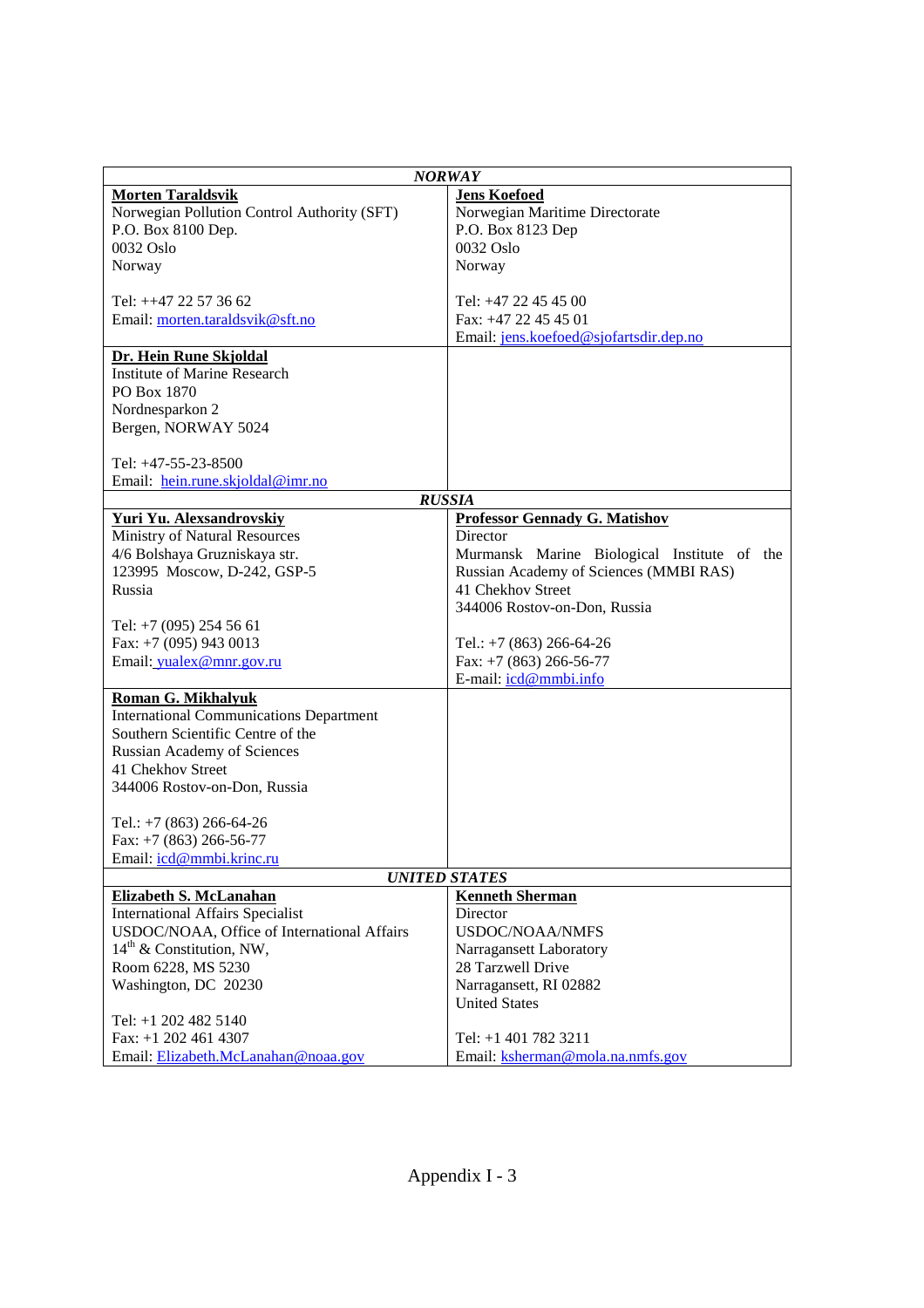| <b>NORWAY</b>                                  |                                             |  |  |
|------------------------------------------------|---------------------------------------------|--|--|
| <b>Morten Taraldsvik</b>                       | <b>Jens Koefoed</b>                         |  |  |
| Norwegian Pollution Control Authority (SFT)    | Norwegian Maritime Directorate              |  |  |
| P.O. Box 8100 Dep.                             | P.O. Box 8123 Dep                           |  |  |
| 0032 Oslo                                      | 0032 Oslo                                   |  |  |
| Norway                                         | Norway                                      |  |  |
|                                                |                                             |  |  |
| Tel: ++47 22 57 36 62                          | Tel: +47 22 45 45 00                        |  |  |
| Email: morten.taraldsvik@sft.no                | Fax: +47 22 45 45 01                        |  |  |
|                                                | Email: jens.koefoed@sjofartsdir.dep.no      |  |  |
| Dr. Hein Rune Skjoldal                         |                                             |  |  |
| <b>Institute of Marine Research</b>            |                                             |  |  |
| PO Box 1870                                    |                                             |  |  |
| Nordnesparkon 2                                |                                             |  |  |
| Bergen, NORWAY 5024                            |                                             |  |  |
|                                                |                                             |  |  |
| Tel: +47-55-23-8500                            |                                             |  |  |
| Email: hein.rune.skjoldal@imr.no               |                                             |  |  |
|                                                | <b>RUSSIA</b>                               |  |  |
| Yuri Yu. Alexsandrovskiy                       | <b>Professor Gennady G. Matishov</b>        |  |  |
| Ministry of Natural Resources                  | Director                                    |  |  |
| 4/6 Bolshaya Gruzniskaya str.                  | Murmansk Marine Biological Institute of the |  |  |
| 123995 Moscow, D-242, GSP-5                    | Russian Academy of Sciences (MMBI RAS)      |  |  |
| Russia                                         | 41 Chekhov Street                           |  |  |
|                                                | 344006 Rostov-on-Don, Russia                |  |  |
| Tel: +7 (095) 254 56 61                        |                                             |  |  |
| Fax: +7 (095) 943 0013                         | Tel.: $+7$ (863) 266-64-26                  |  |  |
| Email: yualex@mnr.gov.ru                       | Fax: $+7$ (863) 266-56-77                   |  |  |
|                                                | E-mail: icd@mmbi.info                       |  |  |
| <b>Roman G. Mikhalyuk</b>                      |                                             |  |  |
| <b>International Communications Department</b> |                                             |  |  |
| Southern Scientific Centre of the              |                                             |  |  |
| <b>Russian Academy of Sciences</b>             |                                             |  |  |
| 41 Chekhov Street                              |                                             |  |  |
| 344006 Rostov-on-Don, Russia                   |                                             |  |  |
|                                                |                                             |  |  |
| Tel.: $+7$ (863) 266-64-26                     |                                             |  |  |
| Fax: $+7$ (863) 266-56-77                      |                                             |  |  |
| Email: icd@mmbi.krinc.ru                       |                                             |  |  |
|                                                | <b>UNITED STATES</b>                        |  |  |
| <b>Elizabeth S. McLanahan</b>                  | <b>Kenneth Sherman</b>                      |  |  |
| <b>International Affairs Specialist</b>        | Director                                    |  |  |
| USDOC/NOAA, Office of International Affairs    | <b>USDOC/NOAA/NMFS</b>                      |  |  |
| $14th$ & Constitution, NW,                     | Narragansett Laboratory                     |  |  |
| Room 6228, MS 5230                             | 28 Tarzwell Drive                           |  |  |
| Washington, DC 20230                           | Narragansett, RI 02882                      |  |  |
|                                                | <b>United States</b>                        |  |  |
| Tel: +1 202 482 5140                           |                                             |  |  |
| Fax: $+1$ 202 461 4307                         | Tel: +1 401 782 3211                        |  |  |
| Email: Elizabeth.McLanahan@noaa.gov            | Email: ksherman@mola.na.nmfs.gov            |  |  |
|                                                |                                             |  |  |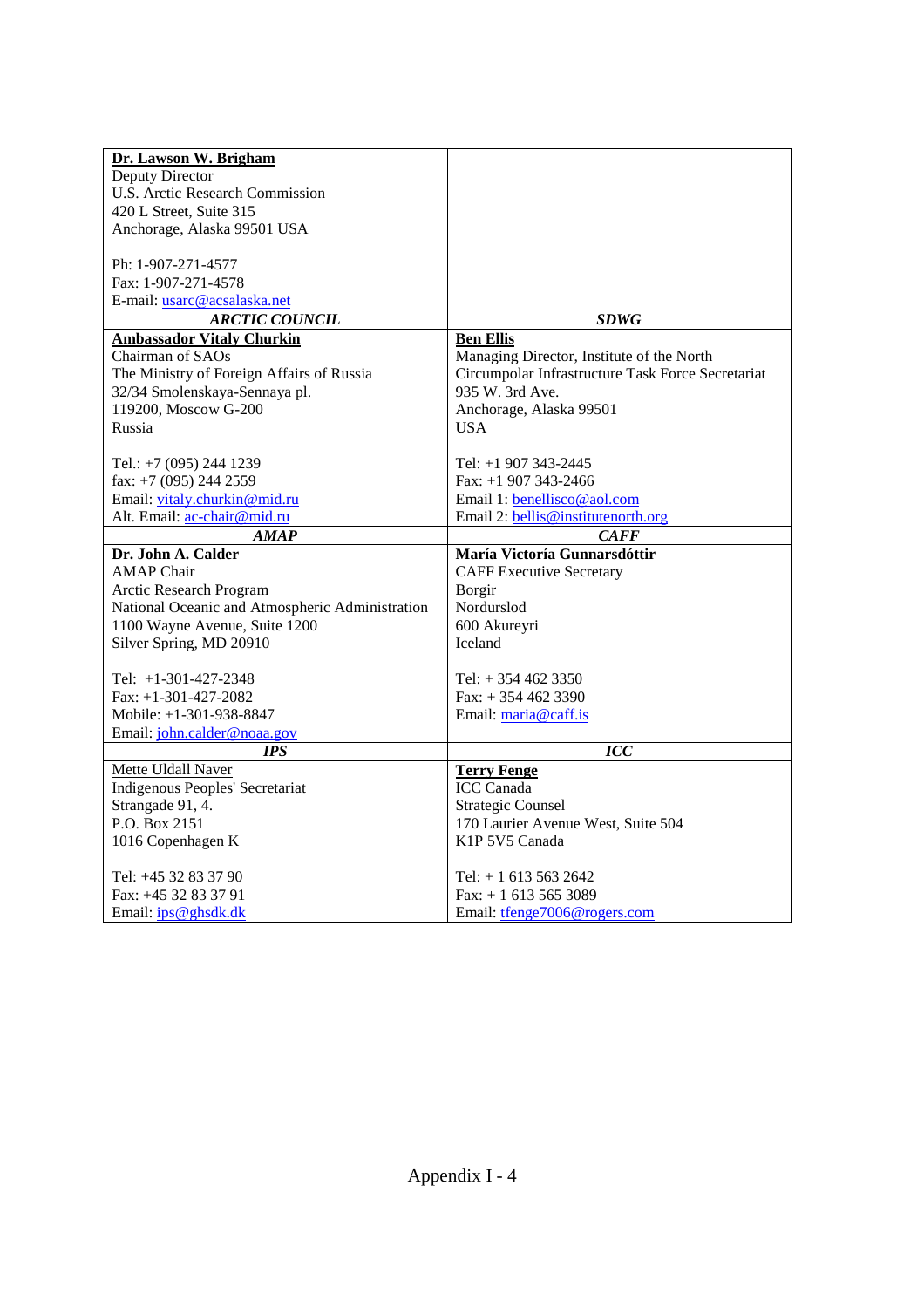| Dr. Lawson W. Brigham                           |                                                   |
|-------------------------------------------------|---------------------------------------------------|
| Deputy Director                                 |                                                   |
| <b>U.S. Arctic Research Commission</b>          |                                                   |
| 420 L Street, Suite 315                         |                                                   |
| Anchorage, Alaska 99501 USA                     |                                                   |
|                                                 |                                                   |
| Ph: 1-907-271-4577                              |                                                   |
| Fax: 1-907-271-4578                             |                                                   |
| E-mail: usarc@acsalaska.net                     |                                                   |
| <b>ARCTIC COUNCIL</b>                           | <b>SDWG</b>                                       |
| <b>Ambassador Vitaly Churkin</b>                | <b>Ben Ellis</b>                                  |
| Chairman of SAOs                                | Managing Director, Institute of the North         |
| The Ministry of Foreign Affairs of Russia       | Circumpolar Infrastructure Task Force Secretariat |
| 32/34 Smolenskaya-Sennaya pl.                   | 935 W. 3rd Ave.                                   |
| 119200, Moscow G-200                            | Anchorage, Alaska 99501                           |
| Russia                                          | <b>USA</b>                                        |
|                                                 |                                                   |
| Tel.: +7 (095) 244 1239                         | Tel: +1 907 343-2445                              |
| fax: $+7$ (095) 244 2559                        | Fax: $+1907343-2466$                              |
| Email: vitaly.churkin@mid.ru                    | Email 1: benellisco@aol.com                       |
| Alt. Email: ac-chair@mid.ru                     | Email 2: bellis@institutenorth.org                |
| AMAP                                            | <b>CAFF</b>                                       |
| Dr. John A. Calder                              | María Victoría Gunnarsdóttir                      |
| <b>AMAP</b> Chair                               | <b>CAFF Executive Secretary</b>                   |
| Arctic Research Program                         | Borgir                                            |
| National Oceanic and Atmospheric Administration | Nordurslod                                        |
| 1100 Wayne Avenue, Suite 1200                   | 600 Akureyri                                      |
| Silver Spring, MD 20910                         | <b>Iceland</b>                                    |
|                                                 |                                                   |
| Tel: +1-301-427-2348                            | Tel: $+3544623350$                                |
| Fax: $+1-301-427-2082$                          | Fax: $+3544623390$                                |
| Mobile: +1-301-938-8847                         | Email: maria@caff.is                              |
| Email: john.calder@noaa.gov                     |                                                   |
| <b>IPS</b>                                      | <b>ICC</b>                                        |
| Mette Uldall Naver                              | <b>Terry Fenge</b>                                |
| Indigenous Peoples' Secretariat                 | <b>ICC</b> Canada                                 |
| Strangade 91, 4.                                | <b>Strategic Counsel</b>                          |
| P.O. Box 2151                                   | 170 Laurier Avenue West, Suite 504                |
| 1016 Copenhagen K                               | K1P 5V5 Canada                                    |
| Tel: +45 32 83 37 90                            | Tel: $+16135632642$                               |
| Fax: +45 32 83 37 91                            |                                                   |
|                                                 | $Fax: + 16135653089$                              |
| Email: ips@ghsdk.dk                             | Email: tfenge7006@rogers.com                      |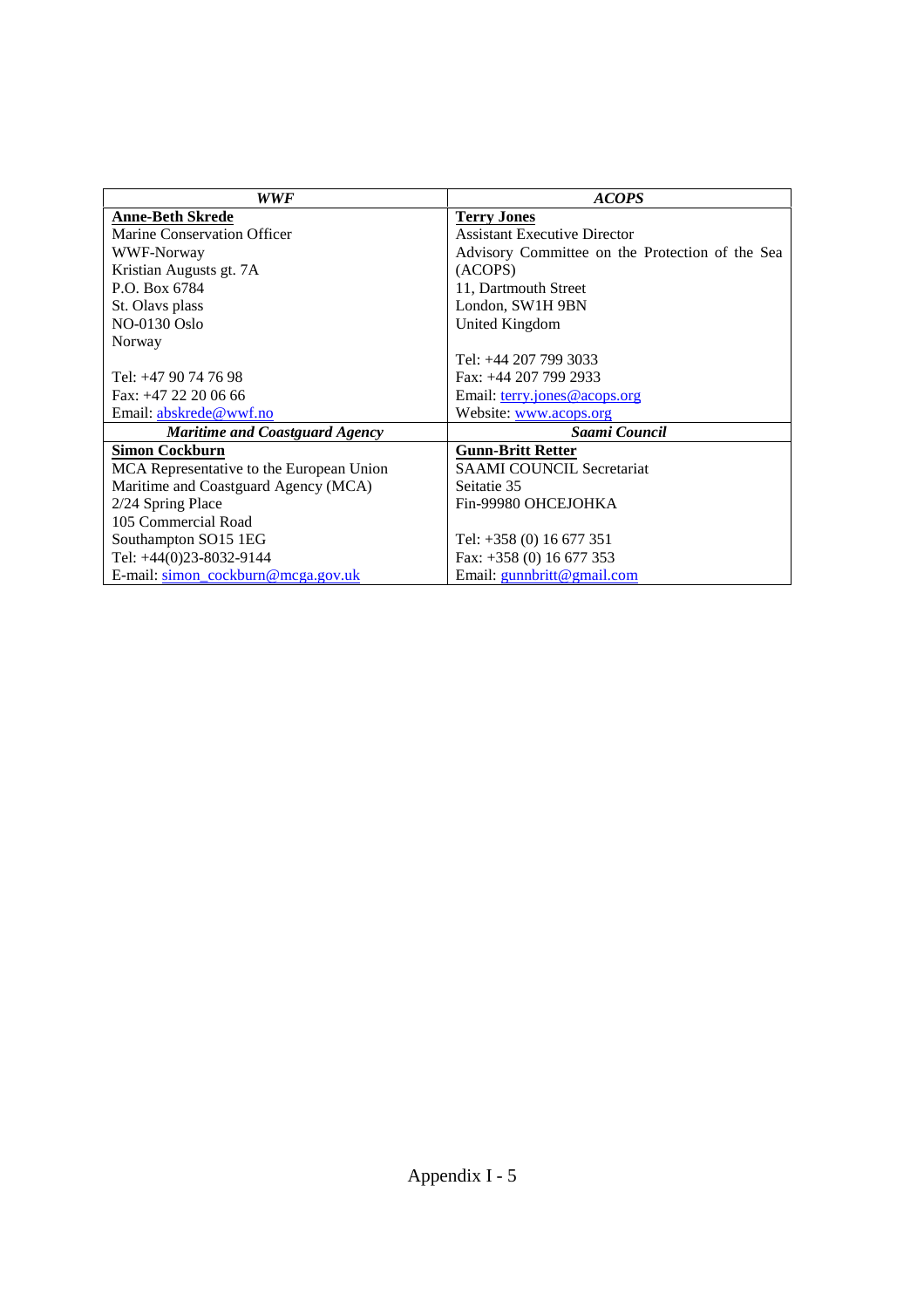| WWF                                      | <b>ACOPS</b>                                    |
|------------------------------------------|-------------------------------------------------|
| <b>Anne-Beth Skrede</b>                  | <b>Terry Jones</b>                              |
| Marine Conservation Officer              | <b>Assistant Executive Director</b>             |
| WWF-Norway                               | Advisory Committee on the Protection of the Sea |
| Kristian Augusts gt. 7A                  | (ACOPS)                                         |
| P.O. Box 6784                            | 11, Dartmouth Street                            |
| St. Olavs plass                          | London, SW1H 9BN                                |
| NO-0130 Oslo                             | United Kingdom                                  |
| Norway                                   |                                                 |
|                                          | Tel: +44 207 799 3033                           |
| Tel: +47 90 74 76 98                     | Fax: +44 207 799 2933                           |
| Fax: +47 22 20 06 66                     | Email: terry.jones@acops.org                    |
| Email: abskrede@wwf.no                   | Website: www.acops.org                          |
| Maritime and Coastguard Agency           | Saami Council                                   |
| <b>Simon Cockburn</b>                    | <b>Gunn-Britt Retter</b>                        |
| MCA Representative to the European Union | <b>SAAMI COUNCIL Secretariat</b>                |
| Maritime and Coastguard Agency (MCA)     | Seitatie 35                                     |
| 2/24 Spring Place                        | Fin-99980 OHCEJOHKA                             |
| 105 Commercial Road                      |                                                 |
| Southampton SO15 1EG                     | Tel: $+358(0) 16677351$                         |
| Tel: +44(0)23-8032-9144                  | Fax: $+358$ (0) 16 677 353                      |
| E-mail: simon cockburn@mcga.gov.uk       | Email: gunnbritt@gmail.com                      |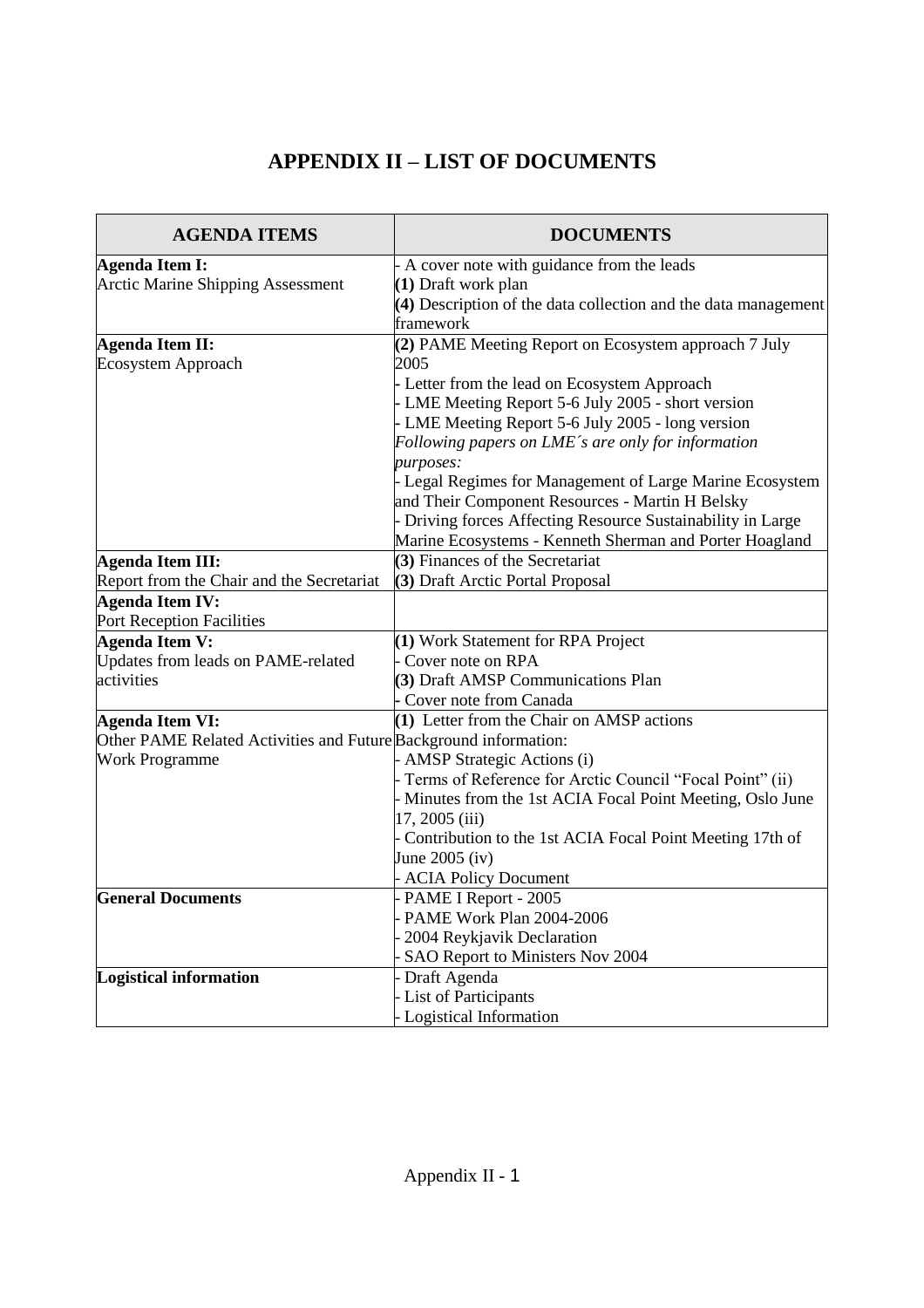# **APPENDIX II –LIST OF DOCUMENTS**

| <b>AGENDA ITEMS</b>                                              | <b>DOCUMENTS</b>                                               |
|------------------------------------------------------------------|----------------------------------------------------------------|
| Agenda Item I:                                                   | - A cover note with guidance from the leads                    |
| <b>Arctic Marine Shipping Assessment</b>                         | (1) Draft work plan                                            |
|                                                                  | (4) Description of the data collection and the data management |
|                                                                  | framework                                                      |
| <b>Agenda Item II:</b>                                           | (2) PAME Meeting Report on Ecosystem approach 7 July           |
| Ecosystem Approach                                               | 2005                                                           |
|                                                                  | - Letter from the lead on Ecosystem Approach                   |
|                                                                  | - LME Meeting Report 5-6 July 2005 - short version             |
|                                                                  | - LME Meeting Report 5-6 July 2005 - long version              |
|                                                                  | Following papers on LME's are only for information             |
|                                                                  | purposes:                                                      |
|                                                                  | - Legal Regimes for Management of Large Marine Ecosystem       |
|                                                                  | and Their Component Resources - Martin H Belsky                |
|                                                                  | - Driving forces Affecting Resource Sustainability in Large    |
|                                                                  | Marine Ecosystems - Kenneth Sherman and Porter Hoagland        |
| <b>Agenda Item III:</b>                                          | (3) Finances of the Secretariat                                |
| Report from the Chair and the Secretariat                        | (3) Draft Arctic Portal Proposal                               |
| <b>Agenda Item IV:</b>                                           |                                                                |
| Port Reception Facilities                                        |                                                                |
| <b>Agenda Item V:</b>                                            | (1) Work Statement for RPA Project                             |
| Updates from leads on PAME-related                               | Cover note on RPA                                              |
| activities                                                       | (3) Draft AMSP Communications Plan                             |
|                                                                  | - Cover note from Canada                                       |
| <b>Agenda Item VI:</b>                                           | (1) Letter from the Chair on AMSP actions                      |
| Other PAME Related Activities and Future Background information: |                                                                |
| <b>Work Programme</b>                                            | <b>AMSP</b> Strategic Actions (i)                              |
|                                                                  | - Terms of Reference for Arctic Council "Focal Point" (ii)     |
|                                                                  | - Minutes from the 1st ACIA Focal Point Meeting, Oslo June     |
|                                                                  | 17, 2005 (iii)                                                 |
|                                                                  | - Contribution to the 1st ACIA Focal Point Meeting 17th of     |
|                                                                  | June $2005$ (iv)                                               |
|                                                                  | <b>ACIA Policy Document</b>                                    |
| <b>General Documents</b>                                         | - PAME I Report - 2005                                         |
|                                                                  | PAME Work Plan 2004-2006                                       |
|                                                                  | 2004 Reykjavik Declaration                                     |
|                                                                  | SAO Report to Ministers Nov 2004                               |
| <b>Logistical information</b>                                    | Draft Agenda                                                   |
|                                                                  | - List of Participants                                         |
|                                                                  | - Logistical Information                                       |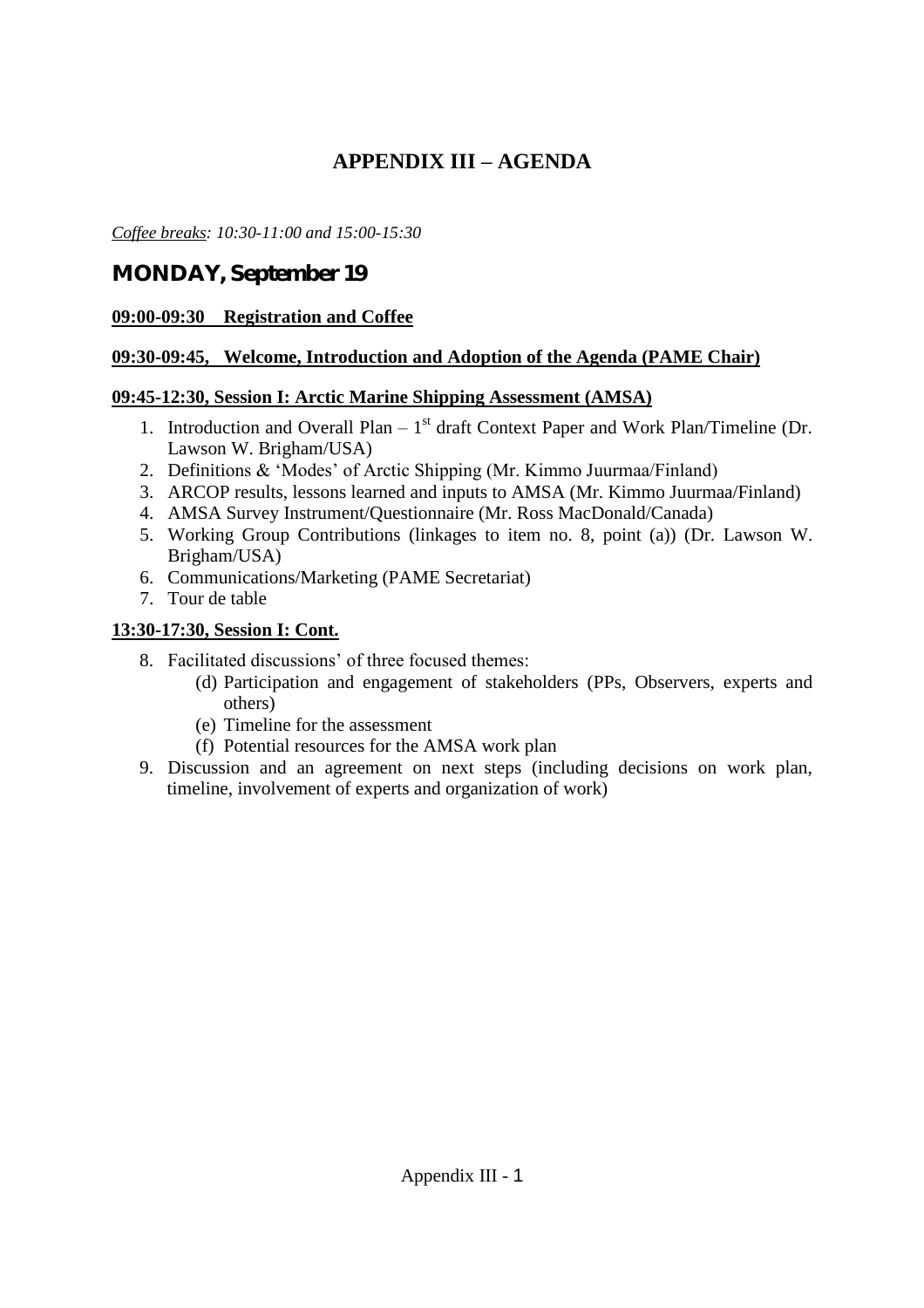# **APPENDIX III –AGENDA**

*Coffee breaks: 10:30-11:00 and 15:00-15:30*

# **MONDAY, September 19**

### **09:00-09:30 Registration and Coffee**

### **09:30-09:45, Welcome, Introduction and Adoption of the Agenda (PAME Chair)**

### **09:45-12:30, Session I: Arctic Marine Shipping Assessment (AMSA)**

- 1. Introduction and Overall Plan  $-1<sup>st</sup>$  draft Context Paper and Work Plan/Timeline (Dr. Lawson W. Brigham/USA)
- 2. Definitions & 'Modes' of Arctic Shipping (Mr. Kimmo Juurmaa/Finland)
- 3. ARCOP results, lessons learned and inputs to AMSA (Mr. Kimmo Juurmaa/Finland)
- 4. AMSA Survey Instrument/Questionnaire (Mr. Ross MacDonald/Canada)
- 5. Working Group Contributions (linkages to item no. 8, point (a)) (Dr. Lawson W. Brigham/USA)
- 6. Communications/Marketing (PAME Secretariat)
- 7. Tour de table

# **13:30-17:30, Session I: Cont.**

- 8. Facilitated discussions' of three focused themes:
	- (d) Participation and engagement of stakeholders (PPs, Observers, experts and others)
	- (e) Timeline for the assessment
	- (f) Potential resources for the AMSA work plan
- 9. Discussion and an agreement on next steps (including decisions on work plan, timeline, involvement of experts and organization of work)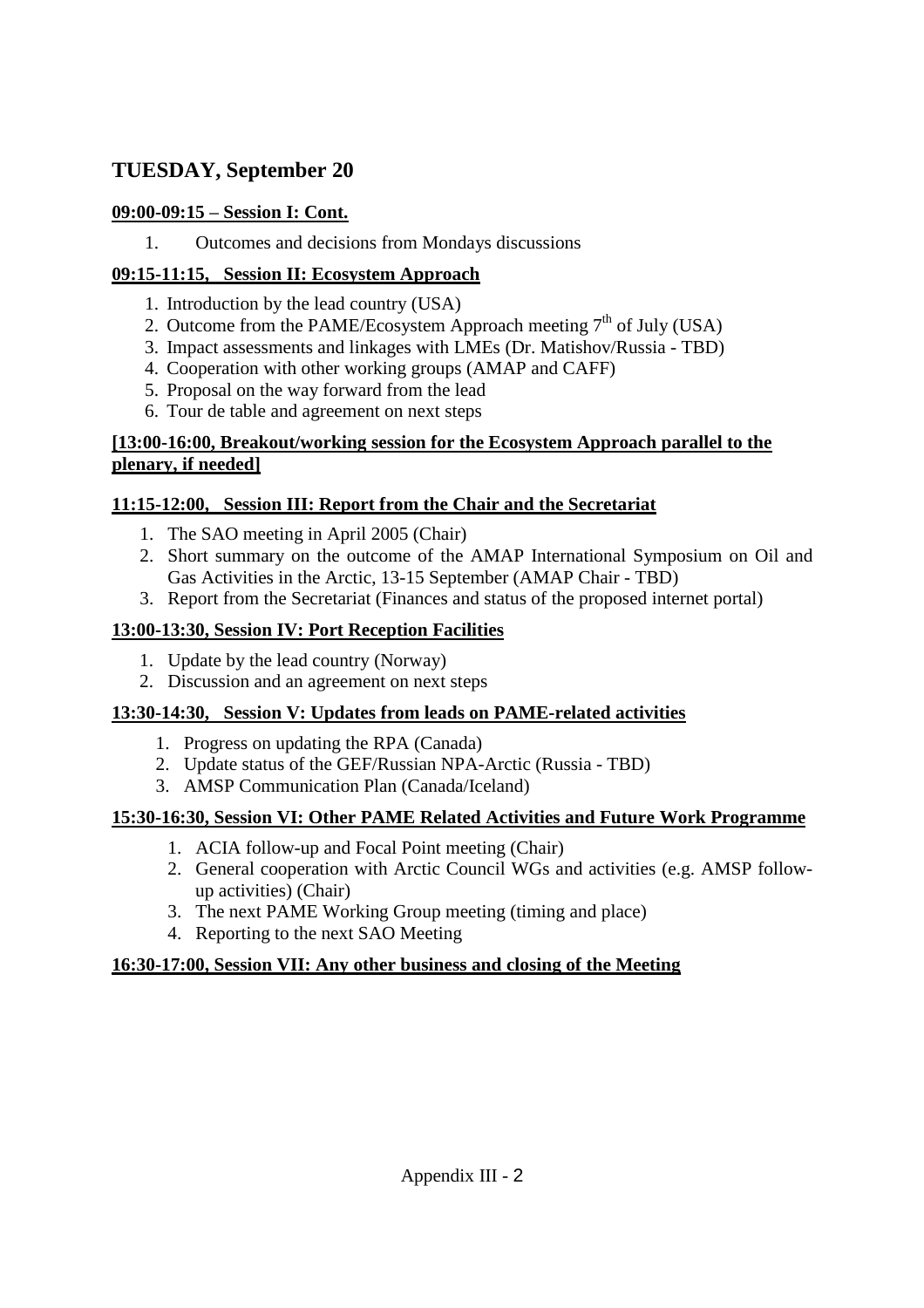# **TUESDAY, September 20**

# **09:00-09:15 –Session I: Cont.**

1. Outcomes and decisions from Mondays discussions

# **09:15-11:15, Session II: Ecosystem Approach**

- 1. Introduction by the lead country (USA)
- 2. Outcome from the PAME/Ecosystem Approach meeting  $7<sup>th</sup>$  of July (USA)
- 3. Impact assessments and linkages with LMEs (Dr. Matishov/Russia TBD)
- 4. Cooperation with other working groups (AMAP and CAFF)
- 5. Proposal on the way forward from the lead
- 6. Tour de table and agreement on next steps

# **[13:00-16:00, Breakout/working session for the Ecosystem Approach parallel to the plenary, if needed]**

# **11:15-12:00, Session III: Report from the Chair and the Secretariat**

- 1. The SAO meeting in April 2005 (Chair)
- 2. Short summary on the outcome of the AMAP International Symposium on Oil and Gas Activities in the Arctic, 13-15 September (AMAP Chair - TBD)
- 3. Report from the Secretariat (Finances and status of the proposed internet portal)

# **13:00-13:30, Session IV: Port Reception Facilities**

- 1. Update by the lead country (Norway)
- 2. Discussion and an agreement on next steps

# **13:30-14:30, Session V: Updates from leads on PAME-related activities**

- 1. Progress on updating the RPA (Canada)
- 2. Update status of the GEF/Russian NPA-Arctic (Russia TBD)
- 3. AMSP Communication Plan (Canada/Iceland)

# **15:30-16:30, Session VI: Other PAME Related Activities and Future Work Programme**

- 1. ACIA follow-up and Focal Point meeting (Chair)
- 2. General cooperation with Arctic Council WGs and activities (e.g. AMSP followup activities) (Chair)
- 3. The next PAME Working Group meeting (timing and place)
- 4. Reporting to the next SAO Meeting

# **16:30-17:00, Session VII: Any other business and closing of the Meeting**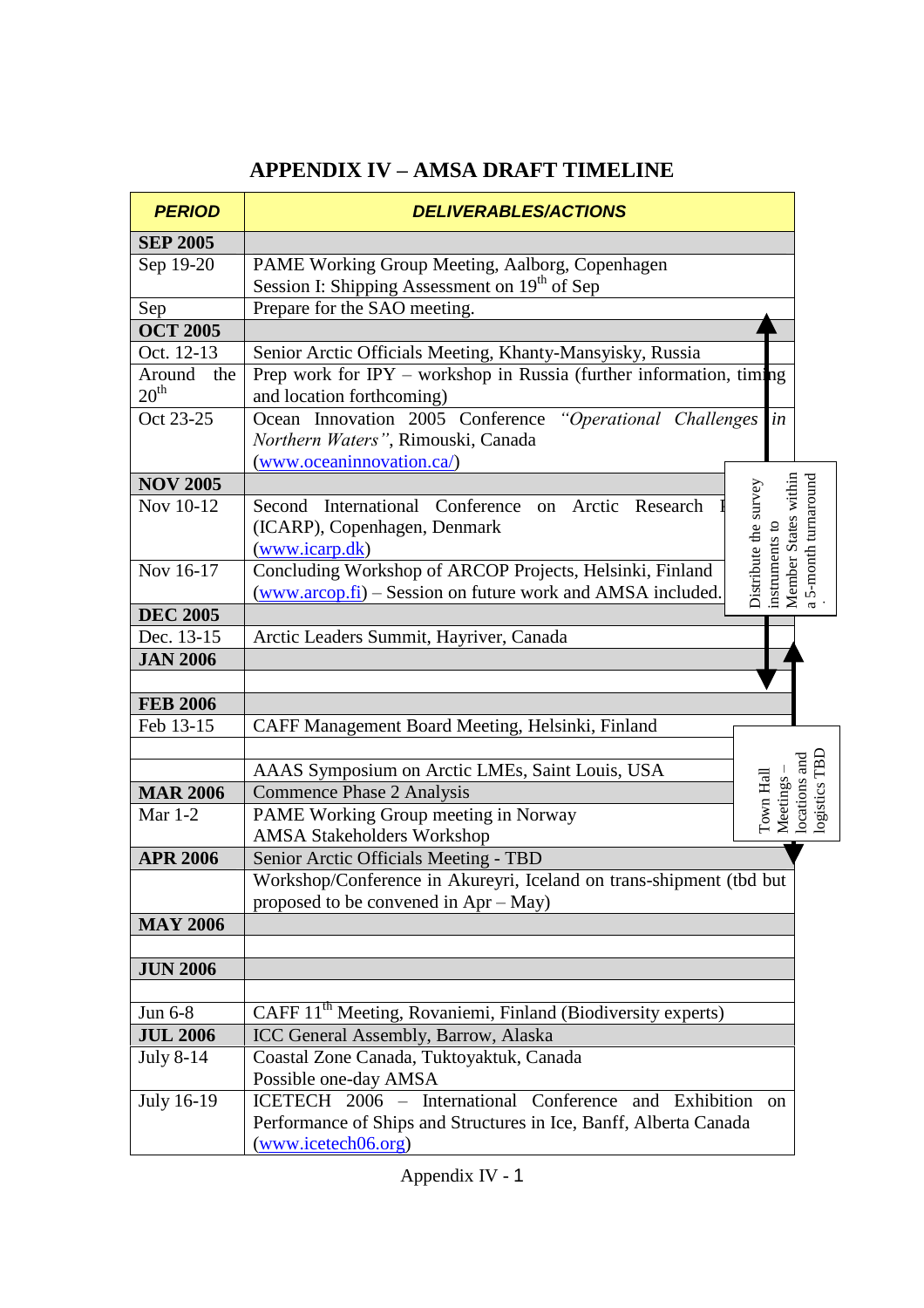| <b>PERIOD</b>    | <b>DELIVERABLES/ACTIONS</b>                                                                 |                                                              |
|------------------|---------------------------------------------------------------------------------------------|--------------------------------------------------------------|
| <b>SEP 2005</b>  |                                                                                             |                                                              |
| Sep 19-20        | PAME Working Group Meeting, Aalborg, Copenhagen                                             |                                                              |
|                  | Session I: Shipping Assessment on 19 <sup>th</sup> of Sep                                   |                                                              |
| Sep              | Prepare for the SAO meeting.                                                                |                                                              |
| <b>OCT 2005</b>  |                                                                                             |                                                              |
| Oct. 12-13       | Senior Arctic Officials Meeting, Khanty-Mansyisky, Russia                                   |                                                              |
| Around<br>the    | Prep work for IPY – workshop in Russia (further information, timing                         |                                                              |
| 20 <sup>th</sup> | and location forthcoming)                                                                   |                                                              |
| Oct 23-25        | "Operational Challenges<br>$\left  \textit{in} \right $<br>Ocean Innovation 2005 Conference |                                                              |
|                  | Northern Waters", Rimouski, Canada                                                          |                                                              |
|                  | (www.oceaninnovation.ca/)                                                                   |                                                              |
| <b>NOV 2005</b>  |                                                                                             | instruments to<br>Member States within<br>5-month turnaround |
| Nov 10-12        | Distribute the survey<br>Second International Conference on Arctic Research                 |                                                              |
|                  | (ICARP), Copenhagen, Denmark                                                                |                                                              |
|                  | (www.icarp.dk)                                                                              |                                                              |
| Nov 16-17        | Concluding Workshop of ARCOP Projects, Helsinki, Finland                                    |                                                              |
|                  | (www.arcop.fi) – Session on future work and AMSA included.                                  |                                                              |
| <b>DEC 2005</b>  |                                                                                             |                                                              |
| Dec. 13-15       | Arctic Leaders Summit, Hayriver, Canada                                                     |                                                              |
| <b>JAN 2006</b>  |                                                                                             |                                                              |
|                  |                                                                                             |                                                              |
| <b>FEB 2006</b>  |                                                                                             |                                                              |
| Feb 13-15        | CAFF Management Board Meeting, Helsinki, Finland                                            |                                                              |
|                  |                                                                                             |                                                              |
|                  | AAAS Symposium on Arctic LMEs, Saint Louis, USA                                             |                                                              |
| <b>MAR 2006</b>  | Town Hall<br><b>Commence Phase 2 Analysis</b>                                               | Meetings<br>locations<br>logistics                           |
| Mar $1-2$        | PAME Working Group meeting in Norway                                                        |                                                              |
|                  | <b>AMSA Stakeholders Workshop</b>                                                           |                                                              |
| <b>APR 2006</b>  | Senior Arctic Officials Meeting - TBD                                                       |                                                              |
|                  | Workshop/Conference in Akureyri, Iceland on trans-shipment (tbd but                         |                                                              |
|                  | proposed to be convened in Apr - May)                                                       |                                                              |
| <b>MAY 2006</b>  |                                                                                             |                                                              |
|                  |                                                                                             |                                                              |
| <b>JUN 2006</b>  |                                                                                             |                                                              |
|                  |                                                                                             |                                                              |
| Jun 6-8          | CAFF 11 <sup>th</sup> Meeting, Rovaniemi, Finland (Biodiversity experts)                    |                                                              |
| <b>JUL 2006</b>  | ICC General Assembly, Barrow, Alaska                                                        |                                                              |
| July 8-14        | Coastal Zone Canada, Tuktoyaktuk, Canada                                                    |                                                              |
|                  | Possible one-day AMSA                                                                       |                                                              |
| July 16-19       | ICETECH 2006 - International Conference and Exhibition on                                   |                                                              |
|                  | Performance of Ships and Structures in Ice, Banff, Alberta Canada                           |                                                              |
|                  | (www.icetech06.org)                                                                         |                                                              |

# **APPENDIX IV –AMSA DRAFT TIMELINE**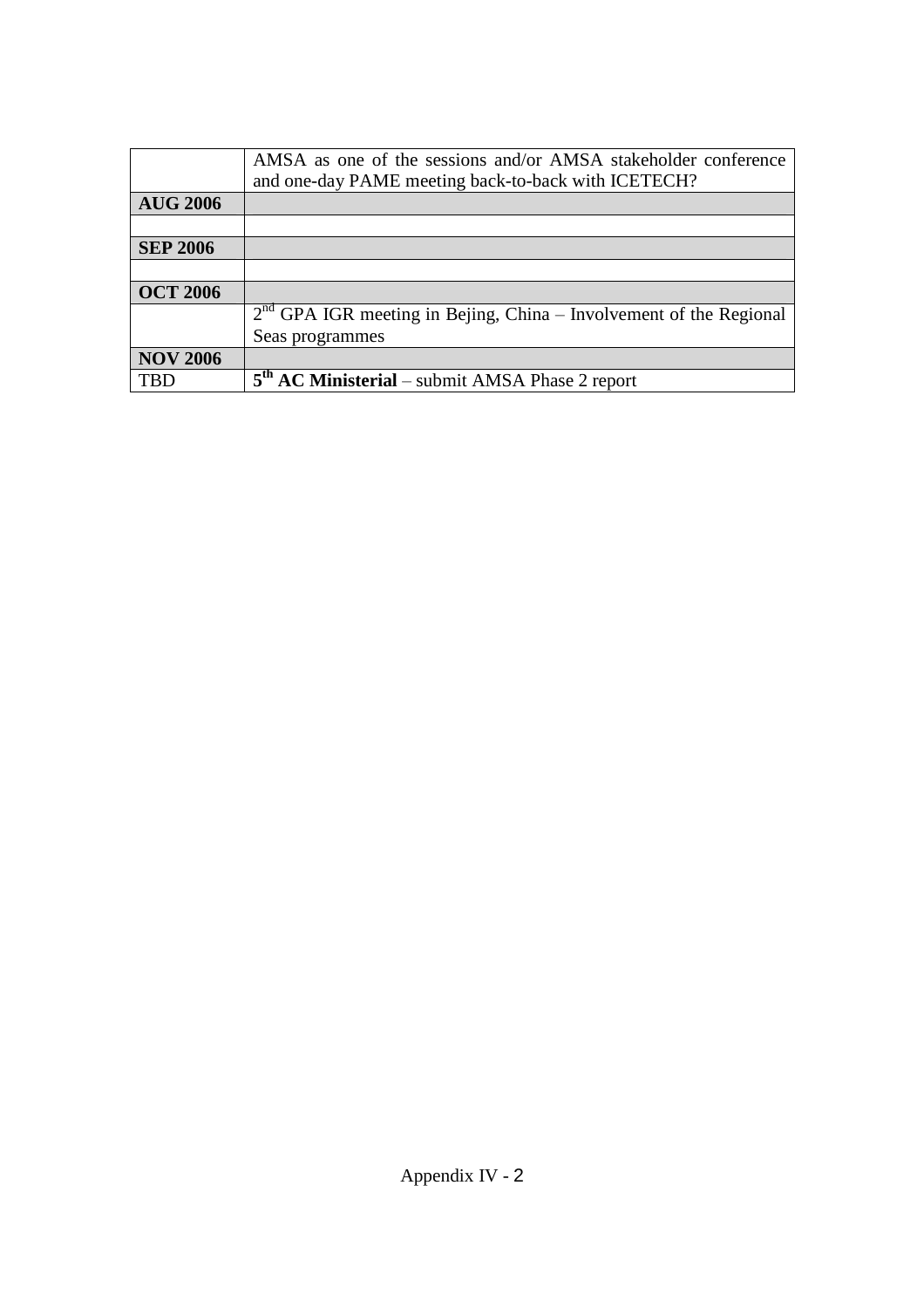|                 | AMSA as one of the sessions and/or AMSA stakeholder conference<br>and one-day PAME meeting back-to-back with ICETECH? |
|-----------------|-----------------------------------------------------------------------------------------------------------------------|
| <b>AUG 2006</b> |                                                                                                                       |
|                 |                                                                                                                       |
| <b>SEP 2006</b> |                                                                                                                       |
|                 |                                                                                                                       |
| <b>OCT 2006</b> |                                                                                                                       |
|                 | $2nd$ GPA IGR meeting in Bejing, China – Involvement of the Regional                                                  |
|                 | Seas programmes                                                                                                       |
| <b>NOV 2006</b> |                                                                                                                       |
| TRD             | 5 <sup>th</sup> AC Ministerial – submit AMSA Phase 2 report                                                           |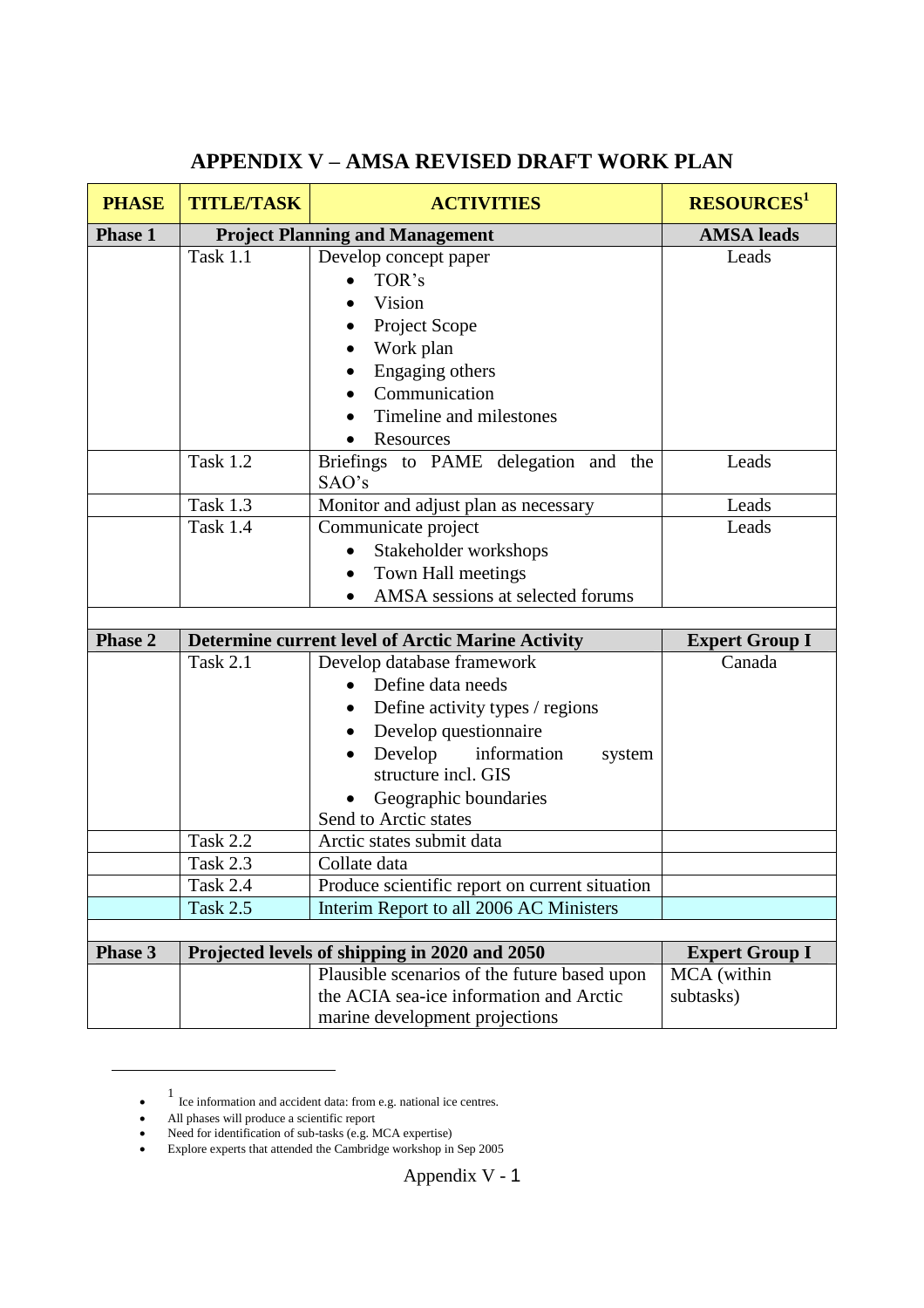| <b>PHASE</b>   | <b>TITLE/TASK</b> | <b>ACTIVITIES</b>                                        | <b>RESOURCES</b> <sup>1</sup> |
|----------------|-------------------|----------------------------------------------------------|-------------------------------|
| <b>Phase 1</b> |                   | <b>Project Planning and Management</b>                   | <b>AMSA</b> leads             |
|                | <b>Task 1.1</b>   | Develop concept paper                                    | Leads                         |
|                |                   | TOR's                                                    |                               |
|                |                   | Vision                                                   |                               |
|                |                   | Project Scope                                            |                               |
|                |                   | Work plan                                                |                               |
|                |                   | Engaging others                                          |                               |
|                |                   | Communication                                            |                               |
|                |                   | Timeline and milestones                                  |                               |
|                |                   | Resources                                                |                               |
|                | <b>Task 1.2</b>   | Briefings to PAME delegation and the<br>SAO's            | Leads                         |
|                | <b>Task 1.3</b>   | Monitor and adjust plan as necessary                     | Leads                         |
|                | <b>Task 1.4</b>   | Communicate project                                      | Leads                         |
|                |                   | Stakeholder workshops                                    |                               |
|                |                   | Town Hall meetings                                       |                               |
|                |                   | AMSA sessions at selected forums<br>$\bullet$            |                               |
|                |                   |                                                          |                               |
| <b>Phase 2</b> |                   | <b>Determine current level of Arctic Marine Activity</b> | <b>Expert Group I</b>         |
|                | <b>Task 2.1</b>   | Develop database framework                               | Canada                        |
|                |                   | Define data needs                                        |                               |
|                |                   | Define activity types / regions                          |                               |
|                |                   | Develop questionnaire                                    |                               |
|                |                   | Develop<br>information<br>system<br>structure incl. GIS  |                               |
|                |                   | Geographic boundaries                                    |                               |
|                |                   | Send to Arctic states                                    |                               |
|                | <b>Task 2.2</b>   | Arctic states submit data                                |                               |
|                | Task 2.3          | Collate data                                             |                               |
|                | <b>Task 2.4</b>   | Produce scientific report on current situation           |                               |
|                | <b>Task 2.5</b>   | Interim Report to all 2006 AC Ministers                  |                               |
|                |                   |                                                          |                               |
| <b>Phase 3</b> |                   | Projected levels of shipping in 2020 and 2050            | <b>Expert Group I</b>         |
|                |                   | Plausible scenarios of the future based upon             | MCA (within                   |
|                |                   | the ACIA sea-ice information and Arctic                  | subtasks)                     |
|                |                   | marine development projections                           |                               |

# **APPENDIX V –AMSA REVISED DRAFT WORK PLAN**

 $\bullet$ 1 Ice information and accident data: from e.g. national ice centres.

All phases will produce a scientific report

<sup>•</sup> Need for identification of sub-tasks (e.g. MCA expertise)

Explore experts that attended the Cambridge workshop in Sep 2005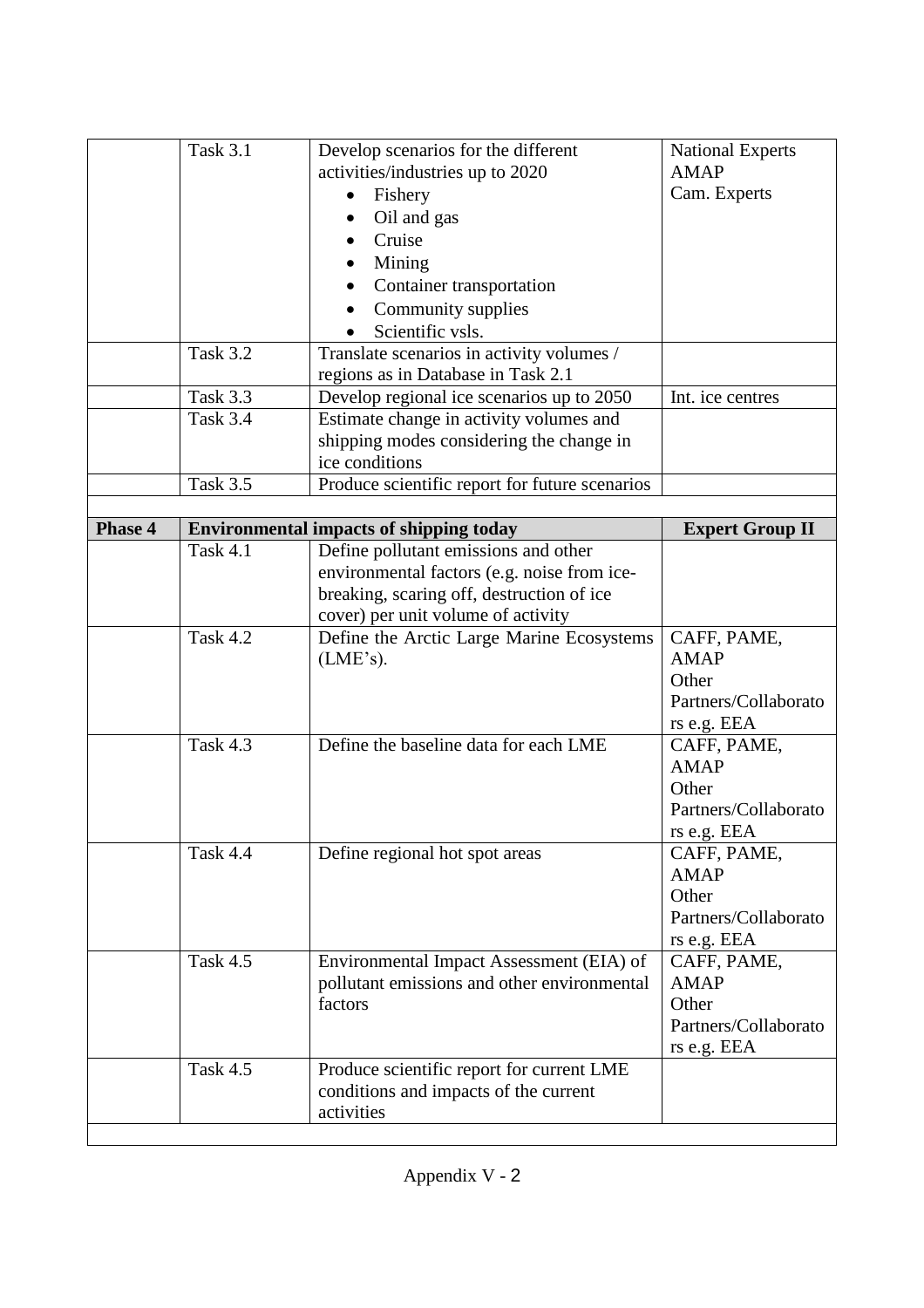|                | <b>Task 3.1</b> | Develop scenarios for the different                 | <b>National Experts</b> |
|----------------|-----------------|-----------------------------------------------------|-------------------------|
|                |                 | activities/industries up to 2020                    | <b>AMAP</b>             |
|                |                 | Fishery                                             | Cam. Experts            |
|                |                 | Oil and gas                                         |                         |
|                |                 | Cruise                                              |                         |
|                |                 | Mining                                              |                         |
|                |                 | Container transportation                            |                         |
|                |                 | Community supplies                                  |                         |
|                |                 | Scientific vsls.                                    |                         |
|                | <b>Task 3.2</b> | Translate scenarios in activity volumes /           |                         |
|                |                 | regions as in Database in Task 2.1                  |                         |
|                | Task 3.3        | Develop regional ice scenarios up to 2050           | Int. ice centres        |
|                | <b>Task 3.4</b> | Estimate change in activity volumes and             |                         |
|                |                 | shipping modes considering the change in            |                         |
|                |                 | ice conditions                                      |                         |
|                | <b>Task 3.5</b> | Produce scientific report for future scenarios      |                         |
|                |                 |                                                     |                         |
| <b>Phase 4</b> |                 | <b>Environmental impacts of shipping today</b>      | <b>Expert Group II</b>  |
|                | <b>Task 4.1</b> | Define pollutant emissions and other                |                         |
|                |                 | environmental factors (e.g. noise from ice-         |                         |
|                |                 | breaking, scaring off, destruction of ice           |                         |
|                |                 | cover) per unit volume of activity                  |                         |
|                | <b>Task 4.2</b> | Define the Arctic Large Marine Ecosystems           | CAFF, PAME,             |
|                |                 | (LME's).                                            | <b>AMAP</b>             |
|                |                 |                                                     | Other                   |
|                |                 |                                                     | Partners/Collaborato    |
|                |                 |                                                     | rs e.g. EEA             |
|                | <b>Task 4.3</b> | Define the baseline data for each LME               | CAFF, PAME,             |
|                |                 |                                                     |                         |
|                |                 |                                                     | <b>AMAP</b>             |
|                |                 |                                                     | Other                   |
|                |                 |                                                     | Partners/Collaborato    |
|                |                 |                                                     | rs e.g. EEA             |
|                | <b>Task 4.4</b> | Define regional hot spot areas                      | CAFF, PAME,             |
|                |                 |                                                     | <b>AMAP</b>             |
|                |                 |                                                     | Other                   |
|                |                 |                                                     | Partners/Collaborato    |
|                |                 |                                                     | rs e.g. EEA             |
|                | Task 4.5        | Environmental Impact Assessment (EIA) of            | CAFF, PAME,             |
|                |                 | pollutant emissions and other environmental         | <b>AMAP</b>             |
|                |                 | factors                                             | Other                   |
|                |                 |                                                     | Partners/Collaborato    |
|                |                 |                                                     | rs e.g. EEA             |
|                | Task 4.5        | Produce scientific report for current LME           |                         |
|                |                 |                                                     |                         |
|                |                 | conditions and impacts of the current<br>activities |                         |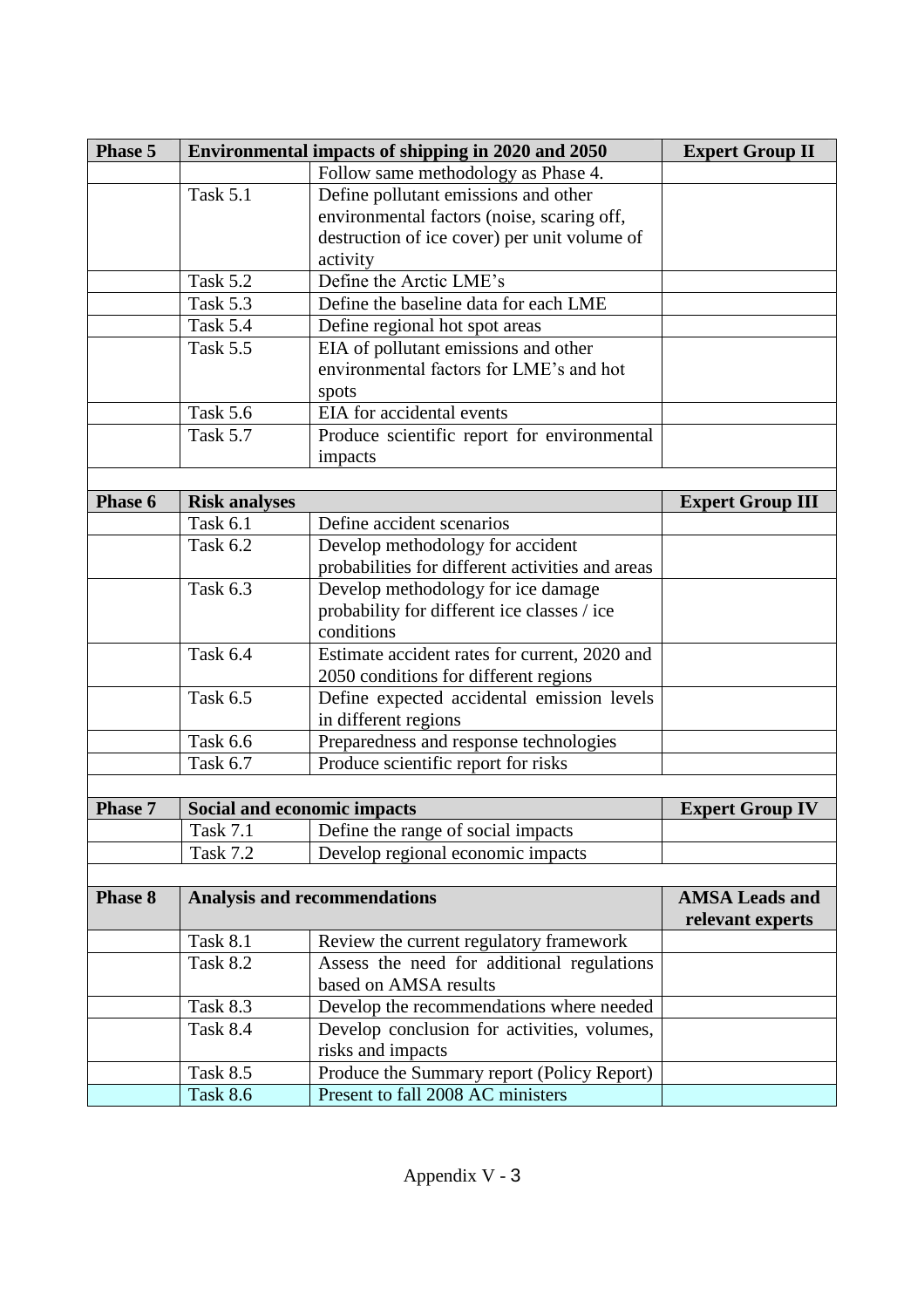| Phase 5        |                                                             | Environmental impacts of shipping in 2020 and 2050 | <b>Expert Group II</b>  |
|----------------|-------------------------------------------------------------|----------------------------------------------------|-------------------------|
|                |                                                             | Follow same methodology as Phase 4.                |                         |
|                | <b>Task 5.1</b>                                             |                                                    |                         |
|                |                                                             |                                                    |                         |
|                | destruction of ice cover) per unit volume of                |                                                    |                         |
|                |                                                             | activity                                           |                         |
|                | <b>Task 5.2</b>                                             | Define the Arctic LME's                            |                         |
|                | <b>Task 5.3</b>                                             | Define the baseline data for each LME              |                         |
|                | Task 5.4                                                    | Define regional hot spot areas                     |                         |
|                | <b>Task 5.5</b>                                             | EIA of pollutant emissions and other               |                         |
|                |                                                             | environmental factors for LME's and hot            |                         |
|                |                                                             | spots                                              |                         |
|                | <b>Task 5.6</b>                                             | EIA for accidental events                          |                         |
|                | <b>Task 5.7</b>                                             | Produce scientific report for environmental        |                         |
|                |                                                             | impacts                                            |                         |
|                |                                                             |                                                    |                         |
| Phase 6        | <b>Risk analyses</b>                                        |                                                    | <b>Expert Group III</b> |
|                | <b>Task 6.1</b>                                             | Define accident scenarios                          |                         |
|                | Task 6.2                                                    | Develop methodology for accident                   |                         |
|                |                                                             | probabilities for different activities and areas   |                         |
|                | <b>Task 6.3</b>                                             | Develop methodology for ice damage                 |                         |
|                |                                                             | probability for different ice classes / ice        |                         |
|                |                                                             | conditions                                         |                         |
|                | <b>Task 6.4</b>                                             | Estimate accident rates for current, 2020 and      |                         |
|                |                                                             | 2050 conditions for different regions              |                         |
|                | <b>Task 6.5</b>                                             | Define expected accidental emission levels         |                         |
|                |                                                             | in different regions                               |                         |
|                | <b>Task 6.6</b>                                             | Preparedness and response technologies             |                         |
|                | Produce scientific report for risks<br>Task 6.7             |                                                    |                         |
|                |                                                             |                                                    |                         |
| <b>Phase 7</b> |                                                             | Social and economic impacts                        | <b>Expert Group IV</b>  |
|                | <b>Task 7.1</b>                                             | Define the range of social impacts                 |                         |
|                | <b>Task 7.2</b>                                             | Develop regional economic impacts                  |                         |
|                |                                                             |                                                    |                         |
| <b>Phase 8</b> |                                                             | <b>Analysis and recommendations</b>                | <b>AMSA Leads and</b>   |
|                |                                                             |                                                    | relevant experts        |
|                | <b>Task 8.1</b>                                             | Review the current regulatory framework            |                         |
|                | <b>Task 8.2</b>                                             | Assess the need for additional regulations         |                         |
|                | based on AMSA results                                       |                                                    |                         |
|                | <b>Task 8.3</b><br>Develop the recommendations where needed |                                                    |                         |
|                | <b>Task 8.4</b>                                             | Develop conclusion for activities, volumes,        |                         |
|                | risks and impacts                                           |                                                    |                         |
|                | <b>Task 8.5</b>                                             | Produce the Summary report (Policy Report)         |                         |
|                | <b>Task 8.6</b>                                             | Present to fall 2008 AC ministers                  |                         |
|                |                                                             |                                                    |                         |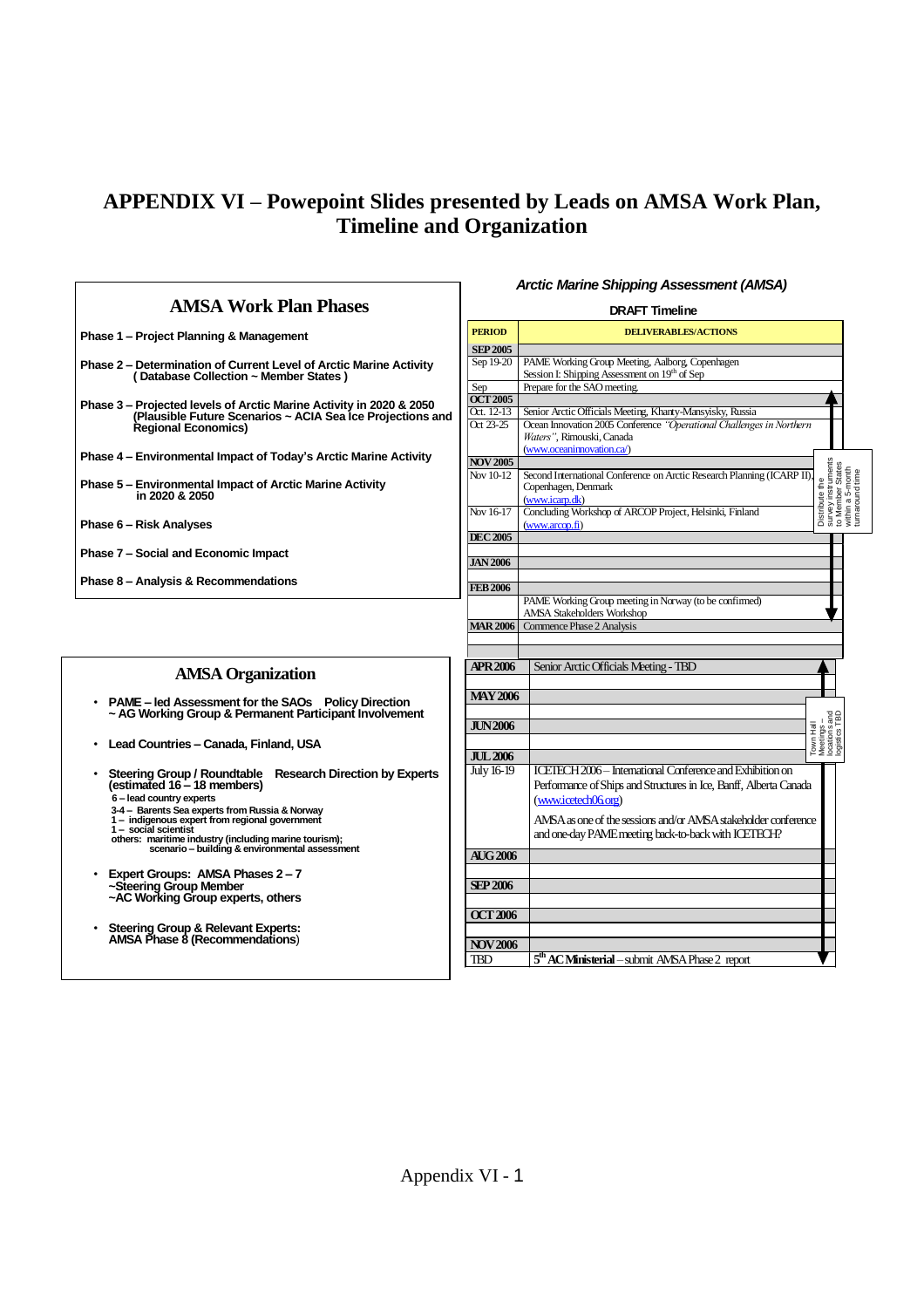# **APPENDIX VI –Powepoint Slides presented by Leads on AMSA Work Plan, Timeline and Organization**

ľ

 $\overline{1}$ 

*Arctic Marine Shipping Assessment (AMSA)*

| <b>AMSA Work Plan Phases</b>                                                                                                                                                                                                                         | <b>DRAFT Timeline</b>                             |                                                                                                                                                                                                                                                                                |  |  |
|------------------------------------------------------------------------------------------------------------------------------------------------------------------------------------------------------------------------------------------------------|---------------------------------------------------|--------------------------------------------------------------------------------------------------------------------------------------------------------------------------------------------------------------------------------------------------------------------------------|--|--|
| Phase 1 - Project Planning & Management                                                                                                                                                                                                              | <b>PERIOD</b>                                     | <b>DELIVERABLES/ACTIONS</b>                                                                                                                                                                                                                                                    |  |  |
| Phase 2 - Determination of Current Level of Arctic Marine Activity<br>(Database Collection ~ Member States)                                                                                                                                          | <b>SEP 2005</b><br>Sep 19-20                      | PAME Working Group Meeting, Aalborg, Copenhagen<br>Session I: Shipping Assessment on 19 <sup>th</sup> of Sep                                                                                                                                                                   |  |  |
| Phase 3 – Projected levels of Arctic Marine Activity in 2020 & 2050<br>(Plausible Future Scenarios ~ ACIA Sea Ice Projections and                                                                                                                    | Sep<br><b>OCT 2005</b><br>Oct. 12-13<br>Oct 23-25 | Prepare for the SAO meeting.<br>Senior Arctic Officials Meeting, Khanty-Mansyisky, Russia<br>Ocean Innovation 2005 Conference "Operational Challenges in Northern                                                                                                              |  |  |
| Regional Economics)<br>Phase 4 - Environmental Impact of Today's Arctic Marine Activity                                                                                                                                                              | <b>NOV 2005</b>                                   | Waters". Rimouski. Canada<br>(www.oceaninnovation.ca/)                                                                                                                                                                                                                         |  |  |
| <b>Phase 5 - Environmental Impact of Arctic Marine Activity</b><br>in 2020 & 2050                                                                                                                                                                    | Nov 10-12                                         | Distribute the<br>survey instruments<br>to Member States<br>within a 5-month<br>turnaround time<br>Second International Conference on Arctic Research Planning (ICARP II).<br>Copenhagen, Denmark<br>(www.jcarp.dk)                                                            |  |  |
| Phase 6 – Risk Analyses                                                                                                                                                                                                                              | Nov 16-17<br><b>DEC 2005</b>                      | Concluding Workshop of ARCOP Project, Helsinki, Finland<br>(www. arcon.fi)                                                                                                                                                                                                     |  |  |
| <b>Phase 7 - Social and Economic Impact</b>                                                                                                                                                                                                          | <b>JAN 2006</b>                                   |                                                                                                                                                                                                                                                                                |  |  |
| Phase 8 - Analysis & Recommendations                                                                                                                                                                                                                 | <b>FEB 2006</b>                                   | PAME Working Group meeting in Norway (to be confirmed)                                                                                                                                                                                                                         |  |  |
|                                                                                                                                                                                                                                                      | <b>MAR 2006</b>                                   | <b>AMSA Stakeholders Workshop</b><br>Commence Phase 2 Analysis                                                                                                                                                                                                                 |  |  |
| <b>AMSA Organization</b>                                                                                                                                                                                                                             | <b>APR 2006</b>                                   | Senior Arctic Officials Meeting - TBD                                                                                                                                                                                                                                          |  |  |
| PAME - led Assessment for the SAOs Policy Direction<br>$\bullet$<br>~ AG Working Group & Permanent Participant Involvement                                                                                                                           | <b>MAY 2006</b><br><b>JUN2006</b>                 |                                                                                                                                                                                                                                                                                |  |  |
| Lead Countries - Canada, Finland, USA<br>٠                                                                                                                                                                                                           | <b>JUL 2006</b>                                   | Town Hall<br>Meetings –<br>locations and<br>logistics TBD                                                                                                                                                                                                                      |  |  |
| Steering Group / Roundtable Research Direction by Experts<br>٠<br>(estimated 16 - 18 members)<br>6 - lead country experts<br>3-4 - Barents Sea experts from Russia & Norway<br>1 - indigenous expert from regional government<br>1- social scientist | July 16-19                                        | ICEIECH 2006 - International Conference and Exhibition on<br>Performance of Ships and Structures in Ice, Banff, Alberta Canada<br>(www.icetech06.org)<br>AMSA as one of the sessions and/or AMSA stakeholder conference<br>and one-day PAME meeting back-to-back with ICETECH? |  |  |
| others: maritime industry (including marine tourism);<br>scenario – building & environmental assessment                                                                                                                                              | <b>AUG 2006</b>                                   |                                                                                                                                                                                                                                                                                |  |  |
| Expert Groups: AMSA Phases 2-7<br>٠<br>~Steering Group Member<br>~AC Working Group experts, others                                                                                                                                                   | <b>SEP 2006</b><br><b>OCT 2006</b>                |                                                                                                                                                                                                                                                                                |  |  |
| Steering Group & Relevant Experts:<br>AMSA Phase 8 (Recommendations)                                                                                                                                                                                 | <b>NOV 2006</b>                                   |                                                                                                                                                                                                                                                                                |  |  |
|                                                                                                                                                                                                                                                      | TBD                                               | 5 <sup>th</sup> AC Ministerial - submit AMSA Phase 2 report                                                                                                                                                                                                                    |  |  |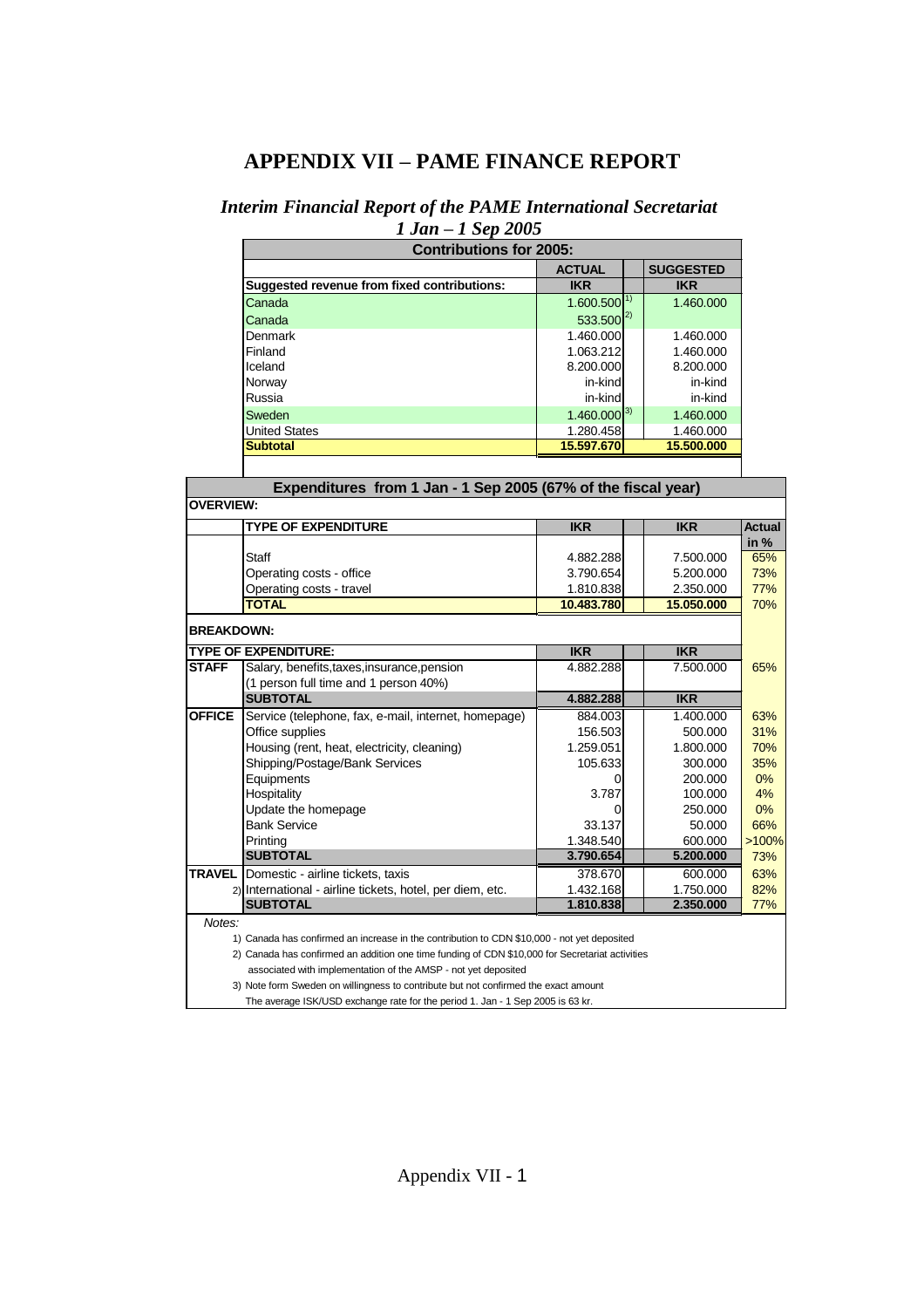# **APPENDIX VII –PAME FINANCE REPORT**

# *Interim Financial Report of the PAME International Secretariat*

|                   | $1 Jan - 1 Sep 2005$                                                                            |                         |    |                         |               |
|-------------------|-------------------------------------------------------------------------------------------------|-------------------------|----|-------------------------|---------------|
|                   | <b>Contributions for 2005:</b>                                                                  |                         |    |                         |               |
|                   |                                                                                                 | <b>ACTUAL</b>           |    | <b>SUGGESTED</b>        |               |
|                   | Suggested revenue from fixed contributions:                                                     | <b>IKR</b>              |    | <b>IKR</b>              |               |
|                   | Canada                                                                                          | 1.600.500               | 1) | 1.460.000               |               |
|                   | Canada                                                                                          | $533.500^{2}$           |    |                         |               |
|                   | Denmark                                                                                         | 1.460.000               |    | 1.460.000               |               |
|                   | Finland                                                                                         | 1.063.212               |    | 1.460.000               |               |
|                   | Iceland                                                                                         | 8.200.000               |    | 8.200.000               |               |
|                   | Norway                                                                                          | in-kind                 |    | in-kind                 |               |
|                   | Russia                                                                                          | in-kind                 |    | in-kind                 |               |
|                   | Sweden                                                                                          | $1.460.000^{3}$         |    | 1.460.000               |               |
|                   | United States                                                                                   | 1.280.458               |    | 1.460.000               |               |
|                   | <b>Subtotal</b>                                                                                 | 15.597.670              |    | 15.500.000              |               |
|                   |                                                                                                 |                         |    |                         |               |
|                   | Expenditures from 1 Jan - 1 Sep 2005 (67% of the fiscal year)                                   |                         |    |                         |               |
| <b>OVERVIEW:</b>  |                                                                                                 |                         |    |                         |               |
|                   |                                                                                                 |                         |    |                         |               |
|                   | <b>TYPE OF EXPENDITURE</b>                                                                      | <b>IKR</b>              |    | <b>IKR</b>              | <b>Actual</b> |
|                   |                                                                                                 |                         |    |                         | in $%$        |
|                   | Staff                                                                                           | 4.882.288               |    | 7.500.000               | 65%           |
|                   | Operating costs - office                                                                        | 3.790.654               |    | 5.200.000               | 73%           |
|                   | Operating costs - travel<br><b>TOTAL</b>                                                        | 1.810.838<br>10.483.780 |    | 2.350.000<br>15.050.000 | 77%           |
|                   |                                                                                                 |                         |    |                         | 70%           |
| <b>BREAKDOWN:</b> |                                                                                                 |                         |    |                         |               |
|                   | <b>TYPE OF EXPENDITURE:</b>                                                                     | IKR                     |    | <b>IKR</b>              |               |
| <b>STAFF</b>      | Salary, benefits, taxes, insurance, pension                                                     | 4.882.288               |    | 7.500.000               | 65%           |
|                   | (1 person full time and 1 person 40%)                                                           |                         |    |                         |               |
|                   | <b>SUBTOTAL</b>                                                                                 | 4.882.288               |    | <b>IKR</b>              |               |
| <b>OFFICE</b>     | Service (telephone, fax, e-mail, internet, homepage)                                            | 884.003                 |    | 1.400.000               | 63%           |
|                   | Office supplies                                                                                 | 156.503                 |    | 500.000                 | 31%           |
|                   | Housing (rent, heat, electricity, cleaning)                                                     | 1.259.051               |    | 1.800.000               | 70%           |
|                   | Shipping/Postage/Bank Services                                                                  | 105.633                 |    | 300.000                 | 35%           |
|                   | Equipments                                                                                      | 0                       |    | 200.000                 | 0%            |
|                   | Hospitality                                                                                     | 3.787                   |    | 100.000                 | 4%            |
|                   | Update the homepage                                                                             | 0                       |    | 250.000                 | 0%            |
|                   | <b>Bank Service</b>                                                                             | 33.137                  |    | 50.000                  | 66%           |
|                   | Printing                                                                                        | 1.348.540               |    | 600.000                 | >100%         |
|                   | <b>SUBTOTAL</b>                                                                                 | 3.790.654               |    | 5.200.000               | 73%           |
| <b>TRAVEL</b>     | Domestic - airline tickets, taxis                                                               | 378.670                 |    | 600.000                 | 63%           |
|                   | 2) International - airline tickets, hotel, per diem, etc.                                       | 1.432.168               |    | 1.750.000               | 82%           |
|                   | <b>SUBTOTAL</b>                                                                                 | 1.810.838               |    | 2.350.000               | 77%           |
| Notes:            |                                                                                                 |                         |    |                         |               |
|                   | 1) Canada has confirmed an increase in the contribution to CDN \$10,000 - not yet deposited     |                         |    |                         |               |
|                   | 2) Canada has confirmed an addition one time funding of CDN \$10,000 for Secretariat activities |                         |    |                         |               |
|                   | associated with implementation of the AMSP - not yet deposited                                  |                         |    |                         |               |
|                   | 3) Note form Sweden on willingness to contribute but not confirmed the exact amount             |                         |    |                         |               |
|                   | The average ISK/USD exchange rate for the period 1. Jan - 1 Sep 2005 is 63 kr.                  |                         |    |                         |               |
|                   |                                                                                                 |                         |    |                         |               |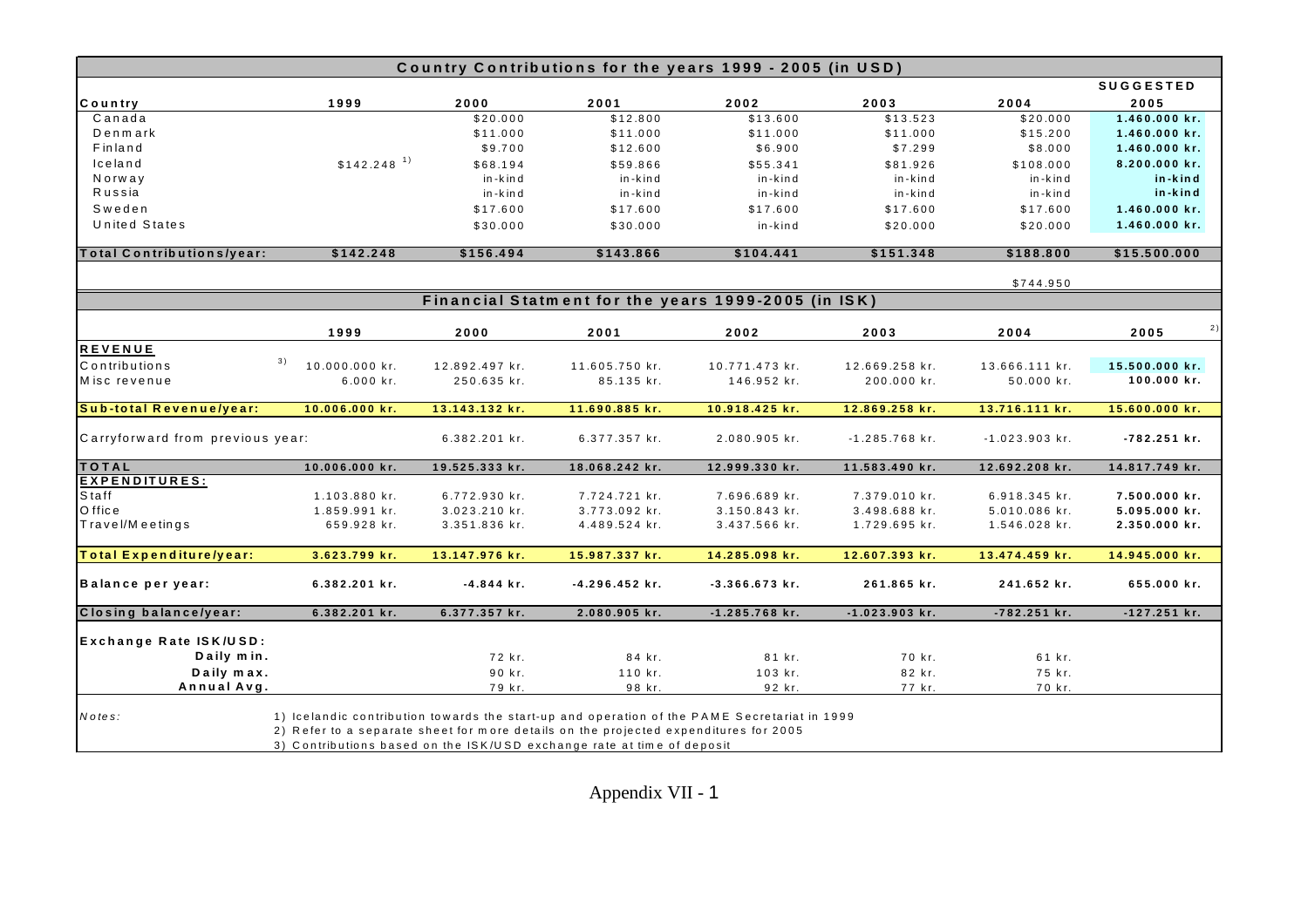| Country Contributions for the years 1999 - 2005 (in USD) |                                                                                                                                                                                                                                                                |                |                |                                                     |                  |                  |                  |
|----------------------------------------------------------|----------------------------------------------------------------------------------------------------------------------------------------------------------------------------------------------------------------------------------------------------------------|----------------|----------------|-----------------------------------------------------|------------------|------------------|------------------|
|                                                          |                                                                                                                                                                                                                                                                |                |                |                                                     |                  |                  | <b>SUGGESTED</b> |
| Country                                                  | 1999                                                                                                                                                                                                                                                           | 2000           | 2001           | 2002                                                | 2003             | 2004             | 2005             |
| Canada                                                   |                                                                                                                                                                                                                                                                | \$20.000       | \$12.800       | \$13.600                                            | \$13.523         | \$20.000         | 1.460.000 kr.    |
| Denmark                                                  |                                                                                                                                                                                                                                                                | \$11.000       | \$11.000       | \$11.000                                            | \$11.000         | \$15.200         | 1.460.000 kr.    |
| Finland                                                  |                                                                                                                                                                                                                                                                | \$9.700        | \$12.600       | \$6.900                                             | \$7.299          | \$8.000          | 1.460.000 kr.    |
| lceland                                                  | $$142.248$ <sup>1)</sup>                                                                                                                                                                                                                                       | \$68.194       | \$59.866       | \$55.341                                            | \$81.926         | \$108.000        | 8.200.000 kr.    |
| Norway                                                   |                                                                                                                                                                                                                                                                | in-kind        | in-kind        | in-kind                                             | in-kind          | in-kind          | in-kind          |
| Russia                                                   |                                                                                                                                                                                                                                                                | in-kind        | in-kind        | in-kind                                             | in-kind          | in-kind          | in-kind          |
| Sweden                                                   |                                                                                                                                                                                                                                                                | \$17.600       | \$17.600       | \$17.600                                            | \$17.600         | \$17.600         | 1.460.000 kr.    |
| <b>United States</b>                                     |                                                                                                                                                                                                                                                                | \$30.000       | \$30.000       | in-kind                                             | \$20.000         | \$20.000         | 1.460.000 kr.    |
| Total Contributions/year:                                | \$142.248                                                                                                                                                                                                                                                      | \$156.494      | \$143.866      | \$104.441                                           | \$151.348        | \$188.800        | \$15.500.000     |
|                                                          |                                                                                                                                                                                                                                                                |                |                |                                                     |                  | \$744.950        |                  |
|                                                          |                                                                                                                                                                                                                                                                |                |                | Financial Statment for the years 1999-2005 (in ISK) |                  |                  |                  |
|                                                          | 1999                                                                                                                                                                                                                                                           | 2000           | 2001           | 2002                                                | 2003             | 2004             | 2005             |
| <b>REVENUE</b>                                           |                                                                                                                                                                                                                                                                |                |                |                                                     |                  |                  |                  |
| Contributions                                            | 3)<br>10.000.000 kr.                                                                                                                                                                                                                                           | 12.892.497 kr. |                |                                                     | 12.669.258 kr.   |                  | 15.500.000 kr.   |
| Misc revenue                                             |                                                                                                                                                                                                                                                                |                | 11.605.750 kr. | 10.771.473 kr.                                      |                  | 13.666.111 kr.   | 100.000 kr.      |
|                                                          | 6.000 kr.                                                                                                                                                                                                                                                      | 250.635 kr.    | 85.135 kr.     | 146.952 kr.                                         | 200.000 kr.      | 50.000 kr.       |                  |
| Sub-total Revenue/year:                                  | 10.006.000 kr.                                                                                                                                                                                                                                                 | 13.143.132 kr. | 11.690.885 kr. | 10.918.425 kr.                                      | 12.869.258 kr.   | 13.716.111 kr.   | 15.600.000 kr.   |
| Carryforward from previous year:                         |                                                                                                                                                                                                                                                                | 6.382.201 kr.  | 6.377.357 kr.  | 2.080.905 kr.                                       | $-1.285.768$ kr. | $-1.023.903$ kr. | $-782.251$ kr.   |
| TOTAL                                                    | 10.006.000 kr.                                                                                                                                                                                                                                                 | 19.525.333 kr. | 18.068.242 kr. | 12.999.330 kr.                                      | 11.583.490 kr.   | 12.692.208 kr.   | 14.817.749 kr.   |
| <b>EXPENDITURES:</b>                                     |                                                                                                                                                                                                                                                                |                |                |                                                     |                  |                  |                  |
| Staff                                                    | 1.103.880 kr.                                                                                                                                                                                                                                                  | 6.772.930 kr.  | 7.724.721 kr.  | 7.696.689 kr.                                       | 7.379.010 kr.    | 6.918.345 kr.    | 7.500.000 kr.    |
| O ffice                                                  | 1.859.991 kr.                                                                                                                                                                                                                                                  | 3.023.210 kr.  | 3.773.092 kr.  | 3.150.843 kr.                                       | 3.498.688 kr.    | 5.010.086 kr.    | 5.095.000 kr.    |
| Travel/Meetings                                          | 659.928 kr.                                                                                                                                                                                                                                                    | 3.351.836 kr.  | 4.489.524 kr.  | 3.437.566 kr.                                       | 1.729.695 kr.    | 1.546.028 kr.    | 2.350.000 kr.    |
|                                                          |                                                                                                                                                                                                                                                                |                |                |                                                     |                  |                  |                  |
| Total Expenditure/year:                                  | 3.623.799 kr.                                                                                                                                                                                                                                                  | 13.147.976 kr. | 15.987.337 kr. | 14.285.098 kr.                                      | 12.607.393 kr.   | 13.474.459 kr.   | 14.945.000 kr.   |
| Balance per year:                                        | 6.382.201 kr.                                                                                                                                                                                                                                                  | $-4.844$ kr.   | -4.296.452 kr. | $-3.366.673$ kr.                                    | 261.865 kr.      | 241.652 kr.      | 655.000 kr.      |
| Closing balance/year:                                    | 6.382.201 kr.                                                                                                                                                                                                                                                  | 6.377.357 kr.  | 2.080.905 kr.  | $-1.285.768$ kr.                                    | $-1.023.903$ kr. | $-782.251$ kr.   | $-127.251$ kr.   |
|                                                          |                                                                                                                                                                                                                                                                |                |                |                                                     |                  |                  |                  |
| Exchange Rate ISK/USD:                                   |                                                                                                                                                                                                                                                                |                |                |                                                     |                  |                  |                  |
| Daily min.                                               |                                                                                                                                                                                                                                                                | 72 kr.         | 84 kr.         | 81 kr.                                              | 70 kr.           | 61 kr.           |                  |
| Daily max.                                               |                                                                                                                                                                                                                                                                | 90 kr.         | 110 kr.        | 103 kr.                                             | 82 kr.           | 75 kr.           |                  |
| Annual Avg.                                              |                                                                                                                                                                                                                                                                | 79 kr.         | 98 kr.         | 92 kr.                                              | 77 kr.           | 70 kr.           |                  |
| Notes:                                                   | 1) Icelandic contribution towards the start-up and operation of the PAME Secretariat in 1999<br>2) Refer to a separate sheet for more details on the projected expenditures for 2005<br>3) Contributions based on the ISK/USD exchange rate at time of deposit |                |                |                                                     |                  |                  |                  |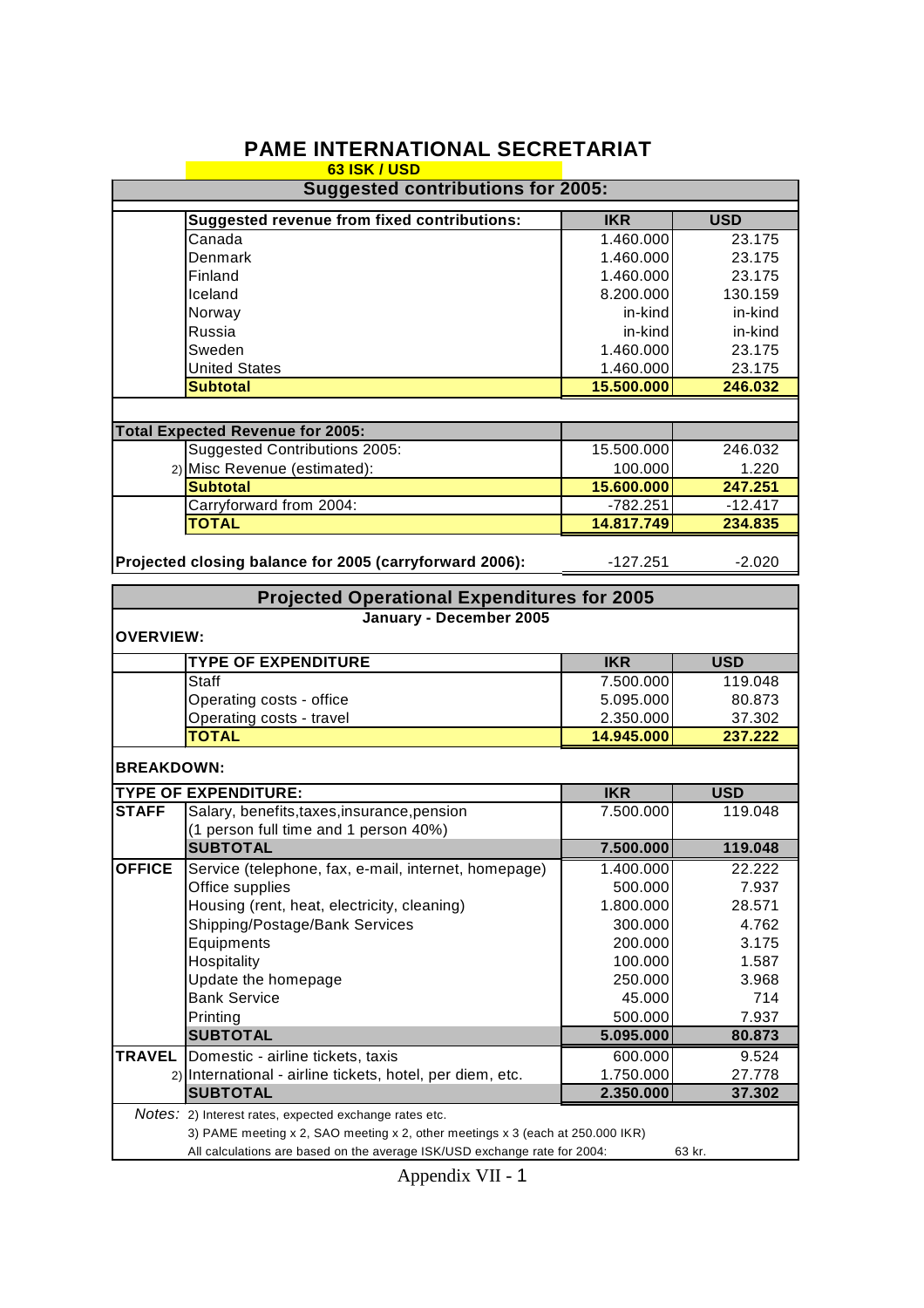|                                          | <b>63 ISK / USD</b>                                                                                                                                         |                        |                  |  |  |  |
|------------------------------------------|-------------------------------------------------------------------------------------------------------------------------------------------------------------|------------------------|------------------|--|--|--|
| <b>Suggested contributions for 2005:</b> |                                                                                                                                                             |                        |                  |  |  |  |
|                                          | <b>Suggested revenue from fixed contributions:</b>                                                                                                          | <b>IKR</b>             | <b>USD</b>       |  |  |  |
|                                          | Canada                                                                                                                                                      | 1.460.000              | 23.175           |  |  |  |
|                                          | Denmark                                                                                                                                                     | 1.460.000              | 23.175           |  |  |  |
|                                          | Finland                                                                                                                                                     | 1.460.000              | 23.175           |  |  |  |
|                                          | Iceland                                                                                                                                                     | 8.200.000              | 130.159          |  |  |  |
|                                          | Norway                                                                                                                                                      | in-kind                | in-kind          |  |  |  |
|                                          | Russia                                                                                                                                                      | in-kind                | in-kind          |  |  |  |
|                                          | Sweden                                                                                                                                                      | 1.460.000              | 23.175           |  |  |  |
|                                          | <b>United States</b>                                                                                                                                        | 1.460.000              | 23.175           |  |  |  |
|                                          | <b>Subtotal</b>                                                                                                                                             | 15.500.000             | 246.032          |  |  |  |
|                                          |                                                                                                                                                             |                        |                  |  |  |  |
|                                          | <b>Total Expected Revenue for 2005:</b>                                                                                                                     |                        |                  |  |  |  |
|                                          | Suggested Contributions 2005:                                                                                                                               | 15.500.000             | 246.032          |  |  |  |
|                                          | 2) Misc Revenue (estimated):                                                                                                                                | 100.000                | 1.220            |  |  |  |
|                                          | <b>Subtotal</b>                                                                                                                                             | 15.600.000             | 247.251          |  |  |  |
|                                          | Carryforward from 2004:                                                                                                                                     | $-782.251$             | $-12.417$        |  |  |  |
|                                          | <b>TOTAL</b>                                                                                                                                                | 14.817.749             | 234.835          |  |  |  |
|                                          |                                                                                                                                                             |                        |                  |  |  |  |
|                                          | Projected closing balance for 2005 (carryforward 2006):                                                                                                     | $-127.251$             | $-2.020$         |  |  |  |
|                                          | <b>Projected Operational Expenditures for 2005</b>                                                                                                          |                        |                  |  |  |  |
|                                          | January - December 2005                                                                                                                                     |                        |                  |  |  |  |
| <b>OVERVIEW:</b>                         |                                                                                                                                                             |                        |                  |  |  |  |
|                                          | <b>TYPE OF EXPENDITURE</b>                                                                                                                                  | <b>IKR</b>             | <b>USD</b>       |  |  |  |
|                                          | <b>Staff</b>                                                                                                                                                | 7.500.000              | 119.048          |  |  |  |
|                                          | Operating costs - office                                                                                                                                    | 5.095.000              | 80.873           |  |  |  |
|                                          | Operating costs - travel                                                                                                                                    | 2.350.000              | 37.302           |  |  |  |
|                                          | <b>TOTAL</b>                                                                                                                                                | 14.945.000             | 237.222          |  |  |  |
| <b>BREAKDOWN:</b>                        |                                                                                                                                                             |                        |                  |  |  |  |
|                                          | <b>TYPE OF EXPENDITURE:</b>                                                                                                                                 | <b>IKR</b>             | <b>USD</b>       |  |  |  |
| <b>STAFF</b>                             | Salary, benefits, taxes, insurance, pension                                                                                                                 | 7.500.000              | 119.048          |  |  |  |
|                                          | (1 person full time and 1 person 40%)                                                                                                                       |                        |                  |  |  |  |
|                                          | <b>SUBTOTAL</b>                                                                                                                                             | 7.500.000              | 119.048          |  |  |  |
| <b>OFFICE</b>                            | Service (telephone, fax, e-mail, internet, homepage)                                                                                                        | 1.400.000              | 22.222           |  |  |  |
|                                          | Office supplies                                                                                                                                             | 500.000                | 7.937            |  |  |  |
|                                          | Housing (rent, heat, electricity, cleaning)                                                                                                                 | 1.800.000              | 28.571           |  |  |  |
|                                          | Shipping/Postage/Bank Services                                                                                                                              | 300.000                | 4.762            |  |  |  |
|                                          | Equipments                                                                                                                                                  | 200.000                | 3.175            |  |  |  |
|                                          | Hospitality                                                                                                                                                 | 100.000                | 1.587            |  |  |  |
|                                          | Update the homepage                                                                                                                                         | 250.000                | 3.968            |  |  |  |
|                                          | <b>Bank Service</b>                                                                                                                                         | 45.000                 | 714              |  |  |  |
|                                          | Printing                                                                                                                                                    | 500.000                | 7.937            |  |  |  |
|                                          | <b>SUBTOTAL</b>                                                                                                                                             | 5.095.000              | 80.873           |  |  |  |
|                                          |                                                                                                                                                             |                        |                  |  |  |  |
| <b>TRAVEL</b>                            | Domestic - airline tickets, taxis                                                                                                                           | 600.000                | 9.524            |  |  |  |
|                                          | 2) International - airline tickets, hotel, per diem, etc.<br><b>SUBTOTAL</b>                                                                                | 1.750.000<br>2.350.000 | 27.778<br>37.302 |  |  |  |
|                                          |                                                                                                                                                             |                        |                  |  |  |  |
|                                          | Notes: 2) Interest rates, expected exchange rates etc.                                                                                                      |                        |                  |  |  |  |
|                                          | 3) PAME meeting x 2, SAO meeting x 2, other meetings x 3 (each at 250.000 IKR)<br>All calculations are based on the average ISK/USD exchange rate for 2004: |                        | 63 kr.           |  |  |  |
|                                          |                                                                                                                                                             |                        |                  |  |  |  |

# **PAME INTERNATIONAL SECRETARIAT**

Appendix VII - 1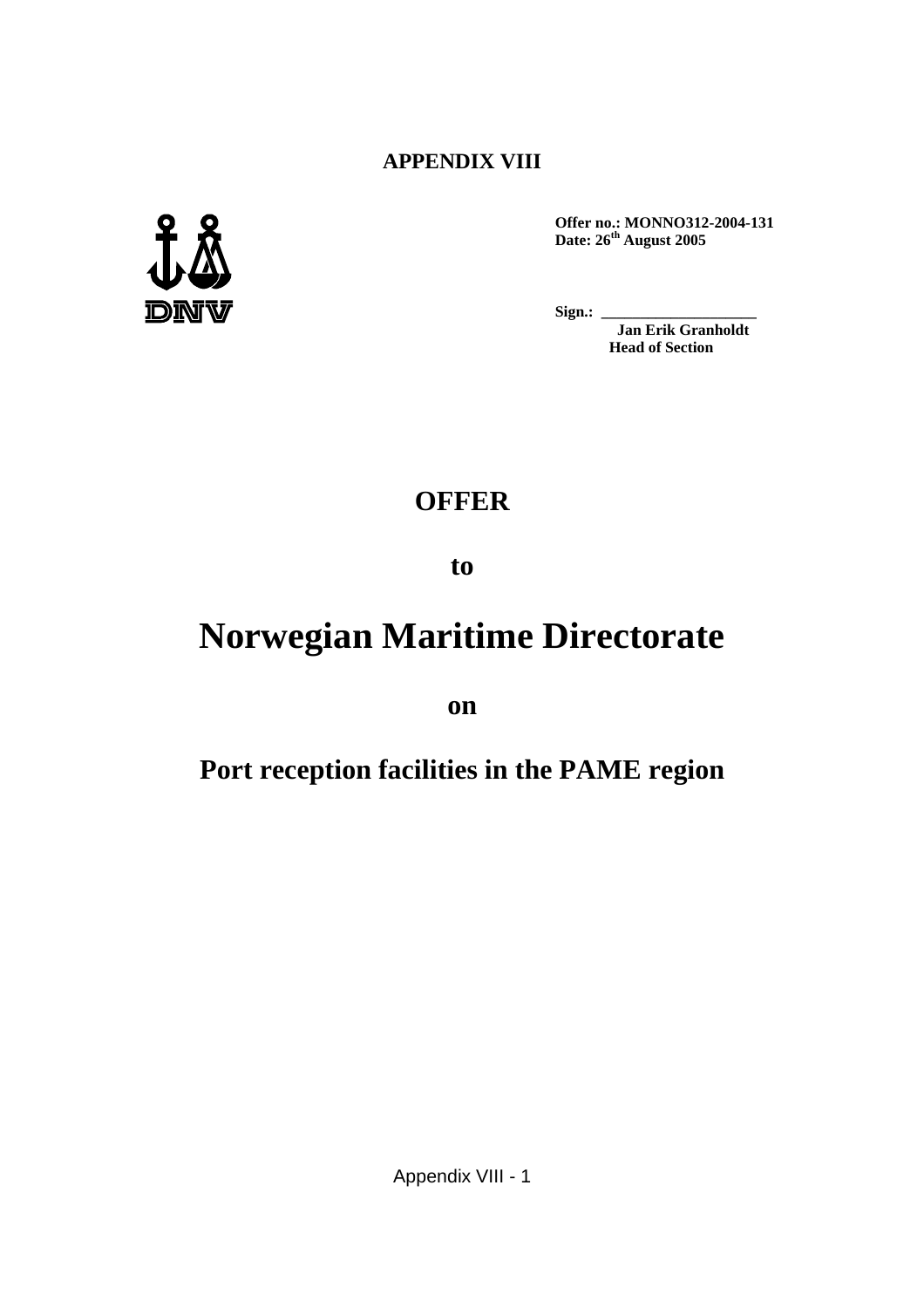# **APPENDIX VIII**



**Offer no.: MONNO312-2004-131 Date: 26th August 2005**

**Sign.:** 

**Jan Erik Granholdt Head of Section**

# **OFFER**

**to**

# **Norwegian Maritime Directorate**

**on**

# **Port reception facilities in the PAME region**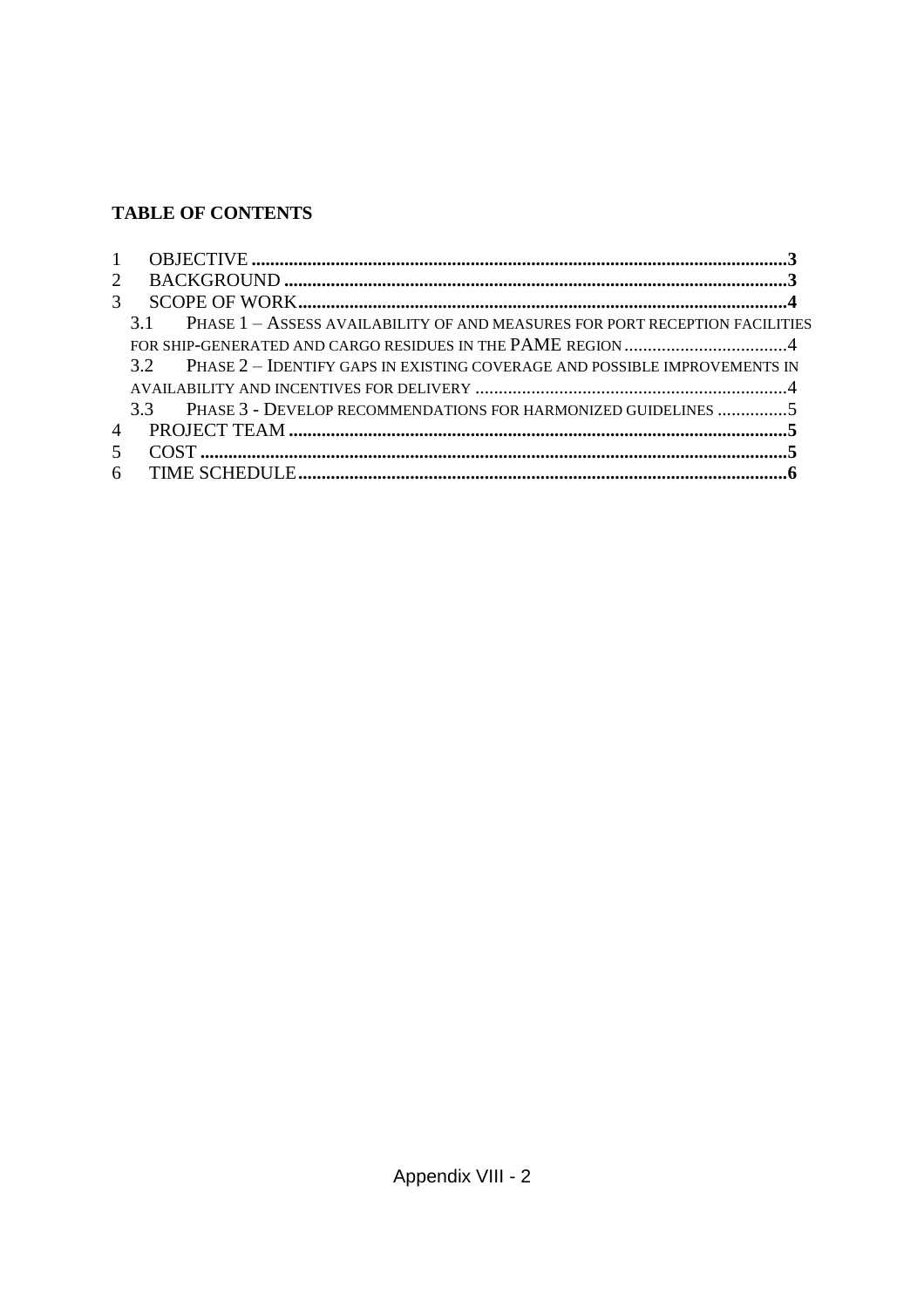# **TABLE OF CONTENTS**

| $\mathbf{1}$          |                                                                                   |  |
|-----------------------|-----------------------------------------------------------------------------------|--|
| $\mathcal{D}_{\cdot}$ |                                                                                   |  |
| $\mathcal{F}$         |                                                                                   |  |
|                       | PHASE 1 - ASSESS AVAILABILITY OF AND MEASURES FOR PORT RECEPTION FACILITIES<br>31 |  |
|                       |                                                                                   |  |
|                       | 3.2 PHASE 2 - IDENTIFY GAPS IN EXISTING COVERAGE AND POSSIBLE IMPROVEMENTS IN     |  |
|                       |                                                                                   |  |
|                       | 3.3 PHASE 3 - DEVELOP RECOMMENDATIONS FOR HARMONIZED GUIDELINES 5                 |  |
| $\overline{4}$        |                                                                                   |  |
| 5.                    |                                                                                   |  |
| 6                     |                                                                                   |  |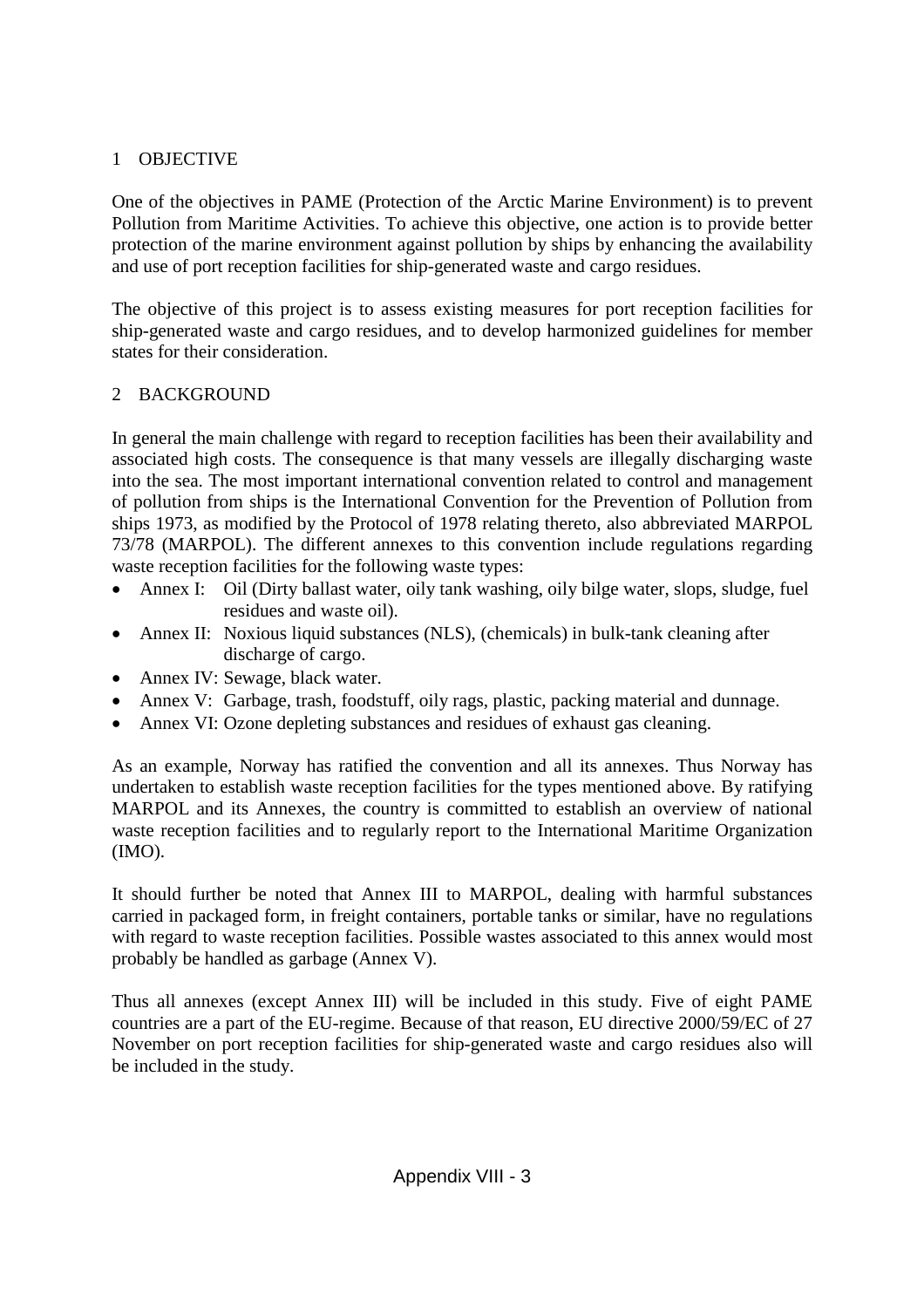### 1 OBJECTIVE

One of the objectives in PAME (Protection of the Arctic Marine Environment) is to prevent Pollution from Maritime Activities. To achieve this objective, one action is to provide better protection of the marine environment against pollution by ships by enhancing the availability and use of port reception facilities for ship-generated waste and cargo residues.

The objective of this project is to assess existing measures for port reception facilities for ship-generated waste and cargo residues, and to develop harmonized guidelines for member states for their consideration.

### 2 BACKGROUND

In general the main challenge with regard to reception facilities has been their availability and associated high costs. The consequence is that many vessels are illegally discharging waste into the sea. The most important international convention related to control and management of pollution from ships is the International Convention for the Prevention of Pollution from ships 1973, as modified by the Protocol of 1978 relating thereto, also abbreviated MARPOL 73/78 (MARPOL). The different annexes to this convention include regulations regarding waste reception facilities for the following waste types:

- Annex I: Oil (Dirty ballast water, oily tank washing, oily bilge water, slops, sludge, fuel residues and waste oil).
- Annex II: Noxious liquid substances (NLS), (chemicals) in bulk-tank cleaning after discharge of cargo.
- Annex IV: Sewage, black water.
- Annex V: Garbage, trash, foodstuff, oily rags, plastic, packing material and dunnage.
- Annex VI: Ozone depleting substances and residues of exhaust gas cleaning.

As an example, Norway has ratified the convention and all its annexes. Thus Norway has undertaken to establish waste reception facilities for the types mentioned above. By ratifying MARPOL and its Annexes, the country is committed to establish an overview of national waste reception facilities and to regularly report to the International Maritime Organization (IMO).

It should further be noted that Annex III to MARPOL, dealing with harmful substances carried in packaged form, in freight containers, portable tanks or similar, have no regulations with regard to waste reception facilities. Possible wastes associated to this annex would most probably be handled as garbage (Annex V).

Thus all annexes (except Annex III) will be included in this study. Five of eight PAME countries are a part of the EU-regime. Because of that reason, EU directive 2000/59/EC of 27 November on port reception facilities for ship-generated waste and cargo residues also will be included in the study.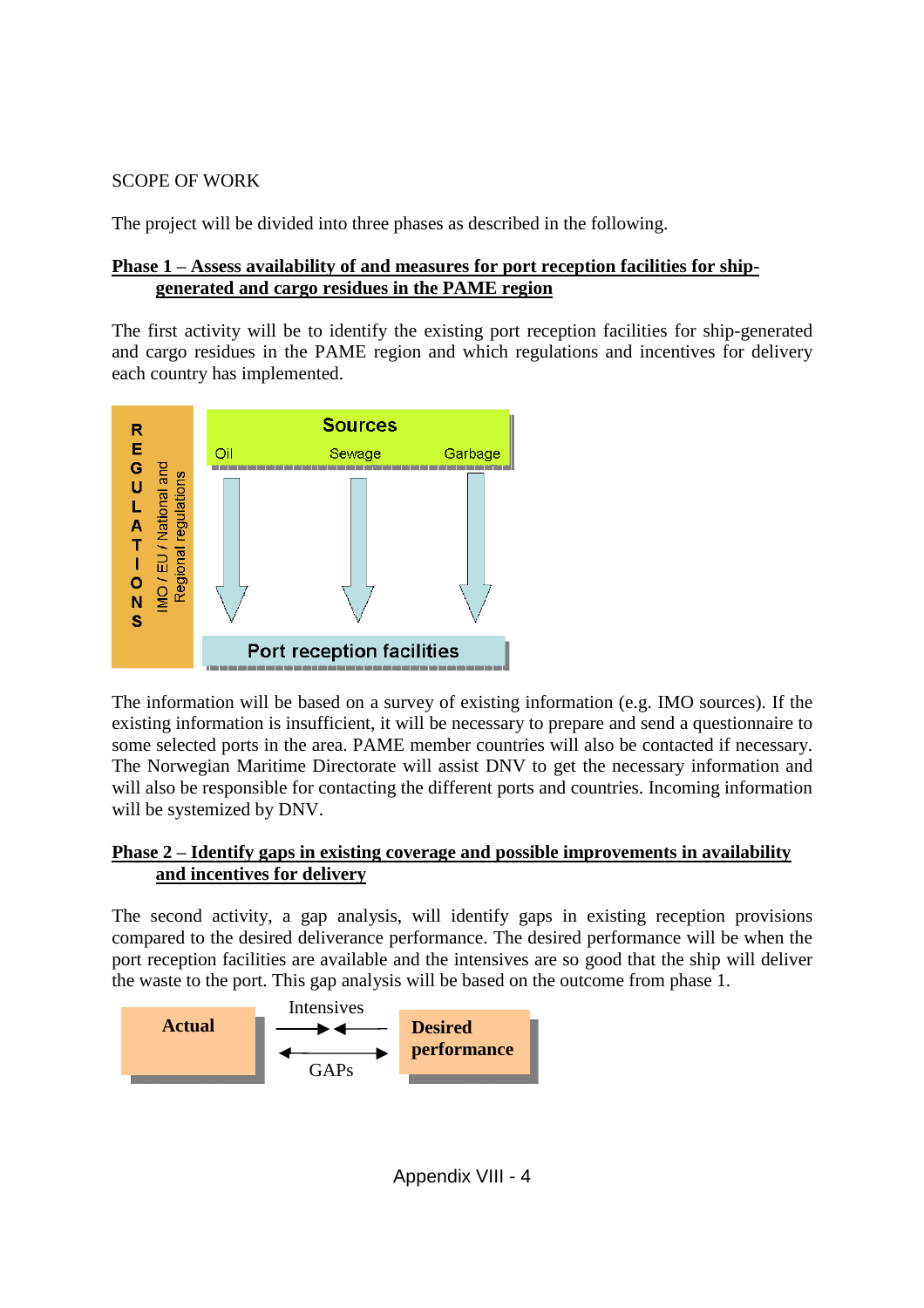### SCOPE OF WORK

The project will be divided into three phases as described in the following.

### **Phase 1 –Assess availability of and measures for port reception facilities for shipgenerated and cargo residues in the PAME region**

The first activity will be to identify the existing port reception facilities for ship-generated and cargo residues in the PAME region and which regulations and incentives for delivery each country has implemented.



The information will be based on a survey of existing information (e.g. IMO sources). If the existing information is insufficient, it will be necessary to prepare and send a questionnaire to some selected ports in the area. PAME member countries will also be contacted if necessary. The Norwegian Maritime Directorate will assist DNV to get the necessary information and will also be responsible for contacting the different ports and countries. Incoming information will be systemized by DNV.

### **Phase 2 –Identify gaps in existing coverage and possible improvements in availability and incentives for delivery**

The second activity, a gap analysis, will identify gaps in existing reception provisions compared to the desired deliverance performance. The desired performance will be when the port reception facilities are available and the intensives are so good that the ship will deliver the waste to the port. This gap analysis will be based on the outcome from phase 1.



Appendix VIII - 4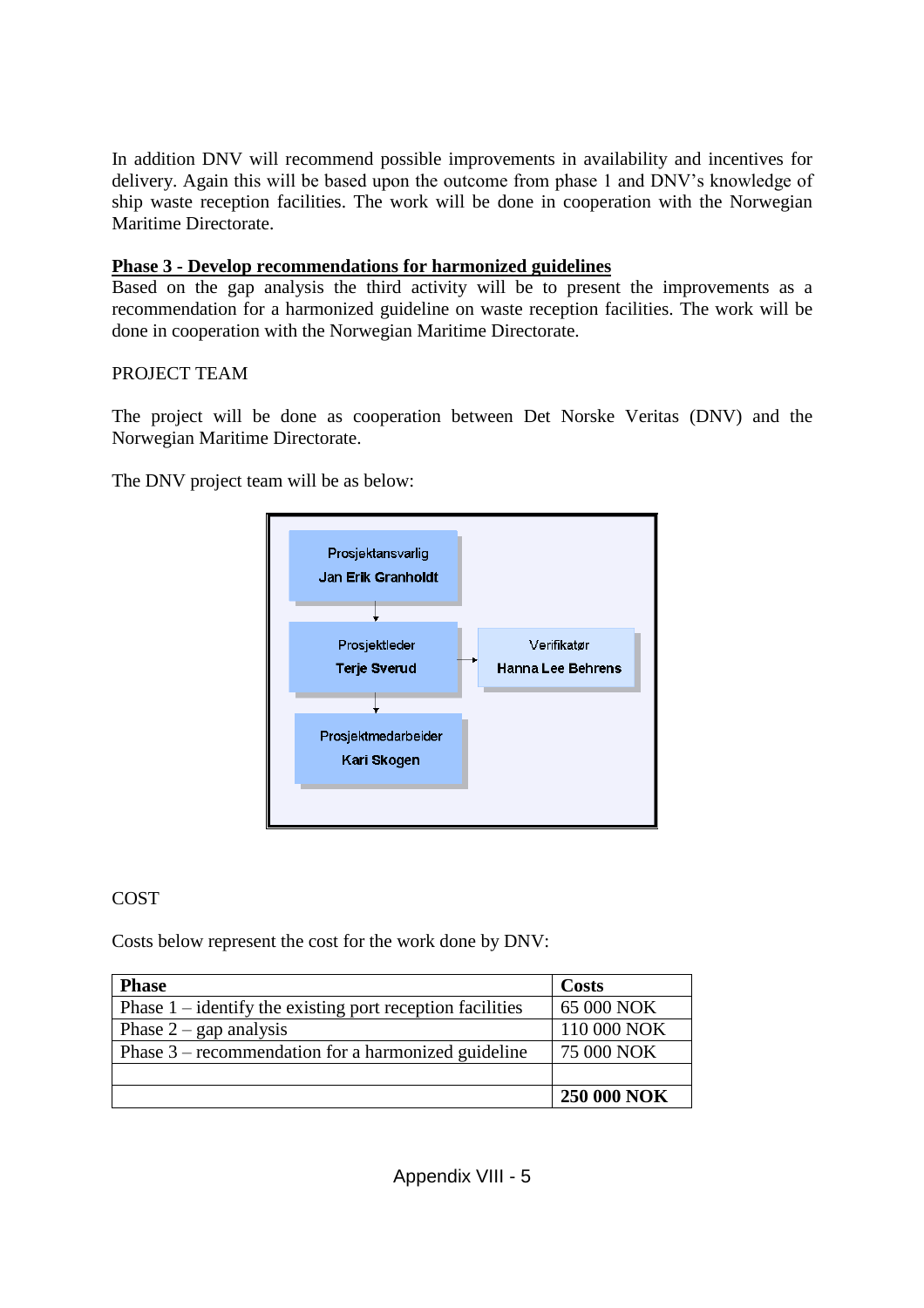In addition DNV will recommend possible improvements in availability and incentives for delivery. Again this will be based upon the outcome from phase 1 and DNV's knowledge of ship waste reception facilities. The work will be done in cooperation with the Norwegian Maritime Directorate.

### **Phase 3 - Develop recommendations for harmonized guidelines**

Based on the gap analysis the third activity will be to present the improvements as a recommendation for a harmonized guideline on waste reception facilities. The work will be done in cooperation with the Norwegian Maritime Directorate.

### PROJECT TEAM

The project will be done as cooperation between Det Norske Veritas (DNV) and the Norwegian Maritime Directorate.

The DNV project team will be as below:



### COST

Costs below represent the cost for the work done by DNV:

| <b>Phase</b>                                                | Costs              |
|-------------------------------------------------------------|--------------------|
| Phase $1$ – identify the existing port reception facilities | 65 000 NOK         |
| Phase $2$ – gap analysis                                    | 110 000 NOK        |
| Phase $3$ – recommendation for a harmonized guideline       | 75 000 NOK         |
|                                                             |                    |
|                                                             | <b>250 000 NOK</b> |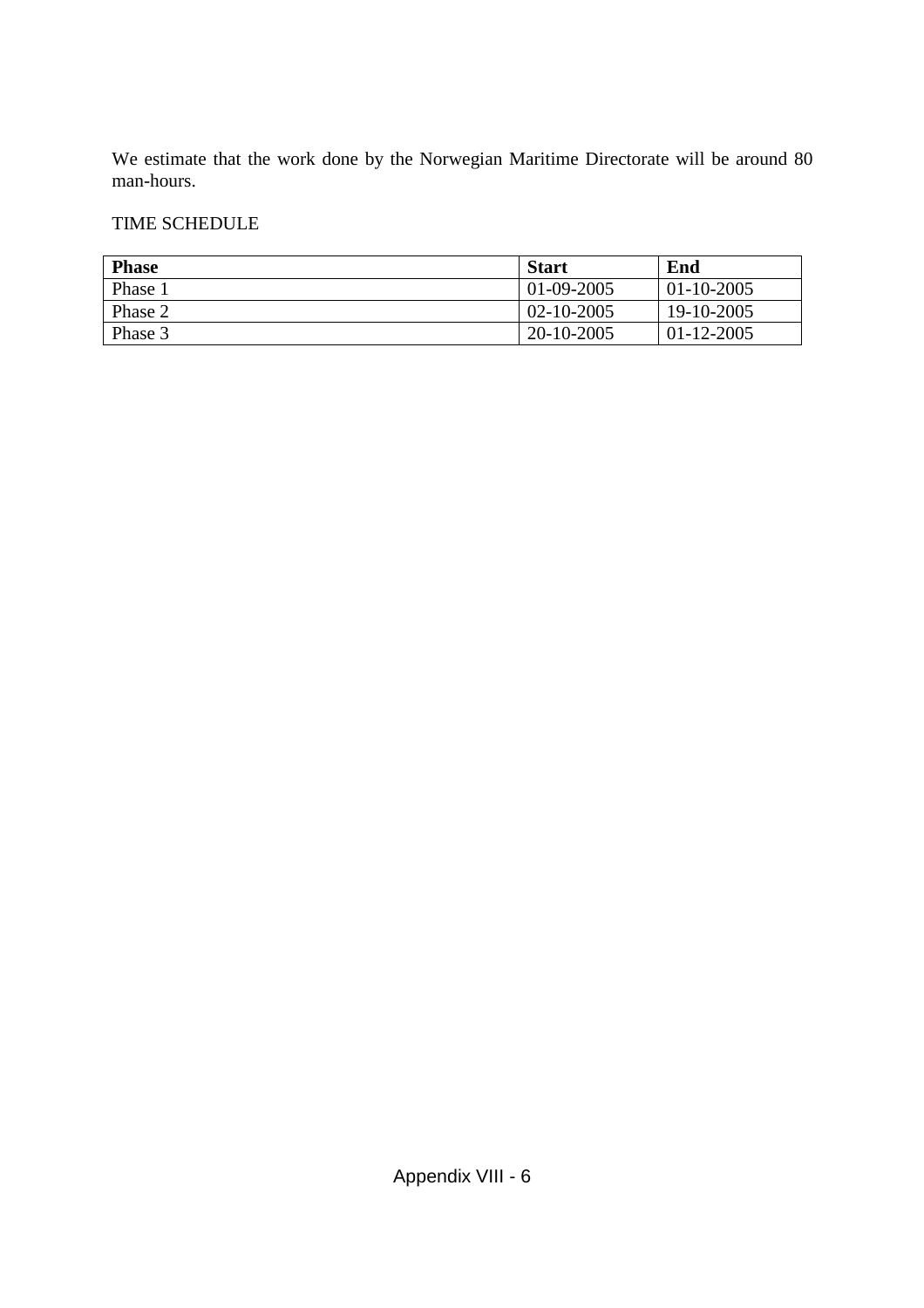We estimate that the work done by the Norwegian Maritime Directorate will be around 80 man-hours.

### TIME SCHEDULE

| <b>Phase</b> | <b>Start</b>     | End              |
|--------------|------------------|------------------|
| Phase 1      | $01 - 09 - 2005$ | $01 - 10 - 2005$ |
| Phase 2      | $02 - 10 - 2005$ | 19-10-2005       |
| Phase 3      | 20-10-2005       | $01 - 12 - 2005$ |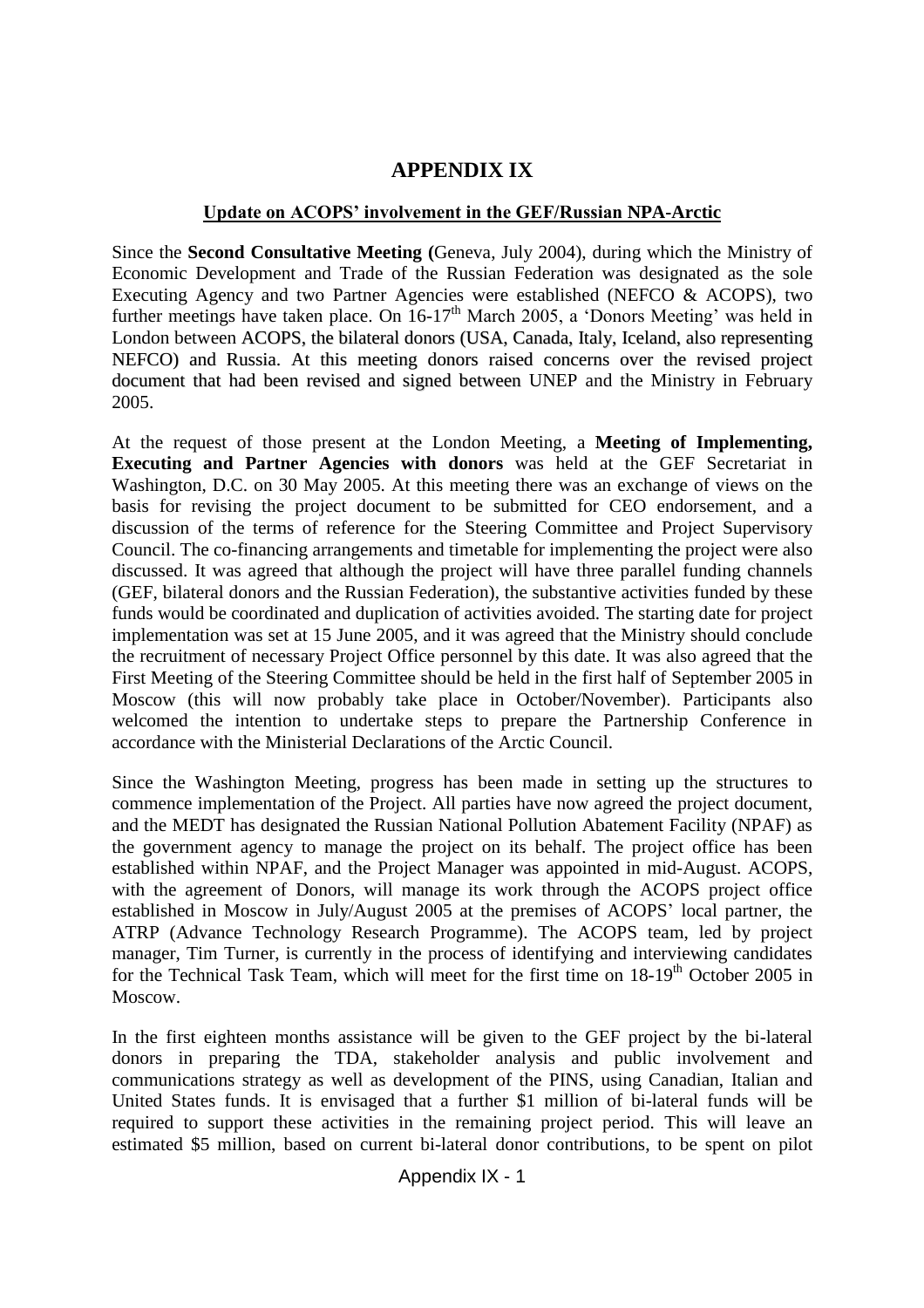# **APPENDIX IX**

### Update on ACOPS' involvement in the GEF/Russian NPA-Arctic

Since the **Second Consultative Meeting (**Geneva, July 2004), during which the Ministry of Economic Development and Trade of the Russian Federation was designated as the sole Executing Agency and two Partner Agencies were established (NEFCO & ACOPS), two further meetings have taken place. On  $16-17<sup>th</sup>$  March 2005, a 'Donors Meeting' was held in London between ACOPS, the bilateral donors (USA, Canada, Italy, Iceland, also representing NEFCO) and Russia. At this meeting donors raised concerns over the revised project document that had been revised and signed between UNEP and the Ministry in February 2005.

At the request of those present at the London Meeting, a **Meeting of Implementing, Executing and Partner Agencies with donors** was held at the GEF Secretariat in Washington, D.C. on 30 May 2005. At this meeting there was an exchange of views on the basis for revising the project document to be submitted for CEO endorsement, and a discussion of the terms of reference for the Steering Committee and Project Supervisory Council. The co-financing arrangements and timetable for implementing the project were also discussed. It was agreed that although the project will have three parallel funding channels (GEF, bilateral donors and the Russian Federation), the substantive activities funded by these funds would be coordinated and duplication of activities avoided. The starting date for project implementation was set at 15 June 2005, and it was agreed that the Ministry should conclude the recruitment of necessary Project Office personnel by this date. It was also agreed that the First Meeting of the Steering Committee should be held in the first half of September 2005 in Moscow (this will now probably take place in October/November). Participants also welcomed the intention to undertake steps to prepare the Partnership Conference in accordance with the Ministerial Declarations of the Arctic Council.

Since the Washington Meeting, progress has been made in setting up the structures to commence implementation of the Project. All parties have now agreed the project document, and the MEDT has designated the Russian National Pollution Abatement Facility (NPAF) as the government agency to manage the project on its behalf. The project office has been established within NPAF, and the Project Manager was appointed in mid-August. ACOPS, with the agreement of Donors, will manage its work through the ACOPS project office established in Moscow in July/August 2005 at the premises of ACOPS'local partner, the ATRP (Advance Technology Research Programme). The ACOPS team, led by project manager, Tim Turner, is currently in the process of identifying and interviewing candidates for the Technical Task Team, which will meet for the first time on  $18-19<sup>th</sup>$  October 2005 in Moscow.

In the first eighteen months assistance will be given to the GEF project by the bi-lateral donors in preparing the TDA, stakeholder analysis and public involvement and communications strategy as well as development of the PINS, using Canadian, Italian and United States funds. It is envisaged that a further \$1 million of bi-lateral funds will be required to support these activities in the remaining project period. This will leave an estimated \$5 million, based on current bi-lateral donor contributions, to be spent on pilot